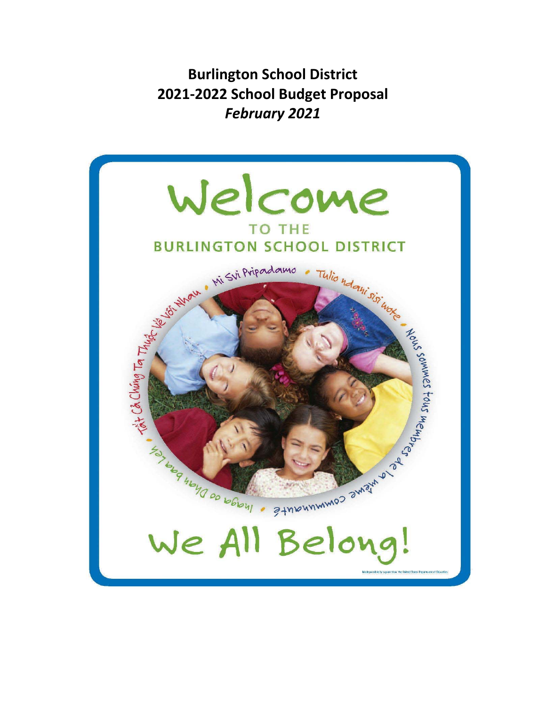**Burlington School District 2021‐2022 School Budget Proposal** *February 2021*

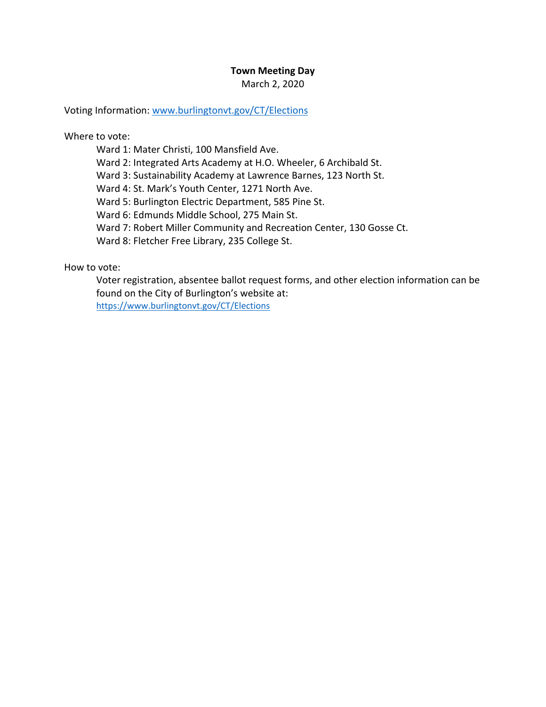### **Town Meeting Day**

March 2, 2020

Voting Information: www.burlingtonvt.gov/CT/Elections

Where to vote:

Ward 1: Mater Christi, 100 Mansfield Ave.

Ward 2: Integrated Arts Academy at H.O. Wheeler, 6 Archibald St.

Ward 3: Sustainability Academy at Lawrence Barnes, 123 North St.

Ward 4: St. Mark's Youth Center, 1271 North Ave.

Ward 5: Burlington Electric Department, 585 Pine St.

Ward 6: Edmunds Middle School, 275 Main St.

Ward 7: Robert Miller Community and Recreation Center, 130 Gosse Ct.

Ward 8: Fletcher Free Library, 235 College St.

How to vote:

Voter registration, absentee ballot request forms, and other election information can be found on the City of Burlington's website at: https://www.burlingtonvt.gov/CT/Elections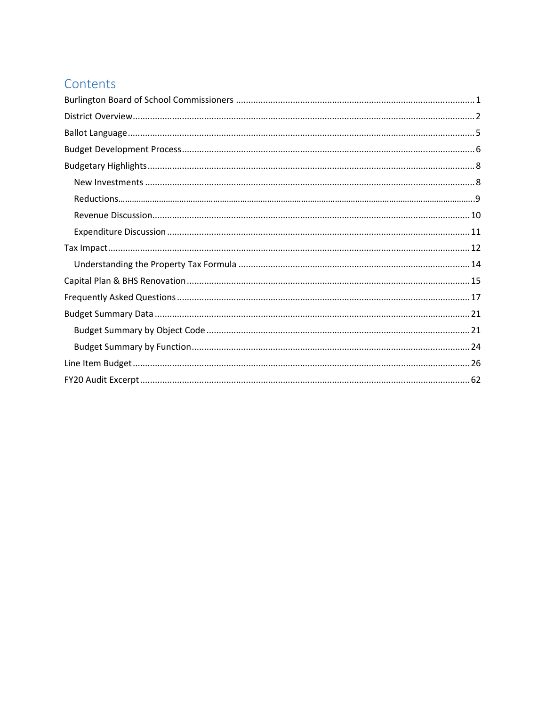## Contents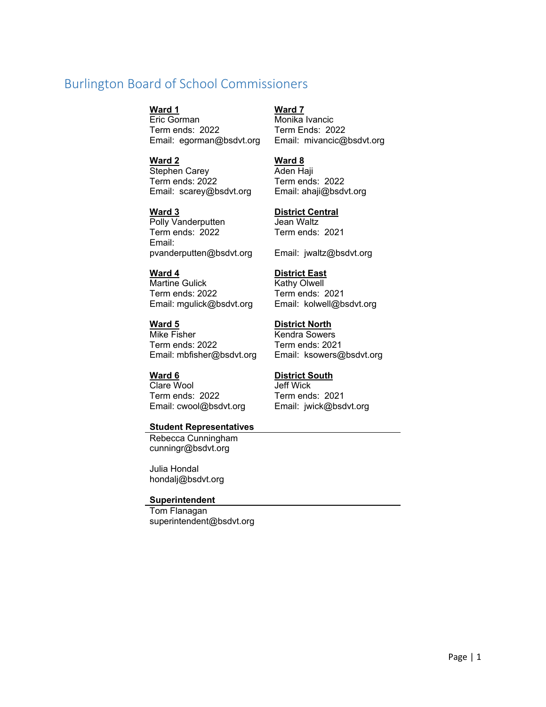## Burlington Board of School Commissioners

Eric Gorman Monika Ivancic Term ends: 2022 Term Ends: 2022 Email: egorman@bsdvt.org Email: mivancic@bsdvt.org

**Ward 2 Ward 8**  Stephen Carey **Aden Haji** Term ends: 2022 Term ends: 2022 Email: scarey@bsdvt.org Email: ahaji@bsdvt.org

Polly Vanderputten **Jean Waltz** Term ends: 2022 Term ends: 2021 Email: pvanderputten@bsdvt.org Email: jwaltz@bsdvt.org

Martine Gulick Kathy Olwell Term ends: 2022 Term ends: 2021 Email: mgulick@bsdvt.org Email: kolwell@bsdvt.org

## **Ward 5 District North**  Mike Fisher **Kendra Sowers** Term ends: 2022 Term ends: 2021

Clare Wool Jeff Wick Term ends: 2022 Term ends: 2021 Email: cwool@bsdvt.org Email: jwick@bsdvt.org

#### **Student Representatives**

Rebecca Cunningham cunningr@bsdvt.org

Julia Hondal hondalj@bsdvt.org

#### **Superintendent**

Tom Flanagan superintendent@bsdvt.org

#### **Ward 1 Ward 7**

#### **Ward 3 District Central**

#### **Ward 4 District East**

Email: mbfisher@bsdvt.org Email: ksowers@bsdvt.org

#### Ward 6 **District South**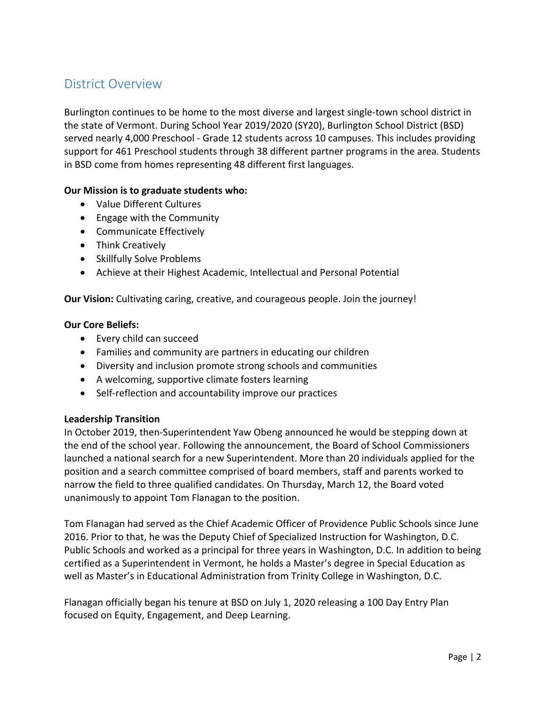## District Overview

Burlington continues to be home to the most diverse and largest single‐town school district in the state of Vermont. During School Year 2019/2020 (SY20), Burlington School District (BSD) served nearly 4,000 Preschool ‐ Grade 12 students across 10 campuses. This includes providing support for 461 Preschool students through 38 different partner programs in the area. Students in BSD come from homes representing 48 different first languages.

#### **Our Mission is to graduate students who:**

- Value Different Cultures
- Engage with the Community
- Communicate Effectively
- Think Creatively
- Skillfully Solve Problems
- Achieve at their Highest Academic, Intellectual and Personal Potential

**Our Vision:** Cultivating caring, creative, and courageous people. Join the journey!

#### **Our Core Beliefs:**

- Every child can succeed
- Families and community are partners in educating our children
- Diversity and inclusion promote strong schools and communities
- A welcoming, supportive climate fosters learning
- Self-reflection and accountability improve our practices

#### **Leadership Transition**

In October 2019, then‐Superintendent Yaw Obeng announced he would be stepping down at the end of the school year. Following the announcement, the Board of School Commissioners launched a national search for a new Superintendent. More than 20 individuals applied for the position and a search committee comprised of board members, staff and parents worked to narrow the field to three qualified candidates. On Thursday, March 12, the Board voted unanimously to appoint Tom Flanagan to the position.

Tom Flanagan had served as the Chief Academic Officer of Providence Public Schools since June 2016. Prior to that, he was the Deputy Chief of Specialized Instruction for Washington, D.C. Public Schools and worked as a principal for three years in Washington, D.C. In addition to being certified as a Superintendent in Vermont, he holds a Master's degree in Special Education as well as Master's in Educational Administration from Trinity College in Washington, D.C.

Flanagan officially began his tenure at BSD on July 1, 2020 releasing a 100 Day Entry Plan focused on Equity, Engagement, and Deep Learning.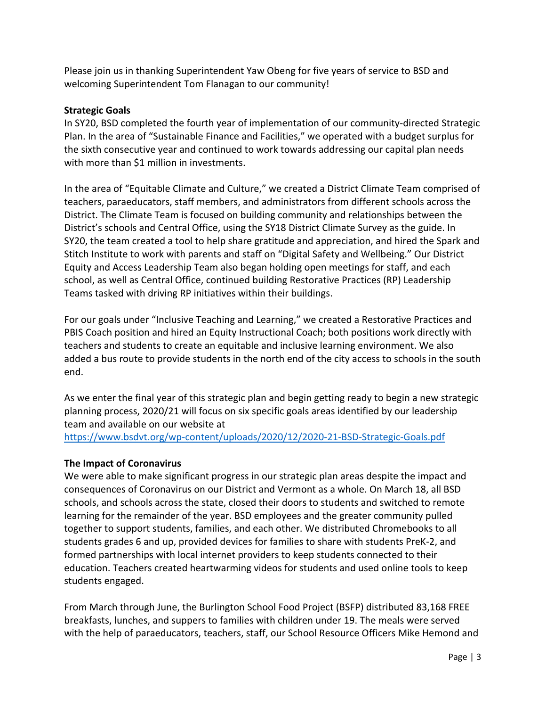Please join us in thanking Superintendent Yaw Obeng for five years of service to BSD and welcoming Superintendent Tom Flanagan to our community!

### **Strategic Goals**

In SY20, BSD completed the fourth year of implementation of our community‐directed Strategic Plan. In the area of "Sustainable Finance and Facilities," we operated with a budget surplus for the sixth consecutive year and continued to work towards addressing our capital plan needs with more than \$1 million in investments.

In the area of "Equitable Climate and Culture," we created a District Climate Team comprised of teachers, paraeducators, staff members, and administrators from different schools across the District. The Climate Team is focused on building community and relationships between the District's schools and Central Office, using the SY18 District Climate Survey as the guide. In SY20, the team created a tool to help share gratitude and appreciation, and hired the Spark and Stitch Institute to work with parents and staff on "Digital Safety and Wellbeing." Our District Equity and Access Leadership Team also began holding open meetings for staff, and each school, as well as Central Office, continued building Restorative Practices (RP) Leadership Teams tasked with driving RP initiatives within their buildings.

For our goals under "Inclusive Teaching and Learning," we created a Restorative Practices and PBIS Coach position and hired an Equity Instructional Coach; both positions work directly with teachers and students to create an equitable and inclusive learning environment. We also added a bus route to provide students in the north end of the city access to schools in the south end.

As we enter the final year of this strategic plan and begin getting ready to begin a new strategic planning process, 2020/21 will focus on six specific goals areas identified by our leadership team and available on our website at

https://www.bsdvt.org/wp‐content/uploads/2020/12/2020‐21‐BSD‐Strategic‐Goals.pdf

### **The Impact of Coronavirus**

We were able to make significant progress in our strategic plan areas despite the impact and consequences of Coronavirus on our District and Vermont as a whole. On March 18, all BSD schools, and schools across the state, closed their doors to students and switched to remote learning for the remainder of the year. BSD employees and the greater community pulled together to support students, families, and each other. We distributed Chromebooks to all students grades 6 and up, provided devices for families to share with students PreK‐2, and formed partnerships with local internet providers to keep students connected to their education. Teachers created heartwarming videos for students and used online tools to keep students engaged.

From March through June, the Burlington School Food Project (BSFP) distributed 83,168 FREE breakfasts, lunches, and suppers to families with children under 19. The meals were served with the help of paraeducators, teachers, staff, our School Resource Officers Mike Hemond and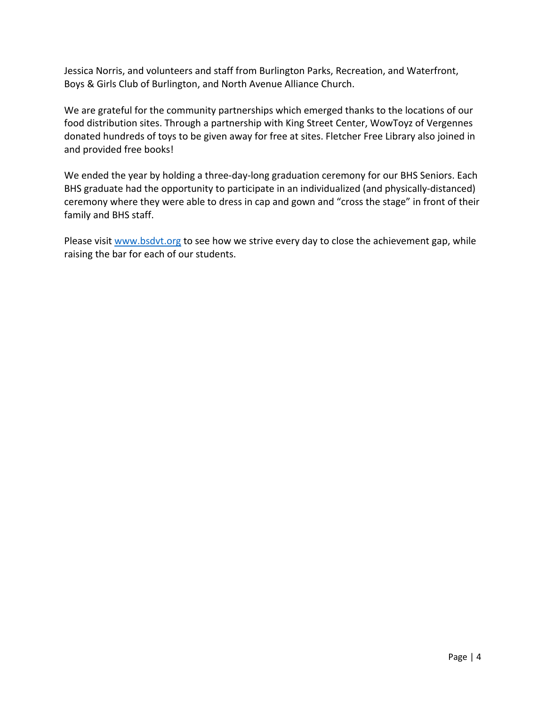Jessica Norris, and volunteers and staff from Burlington Parks, Recreation, and Waterfront, Boys & Girls Club of Burlington, and North Avenue Alliance Church.

We are grateful for the community partnerships which emerged thanks to the locations of our food distribution sites. Through a partnership with King Street Center, WowToyz of Vergennes donated hundreds of toys to be given away for free at sites. Fletcher Free Library also joined in and provided free books!

We ended the year by holding a three-day-long graduation ceremony for our BHS Seniors. Each BHS graduate had the opportunity to participate in an individualized (and physically‐distanced) ceremony where they were able to dress in cap and gown and "cross the stage" in front of their family and BHS staff.

Please visit www.bsdvt.org to see how we strive every day to close the achievement gap, while raising the bar for each of our students.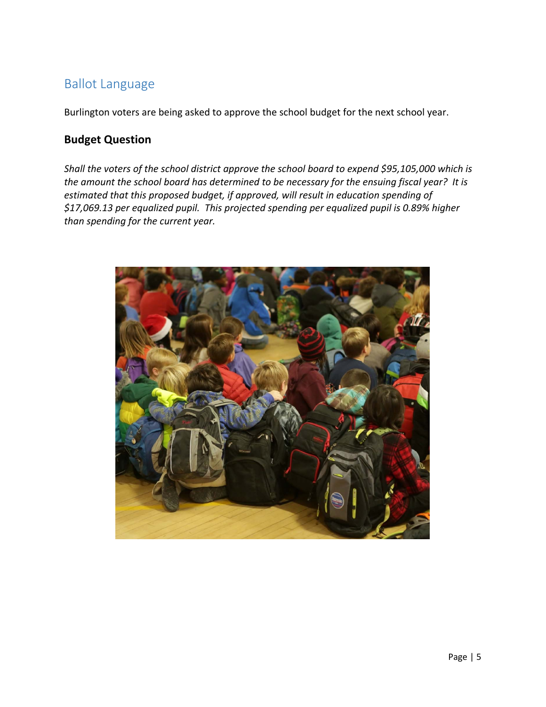## Ballot Language

Burlington voters are being asked to approve the school budget for the next school year.

## **Budget Question**

*Shall the voters of the school district approve the school board to expend \$95,105,000 which is the amount the school board has determined to be necessary for the ensuing fiscal year? It is estimated that this proposed budget, if approved, will result in education spending of \$17,069.13 per equalized pupil. This projected spending per equalized pupil is 0.89% higher than spending for the current year.* 

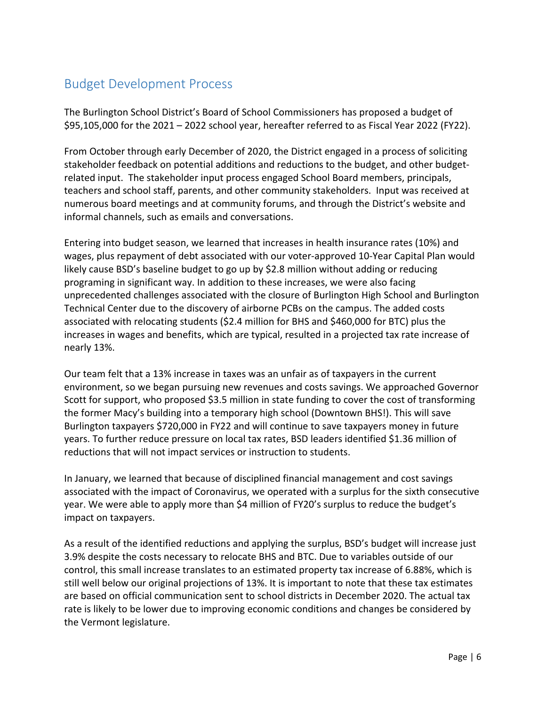## Budget Development Process

The Burlington School District's Board of School Commissioners has proposed a budget of \$95,105,000 for the 2021 – 2022 school year, hereafter referred to as Fiscal Year 2022 (FY22).

From October through early December of 2020, the District engaged in a process of soliciting stakeholder feedback on potential additions and reductions to the budget, and other budget‐ related input. The stakeholder input process engaged School Board members, principals, teachers and school staff, parents, and other community stakeholders. Input was received at numerous board meetings and at community forums, and through the District's website and informal channels, such as emails and conversations.

Entering into budget season, we learned that increases in health insurance rates (10%) and wages, plus repayment of debt associated with our voter‐approved 10‐Year Capital Plan would likely cause BSD's baseline budget to go up by \$2.8 million without adding or reducing programing in significant way. In addition to these increases, we were also facing unprecedented challenges associated with the closure of Burlington High School and Burlington Technical Center due to the discovery of airborne PCBs on the campus. The added costs associated with relocating students (\$2.4 million for BHS and \$460,000 for BTC) plus the increases in wages and benefits, which are typical, resulted in a projected tax rate increase of nearly 13%.

Our team felt that a 13% increase in taxes was an unfair as of taxpayers in the current environment, so we began pursuing new revenues and costs savings. We approached Governor Scott for support, who proposed \$3.5 million in state funding to cover the cost of transforming the former Macy's building into a temporary high school (Downtown BHS!). This will save Burlington taxpayers \$720,000 in FY22 and will continue to save taxpayers money in future years. To further reduce pressure on local tax rates, BSD leaders identified \$1.36 million of reductions that will not impact services or instruction to students.

In January, we learned that because of disciplined financial management and cost savings associated with the impact of Coronavirus, we operated with a surplus for the sixth consecutive year. We were able to apply more than \$4 million of FY20's surplus to reduce the budget's impact on taxpayers.

As a result of the identified reductions and applying the surplus, BSD's budget will increase just 3.9% despite the costs necessary to relocate BHS and BTC. Due to variables outside of our control, this small increase translates to an estimated property tax increase of 6.88%, which is still well below our original projections of 13%. It is important to note that these tax estimates are based on official communication sent to school districts in December 2020. The actual tax rate is likely to be lower due to improving economic conditions and changes be considered by the Vermont legislature.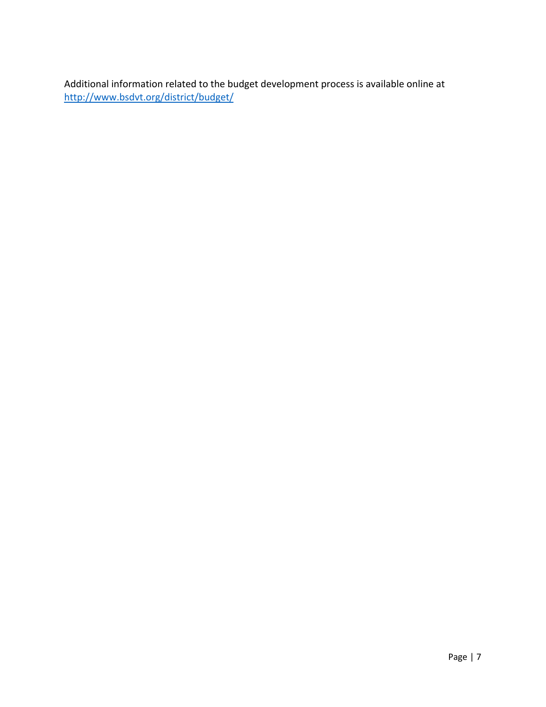Additional information related to the budget development process is available online at http://www.bsdvt.org/district/budget/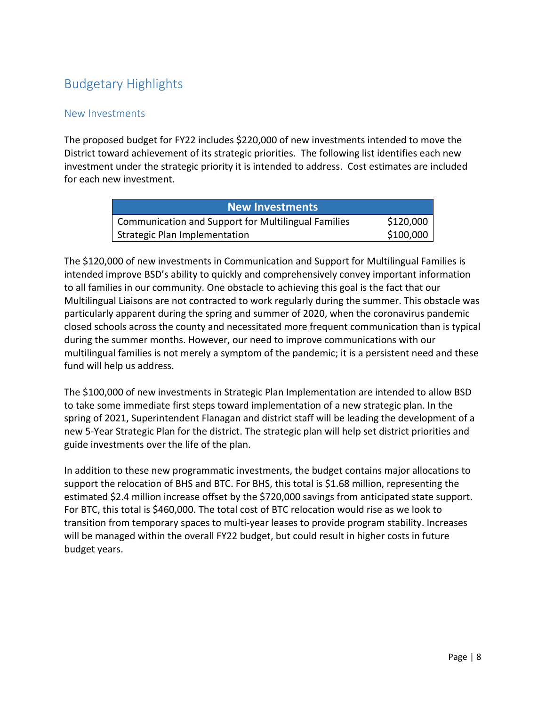# Budgetary Highlights

### New Investments

The proposed budget for FY22 includes \$220,000 of new investments intended to move the District toward achievement of its strategic priorities. The following list identifies each new investment under the strategic priority it is intended to address. Cost estimates are included for each new investment.

| <b>New Investments</b>                              |           |
|-----------------------------------------------------|-----------|
| Communication and Support for Multilingual Families | \$120,000 |
| <b>Strategic Plan Implementation</b>                | \$100,000 |

The \$120,000 of new investments in Communication and Support for Multilingual Families is intended improve BSD's ability to quickly and comprehensively convey important information to all families in our community. One obstacle to achieving this goal is the fact that our Multilingual Liaisons are not contracted to work regularly during the summer. This obstacle was particularly apparent during the spring and summer of 2020, when the coronavirus pandemic closed schools across the county and necessitated more frequent communication than is typical during the summer months. However, our need to improve communications with our multilingual families is not merely a symptom of the pandemic; it is a persistent need and these fund will help us address.

The \$100,000 of new investments in Strategic Plan Implementation are intended to allow BSD to take some immediate first steps toward implementation of a new strategic plan. In the spring of 2021, Superintendent Flanagan and district staff will be leading the development of a new 5‐Year Strategic Plan for the district. The strategic plan will help set district priorities and guide investments over the life of the plan.

In addition to these new programmatic investments, the budget contains major allocations to support the relocation of BHS and BTC. For BHS, this total is \$1.68 million, representing the estimated \$2.4 million increase offset by the \$720,000 savings from anticipated state support. For BTC, this total is \$460,000. The total cost of BTC relocation would rise as we look to transition from temporary spaces to multi‐year leases to provide program stability. Increases will be managed within the overall FY22 budget, but could result in higher costs in future budget years.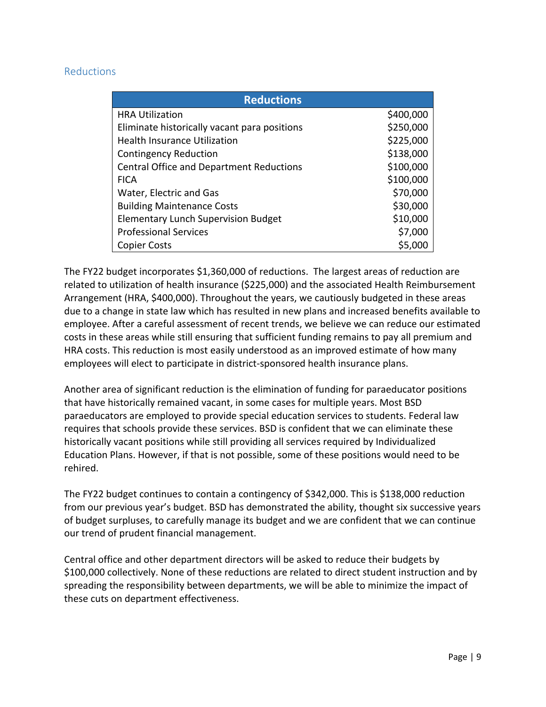### **Reductions**

| <b>Reductions</b>                               |           |
|-------------------------------------------------|-----------|
| <b>HRA Utilization</b>                          | \$400,000 |
| Eliminate historically vacant para positions    | \$250,000 |
| <b>Health Insurance Utilization</b>             | \$225,000 |
| <b>Contingency Reduction</b>                    | \$138,000 |
| <b>Central Office and Department Reductions</b> | \$100,000 |
| <b>FICA</b>                                     | \$100,000 |
| Water, Electric and Gas                         | \$70,000  |
| <b>Building Maintenance Costs</b>               | \$30,000  |
| <b>Elementary Lunch Supervision Budget</b>      | \$10,000  |
| <b>Professional Services</b>                    | \$7,000   |
| <b>Copier Costs</b>                             | \$5,000   |

The FY22 budget incorporates \$1,360,000 of reductions. The largest areas of reduction are related to utilization of health insurance (\$225,000) and the associated Health Reimbursement Arrangement (HRA, \$400,000). Throughout the years, we cautiously budgeted in these areas due to a change in state law which has resulted in new plans and increased benefits available to employee. After a careful assessment of recent trends, we believe we can reduce our estimated costs in these areas while still ensuring that sufficient funding remains to pay all premium and HRA costs. This reduction is most easily understood as an improved estimate of how many employees will elect to participate in district-sponsored health insurance plans.

Another area of significant reduction is the elimination of funding for paraeducator positions that have historically remained vacant, in some cases for multiple years. Most BSD paraeducators are employed to provide special education services to students. Federal law requires that schools provide these services. BSD is confident that we can eliminate these historically vacant positions while still providing all services required by Individualized Education Plans. However, if that is not possible, some of these positions would need to be rehired.

The FY22 budget continues to contain a contingency of \$342,000. This is \$138,000 reduction from our previous year's budget. BSD has demonstrated the ability, thought six successive years of budget surpluses, to carefully manage its budget and we are confident that we can continue our trend of prudent financial management.

Central office and other department directors will be asked to reduce their budgets by \$100,000 collectively. None of these reductions are related to direct student instruction and by spreading the responsibility between departments, we will be able to minimize the impact of these cuts on department effectiveness.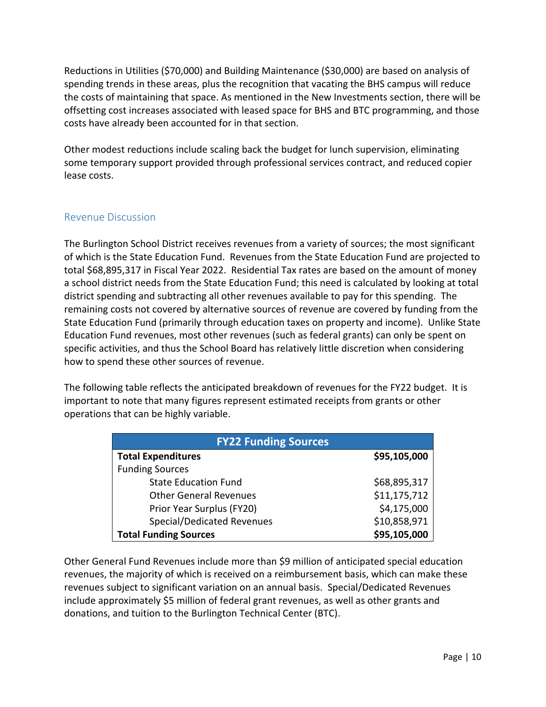Reductions in Utilities (\$70,000) and Building Maintenance (\$30,000) are based on analysis of spending trends in these areas, plus the recognition that vacating the BHS campus will reduce the costs of maintaining that space. As mentioned in the New Investments section, there will be offsetting cost increases associated with leased space for BHS and BTC programming, and those costs have already been accounted for in that section.

Other modest reductions include scaling back the budget for lunch supervision, eliminating some temporary support provided through professional services contract, and reduced copier lease costs.

### Revenue Discussion

The Burlington School District receives revenues from a variety of sources; the most significant of which is the State Education Fund. Revenues from the State Education Fund are projected to total \$68,895,317 in Fiscal Year 2022. Residential Tax rates are based on the amount of money a school district needs from the State Education Fund; this need is calculated by looking at total district spending and subtracting all other revenues available to pay for this spending. The remaining costs not covered by alternative sources of revenue are covered by funding from the State Education Fund (primarily through education taxes on property and income). Unlike State Education Fund revenues, most other revenues (such as federal grants) can only be spent on specific activities, and thus the School Board has relatively little discretion when considering how to spend these other sources of revenue.

The following table reflects the anticipated breakdown of revenues for the FY22 budget. It is important to note that many figures represent estimated receipts from grants or other operations that can be highly variable.

| <b>FY22 Funding Sources</b>       |              |  |  |
|-----------------------------------|--------------|--|--|
| <b>Total Expenditures</b>         | \$95,105,000 |  |  |
| <b>Funding Sources</b>            |              |  |  |
| <b>State Education Fund</b>       | \$68,895,317 |  |  |
| <b>Other General Revenues</b>     | \$11,175,712 |  |  |
| Prior Year Surplus (FY20)         | \$4,175,000  |  |  |
| <b>Special/Dedicated Revenues</b> | \$10,858,971 |  |  |
| <b>Total Funding Sources</b>      | \$95,105,000 |  |  |

Other General Fund Revenues include more than \$9 million of anticipated special education revenues, the majority of which is received on a reimbursement basis, which can make these revenues subject to significant variation on an annual basis. Special/Dedicated Revenues include approximately \$5 million of federal grant revenues, as well as other grants and donations, and tuition to the Burlington Technical Center (BTC).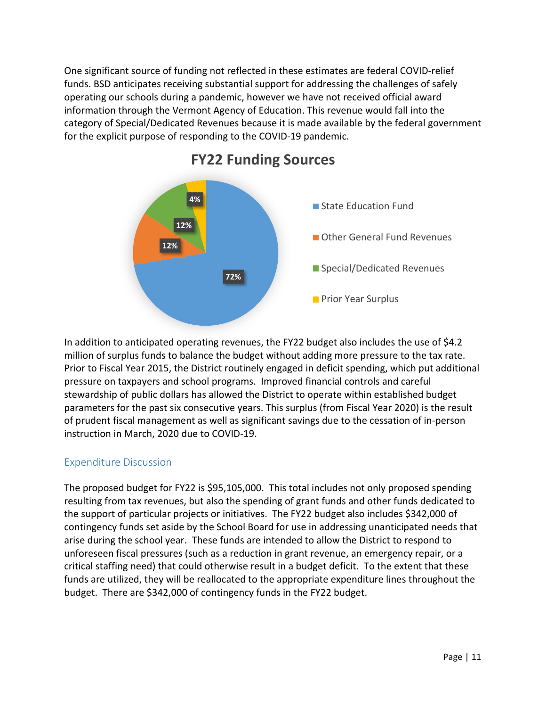One significant source of funding not reflected in these estimates are federal COVID‐relief funds. BSD anticipates receiving substantial support for addressing the challenges of safely operating our schools during a pandemic, however we have not received official award information through the Vermont Agency of Education. This revenue would fall into the category of Special/Dedicated Revenues because it is made available by the federal government for the explicit purpose of responding to the COVID‐19 pandemic.



## **FY22 Funding Sources**

In addition to anticipated operating revenues, the FY22 budget also includes the use of \$4.2 million of surplus funds to balance the budget without adding more pressure to the tax rate. Prior to Fiscal Year 2015, the District routinely engaged in deficit spending, which put additional pressure on taxpayers and school programs. Improved financial controls and careful stewardship of public dollars has allowed the District to operate within established budget parameters for the past six consecutive years. This surplus (from Fiscal Year 2020) is the result of prudent fiscal management as well as significant savings due to the cessation of in‐person instruction in March, 2020 due to COVID‐19.

## Expenditure Discussion

The proposed budget for FY22 is \$95,105,000. This total includes not only proposed spending resulting from tax revenues, but also the spending of grant funds and other funds dedicated to the support of particular projects or initiatives. The FY22 budget also includes \$342,000 of contingency funds set aside by the School Board for use in addressing unanticipated needs that arise during the school year. These funds are intended to allow the District to respond to unforeseen fiscal pressures (such as a reduction in grant revenue, an emergency repair, or a critical staffing need) that could otherwise result in a budget deficit. To the extent that these funds are utilized, they will be reallocated to the appropriate expenditure lines throughout the budget. There are \$342,000 of contingency funds in the FY22 budget.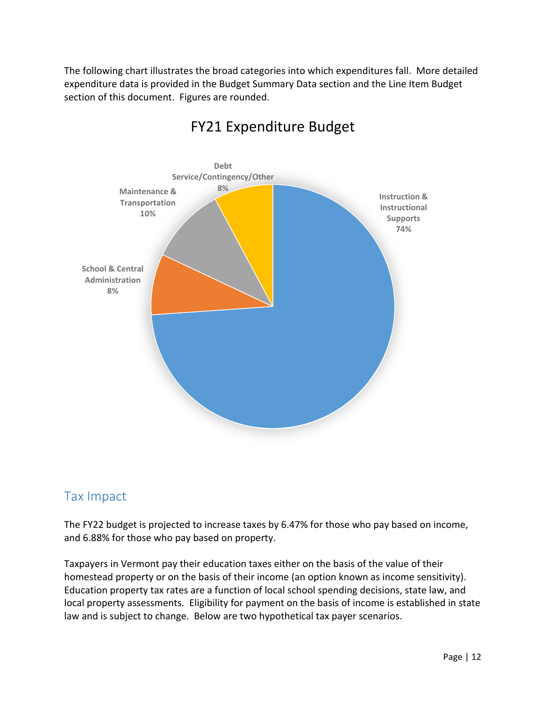The following chart illustrates the broad categories into which expenditures fall. More detailed expenditure data is provided in the Budget Summary Data section and the Line Item Budget section of this document. Figures are rounded.



# FY21 Expenditure Budget

## Tax Impact

The FY22 budget is projected to increase taxes by 6.47% for those who pay based on income, and 6.88% for those who pay based on property.

Taxpayers in Vermont pay their education taxes either on the basis of the value of their homestead property or on the basis of their income (an option known as income sensitivity). Education property tax rates are a function of local school spending decisions, state law, and local property assessments. Eligibility for payment on the basis of income is established in state law and is subject to change. Below are two hypothetical tax payer scenarios.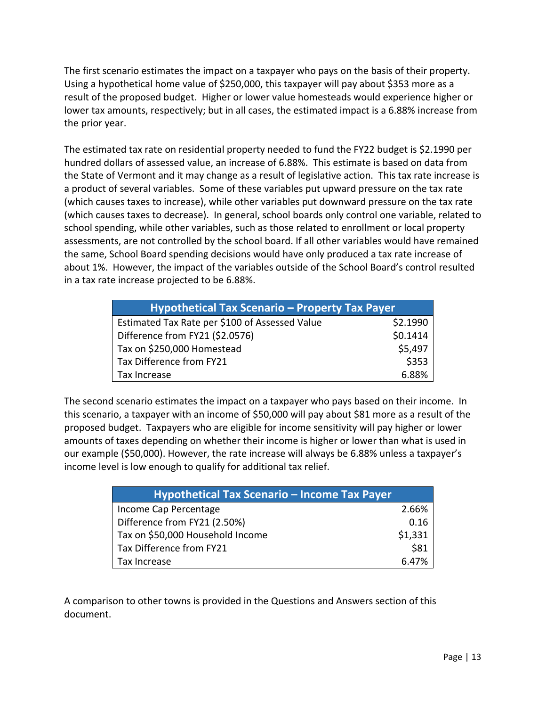The first scenario estimates the impact on a taxpayer who pays on the basis of their property. Using a hypothetical home value of \$250,000, this taxpayer will pay about \$353 more as a result of the proposed budget. Higher or lower value homesteads would experience higher or lower tax amounts, respectively; but in all cases, the estimated impact is a 6.88% increase from the prior year.

The estimated tax rate on residential property needed to fund the FY22 budget is \$2.1990 per hundred dollars of assessed value, an increase of 6.88%. This estimate is based on data from the State of Vermont and it may change as a result of legislative action. This tax rate increase is a product of several variables. Some of these variables put upward pressure on the tax rate (which causes taxes to increase), while other variables put downward pressure on the tax rate (which causes taxes to decrease). In general, school boards only control one variable, related to school spending, while other variables, such as those related to enrollment or local property assessments, are not controlled by the school board. If all other variables would have remained the same, School Board spending decisions would have only produced a tax rate increase of about 1%. However, the impact of the variables outside of the School Board's control resulted in a tax rate increase projected to be 6.88%.

| Hypothetical Tax Scenario - Property Tax Payer |          |
|------------------------------------------------|----------|
| Estimated Tax Rate per \$100 of Assessed Value | \$2.1990 |
| Difference from FY21 (\$2.0576)                | \$0.1414 |
| Tax on \$250,000 Homestead                     | \$5,497  |
| Tax Difference from FY21                       | \$353    |
| Tax Increase                                   | 6.88%    |

The second scenario estimates the impact on a taxpayer who pays based on their income. In this scenario, a taxpayer with an income of \$50,000 will pay about \$81 more as a result of the proposed budget. Taxpayers who are eligible for income sensitivity will pay higher or lower amounts of taxes depending on whether their income is higher or lower than what is used in our example (\$50,000). However, the rate increase will always be 6.88% unless a taxpayer's income level is low enough to qualify for additional tax relief.

| Hypothetical Tax Scenario - Income Tax Payer |         |
|----------------------------------------------|---------|
| Income Cap Percentage                        | 2.66%   |
| Difference from FY21 (2.50%)                 | 0.16    |
| Tax on \$50,000 Household Income             | \$1,331 |
| Tax Difference from FY21                     | \$81    |
| Tax Increase                                 | 6.47%   |

A comparison to other towns is provided in the Questions and Answers section of this document.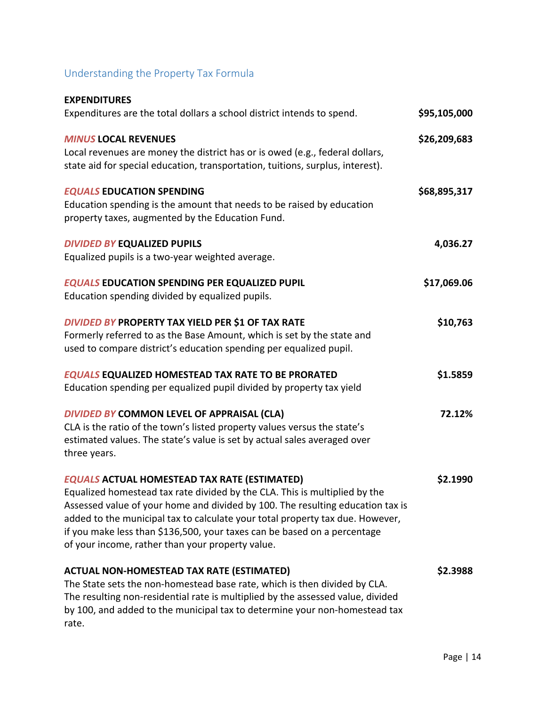# Understanding the Property Tax Formula

| <b>EXPENDITURES</b><br>Expenditures are the total dollars a school district intends to spend.                                                                                                                                                                                                                                                                                                                                        | \$95,105,000 |
|--------------------------------------------------------------------------------------------------------------------------------------------------------------------------------------------------------------------------------------------------------------------------------------------------------------------------------------------------------------------------------------------------------------------------------------|--------------|
| <b>MINUS LOCAL REVENUES</b><br>Local revenues are money the district has or is owed (e.g., federal dollars,<br>state aid for special education, transportation, tuitions, surplus, interest).                                                                                                                                                                                                                                        | \$26,209,683 |
| <b>EQUALS EDUCATION SPENDING</b><br>Education spending is the amount that needs to be raised by education<br>property taxes, augmented by the Education Fund.                                                                                                                                                                                                                                                                        | \$68,895,317 |
| <b>DIVIDED BY EQUALIZED PUPILS</b><br>Equalized pupils is a two-year weighted average.                                                                                                                                                                                                                                                                                                                                               | 4,036.27     |
| <b>EQUALS EDUCATION SPENDING PER EQUALIZED PUPIL</b><br>Education spending divided by equalized pupils.                                                                                                                                                                                                                                                                                                                              | \$17,069.06  |
| <b>DIVIDED BY PROPERTY TAX YIELD PER \$1 OF TAX RATE</b><br>Formerly referred to as the Base Amount, which is set by the state and<br>used to compare district's education spending per equalized pupil.                                                                                                                                                                                                                             | \$10,763     |
| <b>EQUALS EQUALIZED HOMESTEAD TAX RATE TO BE PRORATED</b><br>Education spending per equalized pupil divided by property tax yield                                                                                                                                                                                                                                                                                                    | \$1.5859     |
| DIVIDED BY COMMON LEVEL OF APPRAISAL (CLA)<br>CLA is the ratio of the town's listed property values versus the state's<br>estimated values. The state's value is set by actual sales averaged over<br>three years.                                                                                                                                                                                                                   | 72.12%       |
| <b>EQUALS ACTUAL HOMESTEAD TAX RATE (ESTIMATED)</b><br>Equalized homestead tax rate divided by the CLA. This is multiplied by the<br>Assessed value of your home and divided by 100. The resulting education tax is<br>added to the municipal tax to calculate your total property tax due. However,<br>if you make less than \$136,500, your taxes can be based on a percentage<br>of your income, rather than your property value. | \$2.1990     |
| <b>ACTUAL NON-HOMESTEAD TAX RATE (ESTIMATED)</b><br>The State sets the non-homestead base rate, which is then divided by CLA.<br>The resulting non-residential rate is multiplied by the assessed value, divided<br>by 100, and added to the municipal tax to determine your non-homestead tax<br>rate.                                                                                                                              | \$2.3988     |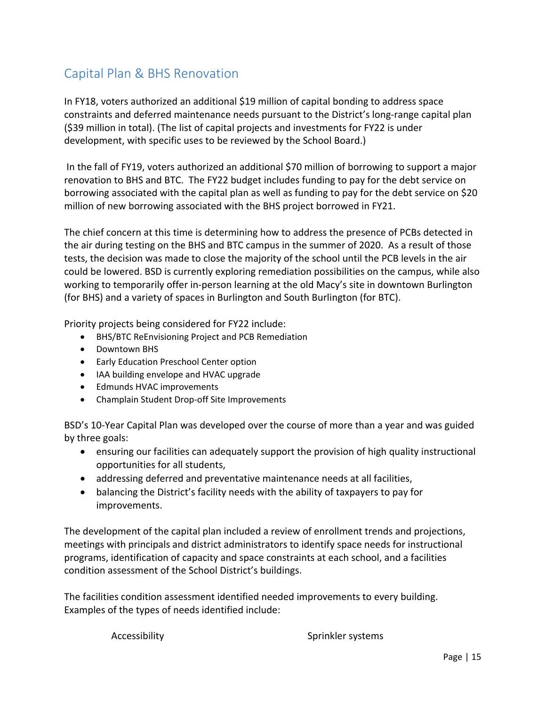## Capital Plan & BHS Renovation

In FY18, voters authorized an additional \$19 million of capital bonding to address space constraints and deferred maintenance needs pursuant to the District's long-range capital plan (\$39 million in total). (The list of capital projects and investments for FY22 is under development, with specific uses to be reviewed by the School Board.)

 In the fall of FY19, voters authorized an additional \$70 million of borrowing to support a major renovation to BHS and BTC. The FY22 budget includes funding to pay for the debt service on borrowing associated with the capital plan as well as funding to pay for the debt service on \$20 million of new borrowing associated with the BHS project borrowed in FY21.

The chief concern at this time is determining how to address the presence of PCBs detected in the air during testing on the BHS and BTC campus in the summer of 2020. As a result of those tests, the decision was made to close the majority of the school until the PCB levels in the air could be lowered. BSD is currently exploring remediation possibilities on the campus, while also working to temporarily offer in‐person learning at the old Macy's site in downtown Burlington (for BHS) and a variety of spaces in Burlington and South Burlington (for BTC).

Priority projects being considered for FY22 include:

- BHS/BTC ReEnvisioning Project and PCB Remediation
- Downtown BHS
- **•** Early Education Preschool Center option
- IAA building envelope and HVAC upgrade
- Edmunds HVAC improvements
- Champlain Student Drop-off Site Improvements

BSD's 10‐Year Capital Plan was developed over the course of more than a year and was guided by three goals:

- ensuring our facilities can adequately support the provision of high quality instructional opportunities for all students,
- addressing deferred and preventative maintenance needs at all facilities,
- balancing the District's facility needs with the ability of taxpayers to pay for improvements.

The development of the capital plan included a review of enrollment trends and projections, meetings with principals and district administrators to identify space needs for instructional programs, identification of capacity and space constraints at each school, and a facilities condition assessment of the School District's buildings.

The facilities condition assessment identified needed improvements to every building. Examples of the types of needs identified include:

Accessibility **Sprinkler** systems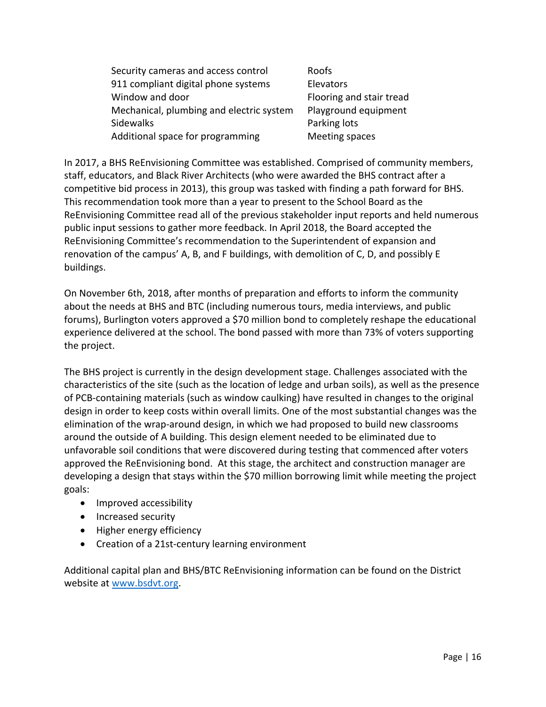| Security cameras and access control      | Roofs                    |
|------------------------------------------|--------------------------|
| 911 compliant digital phone systems      | Elevators                |
| Window and door                          | Flooring and stair tread |
| Mechanical, plumbing and electric system | Playground equipment     |
| <b>Sidewalks</b>                         | Parking lots             |
| Additional space for programming         | Meeting spaces           |

In 2017, a BHS ReEnvisioning Committee was established. Comprised of community members, staff, educators, and Black River Architects (who were awarded the BHS contract after a competitive bid process in 2013), this group was tasked with finding a path forward for BHS. This recommendation took more than a year to present to the School Board as the ReEnvisioning Committee read all of the previous stakeholder input reports and held numerous public input sessions to gather more feedback. In April 2018, the Board accepted the ReEnvisioning Committee's recommendation to the Superintendent of expansion and renovation of the campus' A, B, and F buildings, with demolition of C, D, and possibly E buildings.

On November 6th, 2018, after months of preparation and efforts to inform the community about the needs at BHS and BTC (including numerous tours, media interviews, and public forums), Burlington voters approved a \$70 million bond to completely reshape the educational experience delivered at the school. The bond passed with more than 73% of voters supporting the project.

The BHS project is currently in the design development stage. Challenges associated with the characteristics of the site (such as the location of ledge and urban soils), as well as the presence of PCB‐containing materials (such as window caulking) have resulted in changes to the original design in order to keep costs within overall limits. One of the most substantial changes was the elimination of the wrap‐around design, in which we had proposed to build new classrooms around the outside of A building. This design element needed to be eliminated due to unfavorable soil conditions that were discovered during testing that commenced after voters approved the ReEnvisioning bond. At this stage, the architect and construction manager are developing a design that stays within the \$70 million borrowing limit while meeting the project goals:

- Improved accessibility
- Increased security
- Higher energy efficiency
- Creation of a 21st-century learning environment

Additional capital plan and BHS/BTC ReEnvisioning information can be found on the District website at www.bsdvt.org.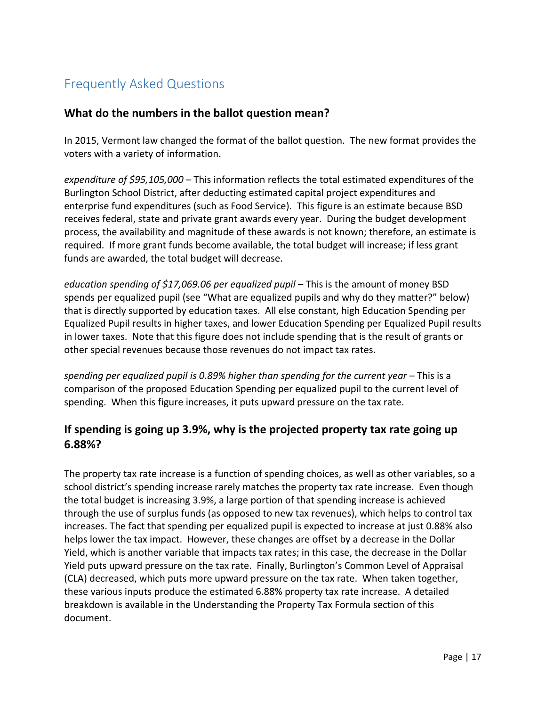# Frequently Asked Questions

## **What do the numbers in the ballot question mean?**

In 2015, Vermont law changed the format of the ballot question. The new format provides the voters with a variety of information.

*expenditure of \$95,105,000* – This information reflects the total estimated expenditures of the Burlington School District, after deducting estimated capital project expenditures and enterprise fund expenditures (such as Food Service). This figure is an estimate because BSD receives federal, state and private grant awards every year. During the budget development process, the availability and magnitude of these awards is not known; therefore, an estimate is required. If more grant funds become available, the total budget will increase; if less grant funds are awarded, the total budget will decrease.

*education spending of \$17,069.06 per equalized pupil* – This is the amount of money BSD spends per equalized pupil (see "What are equalized pupils and why do they matter?" below) that is directly supported by education taxes. All else constant, high Education Spending per Equalized Pupil results in higher taxes, and lower Education Spending per Equalized Pupil results in lower taxes. Note that this figure does not include spending that is the result of grants or other special revenues because those revenues do not impact tax rates.

*spending per equalized pupil is 0.89% higher than spending for the current year* – This is a comparison of the proposed Education Spending per equalized pupil to the current level of spending. When this figure increases, it puts upward pressure on the tax rate.

## **If spending is going up 3.9%, why is the projected property tax rate going up 6.88%?**

The property tax rate increase is a function of spending choices, as well as other variables, so a school district's spending increase rarely matches the property tax rate increase. Even though the total budget is increasing 3.9%, a large portion of that spending increase is achieved through the use of surplus funds (as opposed to new tax revenues), which helps to control tax increases. The fact that spending per equalized pupil is expected to increase at just 0.88% also helps lower the tax impact. However, these changes are offset by a decrease in the Dollar Yield, which is another variable that impacts tax rates; in this case, the decrease in the Dollar Yield puts upward pressure on the tax rate. Finally, Burlington's Common Level of Appraisal (CLA) decreased, which puts more upward pressure on the tax rate. When taken together, these various inputs produce the estimated 6.88% property tax rate increase. A detailed breakdown is available in the Understanding the Property Tax Formula section of this document.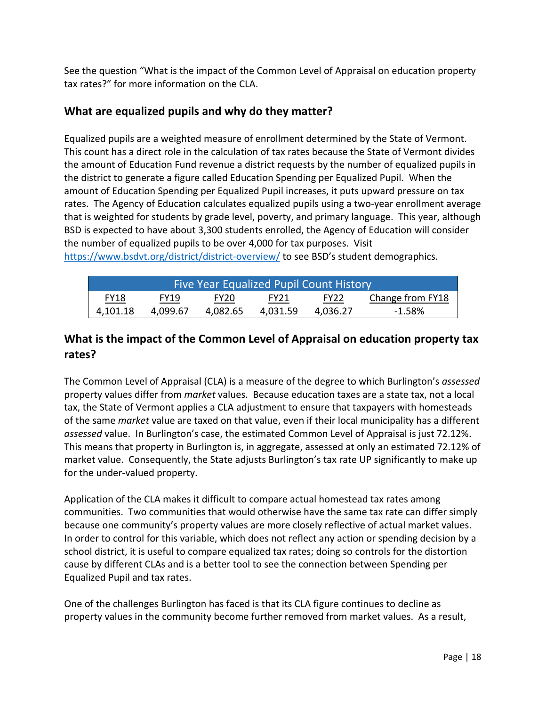See the question "What is the impact of the Common Level of Appraisal on education property tax rates?" for more information on the CLA.

## **What are equalized pupils and why do they matter?**

Equalized pupils are a weighted measure of enrollment determined by the State of Vermont. This count has a direct role in the calculation of tax rates because the State of Vermont divides the amount of Education Fund revenue a district requests by the number of equalized pupils in the district to generate a figure called Education Spending per Equalized Pupil. When the amount of Education Spending per Equalized Pupil increases, it puts upward pressure on tax rates. The Agency of Education calculates equalized pupils using a two-year enrollment average that is weighted for students by grade level, poverty, and primary language. This year, although BSD is expected to have about 3,300 students enrolled, the Agency of Education will consider the number of equalized pupils to be over 4,000 for tax purposes. Visit https://www.bsdvt.org/district/district-overview/ to see BSD's student demographics.

| Five Year Equalized Pupil Count History |             |                  |             |                  |                  |
|-----------------------------------------|-------------|------------------|-------------|------------------|------------------|
| FY18                                    | <b>FY19</b> | FY <sub>20</sub> | <b>FY21</b> | FY <sub>22</sub> | Change from FY18 |
| 4,101.18                                | 4.099.67    | 4.082.65         | 4.031.59    | 4.036.27         | $-1.58\%$        |

## **What is the impact of the Common Level of Appraisal on education property tax rates?**

The Common Level of Appraisal (CLA) is a measure of the degree to which Burlington's *assessed* property values differ from *market* values. Because education taxes are a state tax, not a local tax, the State of Vermont applies a CLA adjustment to ensure that taxpayers with homesteads of the same *market* value are taxed on that value, even if their local municipality has a different *assessed* value. In Burlington's case, the estimated Common Level of Appraisal is just 72.12%. This means that property in Burlington is, in aggregate, assessed at only an estimated 72.12% of market value. Consequently, the State adjusts Burlington's tax rate UP significantly to make up for the under‐valued property.

Application of the CLA makes it difficult to compare actual homestead tax rates among communities. Two communities that would otherwise have the same tax rate can differ simply because one community's property values are more closely reflective of actual market values. In order to control for this variable, which does not reflect any action or spending decision by a school district, it is useful to compare equalized tax rates; doing so controls for the distortion cause by different CLAs and is a better tool to see the connection between Spending per Equalized Pupil and tax rates.

One of the challenges Burlington has faced is that its CLA figure continues to decline as property values in the community become further removed from market values. As a result,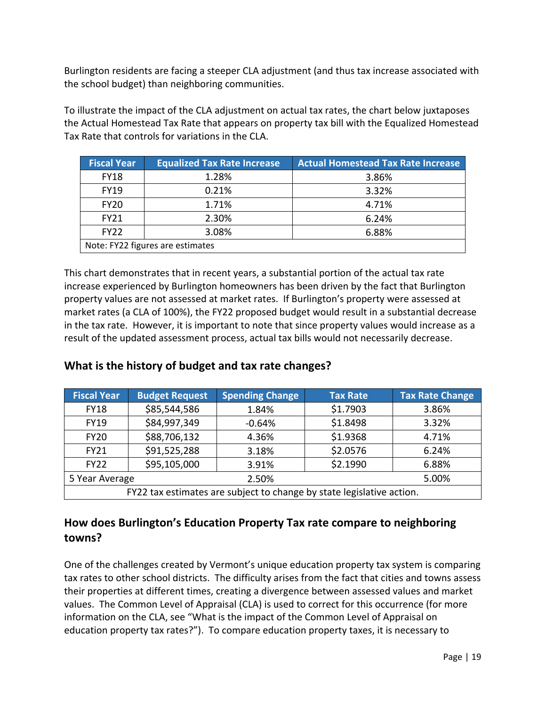Burlington residents are facing a steeper CLA adjustment (and thus tax increase associated with the school budget) than neighboring communities.

To illustrate the impact of the CLA adjustment on actual tax rates, the chart below juxtaposes the Actual Homestead Tax Rate that appears on property tax bill with the Equalized Homestead Tax Rate that controls for variations in the CLA.

| <b>Fiscal Year</b>               | <b>Equalized Tax Rate Increase</b> | <b>Actual Homestead Tax Rate Increase</b> |  |
|----------------------------------|------------------------------------|-------------------------------------------|--|
| <b>FY18</b>                      | 1.28%                              | 3.86%                                     |  |
| <b>FY19</b>                      | 0.21%                              | 3.32%                                     |  |
| <b>FY20</b>                      | 1.71%                              | 4.71%                                     |  |
| <b>FY21</b>                      | 2.30%                              | 6.24%                                     |  |
| <b>FY22</b>                      | 3.08%                              | 6.88%                                     |  |
| Note: FY22 figures are estimates |                                    |                                           |  |

This chart demonstrates that in recent years, a substantial portion of the actual tax rate increase experienced by Burlington homeowners has been driven by the fact that Burlington property values are not assessed at market rates. If Burlington's property were assessed at market rates (a CLA of 100%), the FY22 proposed budget would result in a substantial decrease in the tax rate. However, it is important to note that since property values would increase as a result of the updated assessment process, actual tax bills would not necessarily decrease.

## **What is the history of budget and tax rate changes?**

| <b>Fiscal Year</b>                                                    | <b>Budget Request</b> | <b>Spending Change</b> | <b>Tax Rate</b> | <b>Tax Rate Change</b> |
|-----------------------------------------------------------------------|-----------------------|------------------------|-----------------|------------------------|
| <b>FY18</b>                                                           | \$85,544,586          | 1.84%                  | \$1.7903        | 3.86%                  |
| <b>FY19</b>                                                           | \$84,997,349          | $-0.64%$               | \$1.8498        | 3.32%                  |
| <b>FY20</b>                                                           | \$88,706,132          | 4.36%                  | \$1.9368        | 4.71%                  |
| <b>FY21</b>                                                           | \$91,525,288          | 3.18%                  | \$2.0576        | 6.24%                  |
| <b>FY22</b>                                                           | \$95,105,000          | 3.91%                  | \$2.1990        | 6.88%                  |
| 5 Year Average                                                        |                       | 2.50%                  |                 | 5.00%                  |
| FY22 tax estimates are subject to change by state legislative action. |                       |                        |                 |                        |

## **How does Burlington's Education Property Tax rate compare to neighboring towns?**

One of the challenges created by Vermont's unique education property tax system is comparing tax rates to other school districts. The difficulty arises from the fact that cities and towns assess their properties at different times, creating a divergence between assessed values and market values. The Common Level of Appraisal (CLA) is used to correct for this occurrence (for more information on the CLA, see "What is the impact of the Common Level of Appraisal on education property tax rates?"). To compare education property taxes, it is necessary to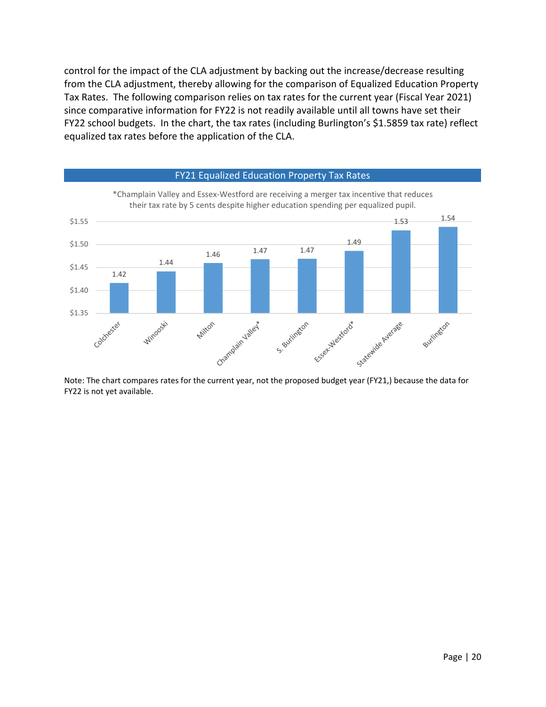control for the impact of the CLA adjustment by backing out the increase/decrease resulting from the CLA adjustment, thereby allowing for the comparison of Equalized Education Property Tax Rates. The following comparison relies on tax rates for the current year (Fiscal Year 2021) since comparative information for FY22 is not readily available until all towns have set their FY22 school budgets. In the chart, the tax rates (including Burlington's \$1.5859 tax rate) reflect equalized tax rates before the application of the CLA.



Note: The chart compares rates for the current year, not the proposed budget year (FY21,) because the data for FY22 is not yet available.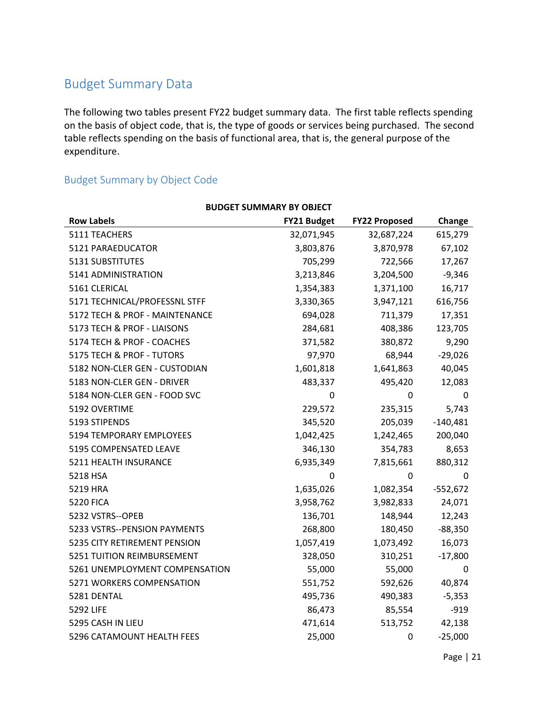## Budget Summary Data

The following two tables present FY22 budget summary data. The first table reflects spending on the basis of object code, that is, the type of goods or services being purchased. The second table reflects spending on the basis of functional area, that is, the general purpose of the expenditure.

## Budget Summary by Object Code

| <b>BUDGET SUMMARY BY OBJECT</b> |                    |                      |            |  |
|---------------------------------|--------------------|----------------------|------------|--|
| <b>Row Labels</b>               | <b>FY21 Budget</b> | <b>FY22 Proposed</b> | Change     |  |
| 5111 TEACHERS                   | 32,071,945         | 32,687,224           | 615,279    |  |
| 5121 PARAEDUCATOR               | 3,803,876          | 3,870,978            | 67,102     |  |
| 5131 SUBSTITUTES                | 705,299            | 722,566              | 17,267     |  |
| 5141 ADMINISTRATION             | 3,213,846          | 3,204,500            | $-9,346$   |  |
| 5161 CLERICAL                   | 1,354,383          | 1,371,100            | 16,717     |  |
| 5171 TECHNICAL/PROFESSNL STFF   | 3,330,365          | 3,947,121            | 616,756    |  |
| 5172 TECH & PROF - MAINTENANCE  | 694,028            | 711,379              | 17,351     |  |
| 5173 TECH & PROF - LIAISONS     | 284,681            | 408,386              | 123,705    |  |
| 5174 TECH & PROF - COACHES      | 371,582            | 380,872              | 9,290      |  |
| 5175 TECH & PROF - TUTORS       | 97,970             | 68,944               | $-29,026$  |  |
| 5182 NON-CLER GEN - CUSTODIAN   | 1,601,818          | 1,641,863            | 40,045     |  |
| 5183 NON-CLER GEN - DRIVER      | 483,337            | 495,420              | 12,083     |  |
| 5184 NON-CLER GEN - FOOD SVC    | 0                  | 0                    | 0          |  |
| 5192 OVERTIME                   | 229,572            | 235,315              | 5,743      |  |
| 5193 STIPENDS                   | 345,520            | 205,039              | $-140,481$ |  |
| 5194 TEMPORARY EMPLOYEES        | 1,042,425          | 1,242,465            | 200,040    |  |
| 5195 COMPENSATED LEAVE          | 346,130            | 354,783              | 8,653      |  |
| 5211 HEALTH INSURANCE           | 6,935,349          | 7,815,661            | 880,312    |  |
| 5218 HSA                        | 0                  | 0                    | 0          |  |
| 5219 HRA                        | 1,635,026          | 1,082,354            | $-552,672$ |  |
| <b>5220 FICA</b>                | 3,958,762          | 3,982,833            | 24,071     |  |
| 5232 VSTRS--OPEB                | 136,701            | 148,944              | 12,243     |  |
| 5233 VSTRS--PENSION PAYMENTS    | 268,800            | 180,450              | $-88,350$  |  |
| 5235 CITY RETIREMENT PENSION    | 1,057,419          | 1,073,492            | 16,073     |  |
| 5251 TUITION REIMBURSEMENT      | 328,050            | 310,251              | $-17,800$  |  |
| 5261 UNEMPLOYMENT COMPENSATION  | 55,000             | 55,000               | 0          |  |
| 5271 WORKERS COMPENSATION       | 551,752            | 592,626              | 40,874     |  |
| 5281 DENTAL                     | 495,736            | 490,383              | $-5,353$   |  |
| <b>5292 LIFE</b>                | 86,473             | 85,554               | $-919$     |  |
| 5295 CASH IN LIEU               | 471,614            | 513,752              | 42,138     |  |
| 5296 CATAMOUNT HEALTH FEES      | 25,000             | 0                    | $-25,000$  |  |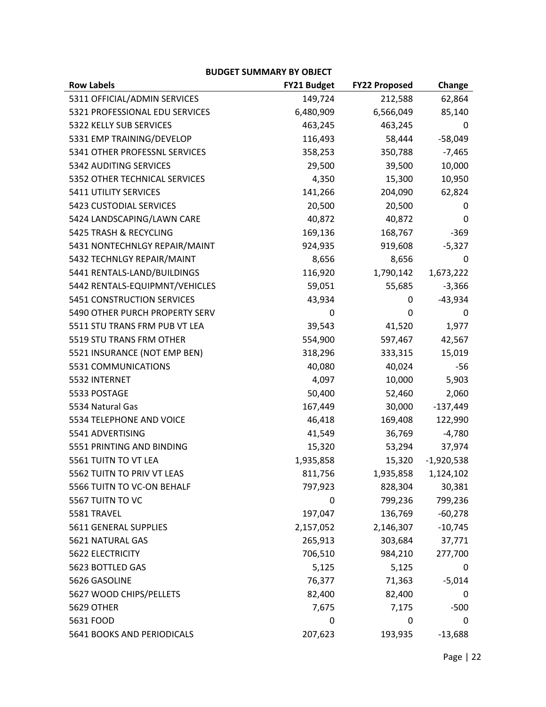#### **BUDGET SUMMARY BY OBJECT**

| <b>Row Labels</b>              | <b>FY21 Budget</b> | <b>FY22 Proposed</b> | Change       |
|--------------------------------|--------------------|----------------------|--------------|
| 5311 OFFICIAL/ADMIN SERVICES   | 149,724            | 212,588              | 62,864       |
| 5321 PROFESSIONAL EDU SERVICES | 6,480,909          | 6,566,049            | 85,140       |
| 5322 KELLY SUB SERVICES        | 463,245            | 463,245              | 0            |
| 5331 EMP TRAINING/DEVELOP      | 116,493            | 58,444               | $-58,049$    |
| 5341 OTHER PROFESSNL SERVICES  | 358,253            | 350,788              | $-7,465$     |
| 5342 AUDITING SERVICES         | 29,500             | 39,500               | 10,000       |
| 5352 OTHER TECHNICAL SERVICES  | 4,350              | 15,300               | 10,950       |
| 5411 UTILITY SERVICES          | 141,266            | 204,090              | 62,824       |
| 5423 CUSTODIAL SERVICES        | 20,500             | 20,500               | 0            |
| 5424 LANDSCAPING/LAWN CARE     | 40,872             | 40,872               | 0            |
| 5425 TRASH & RECYCLING         | 169,136            | 168,767              | $-369$       |
| 5431 NONTECHNLGY REPAIR/MAINT  | 924,935            | 919,608              | $-5,327$     |
| 5432 TECHNLGY REPAIR/MAINT     | 8,656              | 8,656                | 0            |
| 5441 RENTALS-LAND/BUILDINGS    | 116,920            | 1,790,142            | 1,673,222    |
| 5442 RENTALS-EQUIPMNT/VEHICLES | 59,051             | 55,685               | $-3,366$     |
| 5451 CONSTRUCTION SERVICES     | 43,934             | 0                    | $-43,934$    |
| 5490 OTHER PURCH PROPERTY SERV | 0                  | 0                    | 0            |
| 5511 STU TRANS FRM PUB VT LEA  | 39,543             | 41,520               | 1,977        |
| 5519 STU TRANS FRM OTHER       | 554,900            | 597,467              | 42,567       |
| 5521 INSURANCE (NOT EMP BEN)   | 318,296            | 333,315              | 15,019       |
| 5531 COMMUNICATIONS            | 40,080             | 40,024               | $-56$        |
| 5532 INTERNET                  | 4,097              | 10,000               | 5,903        |
| 5533 POSTAGE                   | 50,400             | 52,460               | 2,060        |
| 5534 Natural Gas               | 167,449            | 30,000               | $-137,449$   |
| 5534 TELEPHONE AND VOICE       | 46,418             | 169,408              | 122,990      |
| 5541 ADVERTISING               | 41,549             | 36,769               | $-4,780$     |
| 5551 PRINTING AND BINDING      | 15,320             | 53,294               | 37,974       |
| 5561 TUITN TO VT LEA           | 1,935,858          | 15,320               | $-1,920,538$ |
| 5562 TUITN TO PRIV VT LEAS     | 811,756            | 1,935,858            | 1,124,102    |
| 5566 TUITN TO VC-ON BEHALF     | 797,923            | 828,304              | 30,381       |
| 5567 TUITN TO VC               | 0                  | 799,236              | 799,236      |
| 5581 TRAVEL                    | 197,047            | 136,769              | $-60,278$    |
| 5611 GENERAL SUPPLIES          | 2,157,052          | 2,146,307            | $-10,745$    |
| 5621 NATURAL GAS               | 265,913            | 303,684              | 37,771       |
| 5622 ELECTRICITY               | 706,510            | 984,210              | 277,700      |
| 5623 BOTTLED GAS               | 5,125              | 5,125                | 0            |
| 5626 GASOLINE                  | 76,377             | 71,363               | $-5,014$     |
| 5627 WOOD CHIPS/PELLETS        | 82,400             | 82,400               | 0            |
| <b>5629 OTHER</b>              | 7,675              | 7,175                | $-500$       |
| 5631 FOOD                      | 0                  | 0                    | 0            |
| 5641 BOOKS AND PERIODICALS     | 207,623            | 193,935              | $-13,688$    |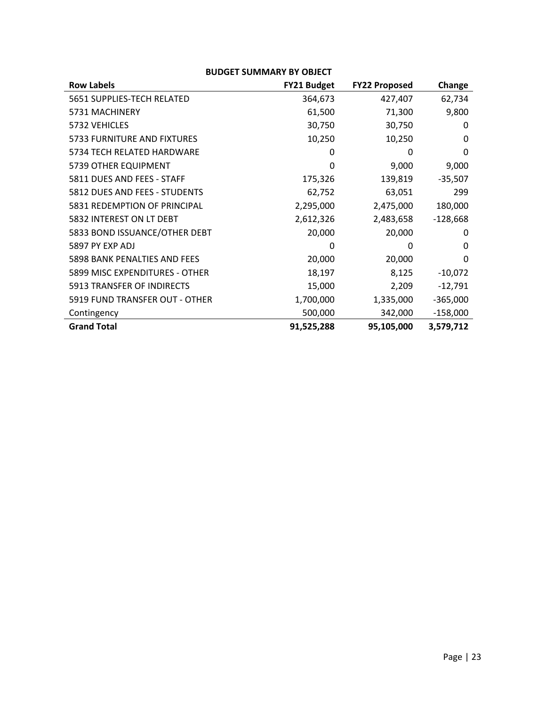| <b>BUDGET SUMMARY BY OBJECT</b> |                    |                      |            |  |
|---------------------------------|--------------------|----------------------|------------|--|
| <b>Row Labels</b>               | <b>FY21 Budget</b> | <b>FY22 Proposed</b> | Change     |  |
| 5651 SUPPLIES-TECH RELATED      | 364,673            | 427,407              | 62,734     |  |
| 5731 MACHINERY                  | 61,500             | 71,300               | 9,800      |  |
| 5732 VEHICLES                   | 30,750             | 30,750               | 0          |  |
| 5733 FURNITURE AND FIXTURES     | 10,250             | 10,250               | 0          |  |
| 5734 TECH RELATED HARDWARE      | 0                  | 0                    | $\Omega$   |  |
| 5739 OTHER EQUIPMENT            | 0                  | 9,000                | 9,000      |  |
| 5811 DUES AND FEES - STAFF      | 175,326            | 139,819              | $-35,507$  |  |
| 5812 DUES AND FEES - STUDENTS   | 62,752             | 63,051               | 299        |  |
| 5831 REDEMPTION OF PRINCIPAL    | 2,295,000          | 2,475,000            | 180,000    |  |
| 5832 INTEREST ON LT DEBT        | 2,612,326          | 2,483,658            | $-128,668$ |  |
| 5833 BOND ISSUANCE/OTHER DEBT   | 20,000             | 20,000               | 0          |  |
| 5897 PY EXP ADJ                 | 0                  | 0                    | 0          |  |
| 5898 BANK PENALTIES AND FEES    | 20,000             | 20,000               | $\Omega$   |  |
| 5899 MISC EXPENDITURES - OTHER  | 18,197             | 8,125                | $-10,072$  |  |
| 5913 TRANSFER OF INDIRECTS      | 15,000             | 2,209                | $-12,791$  |  |
| 5919 FUND TRANSFER OUT - OTHER  | 1,700,000          | 1,335,000            | $-365,000$ |  |
| Contingency                     | 500,000            | 342,000              | $-158,000$ |  |
| <b>Grand Total</b>              | 91,525,288         | 95,105,000           | 3,579,712  |  |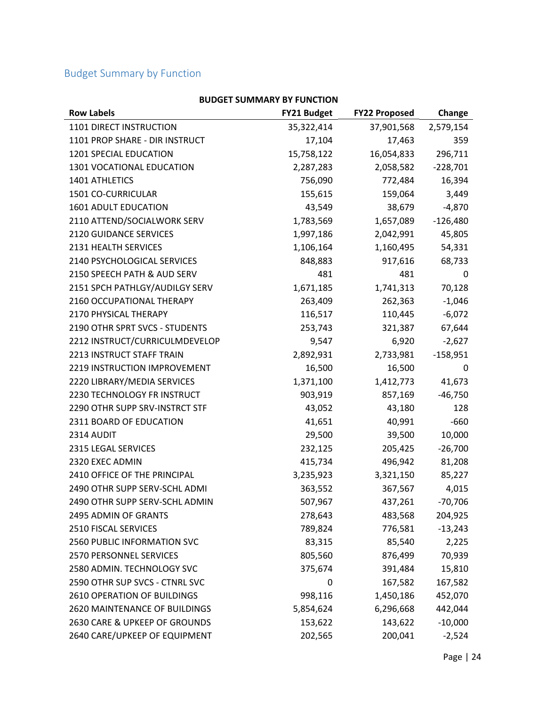## Budget Summary by Function

| <b>BUDGET SUMMARY BY FUNCTION</b> |             |                      |            |
|-----------------------------------|-------------|----------------------|------------|
| <b>Row Labels</b>                 | FY21 Budget | <b>FY22 Proposed</b> | Change     |
| 1101 DIRECT INSTRUCTION           | 35,322,414  | 37,901,568           | 2,579,154  |
| 1101 PROP SHARE - DIR INSTRUCT    | 17,104      | 17,463               | 359        |
| 1201 SPECIAL EDUCATION            | 15,758,122  | 16,054,833           | 296,711    |
| 1301 VOCATIONAL EDUCATION         | 2,287,283   | 2,058,582            | $-228,701$ |
| 1401 ATHLETICS                    | 756,090     | 772,484              | 16,394     |
| 1501 CO-CURRICULAR                | 155,615     | 159,064              | 3,449      |
| 1601 ADULT EDUCATION              | 43,549      | 38,679               | $-4,870$   |
| 2110 ATTEND/SOCIALWORK SERV       | 1,783,569   | 1,657,089            | $-126,480$ |
| 2120 GUIDANCE SERVICES            | 1,997,186   | 2,042,991            | 45,805     |
| 2131 HEALTH SERVICES              | 1,106,164   | 1,160,495            | 54,331     |
| 2140 PSYCHOLOGICAL SERVICES       | 848,883     | 917,616              | 68,733     |
| 2150 SPEECH PATH & AUD SERV       | 481         | 481                  | 0          |
| 2151 SPCH PATHLGY/AUDILGY SERV    | 1,671,185   | 1,741,313            | 70,128     |
| 2160 OCCUPATIONAL THERAPY         | 263,409     | 262,363              | $-1,046$   |
| 2170 PHYSICAL THERAPY             | 116,517     | 110,445              | $-6,072$   |
| 2190 OTHR SPRT SVCS - STUDENTS    | 253,743     | 321,387              | 67,644     |
| 2212 INSTRUCT/CURRICULMDEVELOP    | 9,547       | 6,920                | $-2,627$   |
| 2213 INSTRUCT STAFF TRAIN         | 2,892,931   | 2,733,981            | $-158,951$ |
| 2219 INSTRUCTION IMPROVEMENT      | 16,500      | 16,500               | 0          |
| 2220 LIBRARY/MEDIA SERVICES       | 1,371,100   | 1,412,773            | 41,673     |
| 2230 TECHNOLOGY FR INSTRUCT       | 903,919     | 857,169              | $-46,750$  |
| 2290 OTHR SUPP SRV-INSTRCT STF    | 43,052      | 43,180               | 128        |
| 2311 BOARD OF EDUCATION           | 41,651      | 40,991               | $-660$     |
| 2314 AUDIT                        | 29,500      | 39,500               | 10,000     |
| 2315 LEGAL SERVICES               | 232,125     | 205,425              | $-26,700$  |
| 2320 EXEC ADMIN                   | 415,734     | 496,942              | 81,208     |
| 2410 OFFICE OF THE PRINCIPAL      | 3,235,923   | 3,321,150            | 85,227     |
| 2490 OTHR SUPP SERV-SCHL ADMI     | 363,552     | 367,567              | 4,015      |
| 2490 OTHR SUPP SERV-SCHL ADMIN    | 507,967     | 437,261              | $-70,706$  |
| 2495 ADMIN OF GRANTS              | 278,643     | 483,568              | 204,925    |
| 2510 FISCAL SERVICES              | 789,824     | 776,581              | $-13,243$  |
| 2560 PUBLIC INFORMATION SVC       | 83,315      | 85,540               | 2,225      |
| 2570 PERSONNEL SERVICES           | 805,560     | 876,499              | 70,939     |
| 2580 ADMIN. TECHNOLOGY SVC        | 375,674     | 391,484              | 15,810     |
| 2590 OTHR SUP SVCS - CTNRL SVC    | 0           | 167,582              | 167,582    |
| 2610 OPERATION OF BUILDINGS       | 998,116     | 1,450,186            | 452,070    |
| 2620 MAINTENANCE OF BUILDINGS     | 5,854,624   | 6,296,668            | 442,044    |
| 2630 CARE & UPKEEP OF GROUNDS     | 153,622     | 143,622              | $-10,000$  |
| 2640 CARE/UPKEEP OF EQUIPMENT     | 202,565     | 200,041              | $-2,524$   |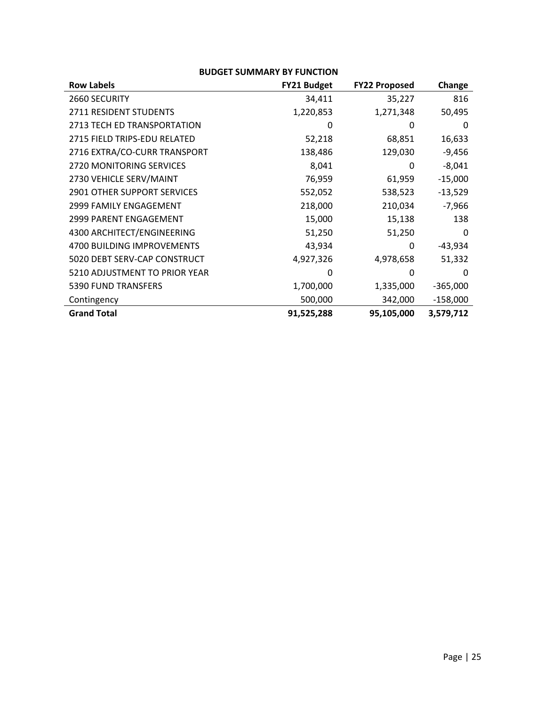| <b>DUDULI SUIVIIVIANI DI FUNCITUN</b> |                    |                      |            |
|---------------------------------------|--------------------|----------------------|------------|
| <b>Row Labels</b>                     | <b>FY21 Budget</b> | <b>FY22 Proposed</b> | Change     |
| 2660 SECURITY                         | 34,411             | 35,227               | 816        |
| 2711 RESIDENT STUDENTS                | 1,220,853          | 1,271,348            | 50,495     |
| 2713 TECH ED TRANSPORTATION           | 0                  | 0                    | 0          |
| 2715 FIELD TRIPS-EDU RELATED          | 52,218             | 68,851               | 16,633     |
| 2716 EXTRA/CO-CURR TRANSPORT          | 138,486            | 129,030              | $-9,456$   |
| <b>2720 MONITORING SERVICES</b>       | 8,041              | 0                    | $-8,041$   |
| 2730 VEHICLE SERV/MAINT               | 76,959             | 61,959               | $-15,000$  |
| <b>2901 OTHER SUPPORT SERVICES</b>    | 552,052            | 538,523              | $-13,529$  |
| 2999 FAMILY ENGAGEMENT                | 218,000            | 210,034              | $-7,966$   |
| <b>2999 PARENT ENGAGEMENT</b>         | 15,000             | 15,138               | 138        |
| 4300 ARCHITECT/ENGINEERING            | 51,250             | 51,250               | 0          |
| <b>4700 BUILDING IMPROVEMENTS</b>     | 43,934             | 0                    | $-43,934$  |
| 5020 DEBT SERV-CAP CONSTRUCT          | 4,927,326          | 4,978,658            | 51,332     |
| 5210 ADJUSTMENT TO PRIOR YEAR         | 0                  | 0                    | 0          |
| 5390 FUND TRANSFERS                   | 1,700,000          | 1,335,000            | $-365,000$ |
| Contingency                           | 500,000            | 342,000              | $-158,000$ |
| <b>Grand Total</b>                    | 91,525,288         | 95,105,000           | 3,579,712  |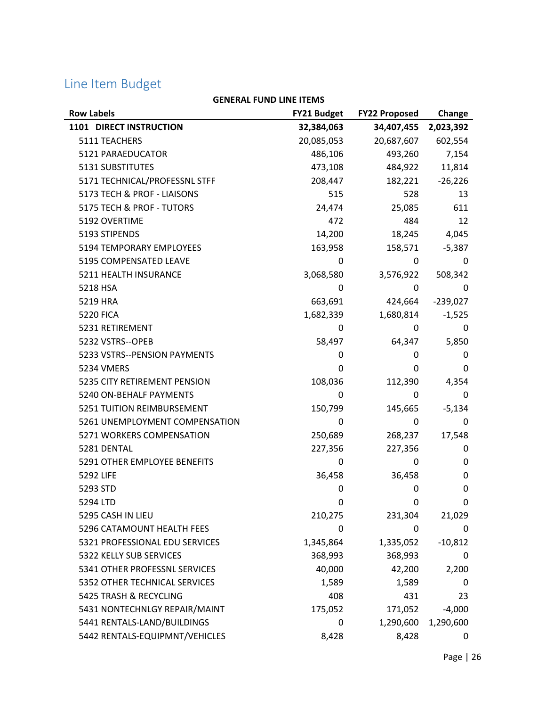# Line Item Budget

| <b>Row Labels</b>              | <b>FY21 Budget</b> | <b>FY22 Proposed</b> | Change      |
|--------------------------------|--------------------|----------------------|-------------|
| 1101 DIRECT INSTRUCTION        | 32,384,063         | 34,407,455           | 2,023,392   |
| 5111 TEACHERS                  | 20,085,053         | 20,687,607           | 602,554     |
| 5121 PARAEDUCATOR              | 486,106            | 493,260              | 7,154       |
| 5131 SUBSTITUTES               | 473,108            | 484,922              | 11,814      |
| 5171 TECHNICAL/PROFESSNL STFF  | 208,447            | 182,221              | $-26,226$   |
| 5173 TECH & PROF - LIAISONS    | 515                | 528                  | 13          |
| 5175 TECH & PROF - TUTORS      | 24,474             | 25,085               | 611         |
| 5192 OVERTIME                  | 472                | 484                  | 12          |
| 5193 STIPENDS                  | 14,200             | 18,245               | 4,045       |
| 5194 TEMPORARY EMPLOYEES       | 163,958            | 158,571              | $-5,387$    |
| 5195 COMPENSATED LEAVE         | 0                  | 0                    | 0           |
| 5211 HEALTH INSURANCE          | 3,068,580          | 3,576,922            | 508,342     |
| 5218 HSA                       | 0                  | 0                    | 0           |
| 5219 HRA                       | 663,691            | 424,664              | $-239,027$  |
| <b>5220 FICA</b>               | 1,682,339          | 1,680,814            | $-1,525$    |
| 5231 RETIREMENT                | 0                  | 0                    | 0           |
| 5232 VSTRS--OPEB               | 58,497             | 64,347               | 5,850       |
| 5233 VSTRS--PENSION PAYMENTS   | 0                  | 0                    | 0           |
| 5234 VMERS                     | 0                  | 0                    | 0           |
| 5235 CITY RETIREMENT PENSION   | 108,036            | 112,390              | 4,354       |
| 5240 ON-BEHALF PAYMENTS        | 0                  | 0                    | 0           |
| 5251 TUITION REIMBURSEMENT     | 150,799            | 145,665              | $-5,134$    |
| 5261 UNEMPLOYMENT COMPENSATION | 0                  | 0                    | 0           |
| 5271 WORKERS COMPENSATION      | 250,689            | 268,237              | 17,548      |
| 5281 DENTAL                    | 227,356            | 227,356              | 0           |
| 5291 OTHER EMPLOYEE BENEFITS   | 0                  | 0                    | 0           |
| <b>5292 LIFE</b>               | 36,458             | 36,458               | 0           |
| 5293 STD                       | 0                  | 0                    | $\mathbf 0$ |
| 5294 LTD                       | 0                  | 0                    | 0           |
| 5295 CASH IN LIEU              | 210,275            | 231,304              | 21,029      |
| 5296 CATAMOUNT HEALTH FEES     | 0                  | 0                    | 0           |
| 5321 PROFESSIONAL EDU SERVICES | 1,345,864          | 1,335,052            | $-10,812$   |
| 5322 KELLY SUB SERVICES        | 368,993            | 368,993              | 0           |
| 5341 OTHER PROFESSNL SERVICES  | 40,000             | 42,200               | 2,200       |
| 5352 OTHER TECHNICAL SERVICES  | 1,589              | 1,589                | 0           |
| 5425 TRASH & RECYCLING         | 408                | 431                  | 23          |
| 5431 NONTECHNLGY REPAIR/MAINT  | 175,052            | 171,052              | $-4,000$    |
| 5441 RENTALS-LAND/BUILDINGS    | 0                  | 1,290,600            | 1,290,600   |
| 5442 RENTALS-EQUIPMNT/VEHICLES | 8,428              | 8,428                | 0           |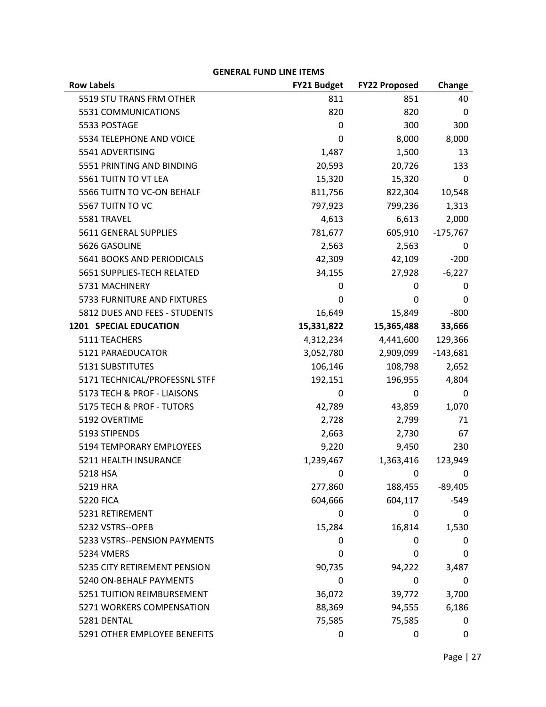| <b>ULIVERAL FUIVD LIIVE II EIVIS</b> |                    |                         |            |
|--------------------------------------|--------------------|-------------------------|------------|
| <b>Row Labels</b>                    | <b>FY21 Budget</b> | <b>FY22 Proposed</b>    | Change     |
| 5519 STU TRANS FRM OTHER             | 811                | 851                     | 40         |
| 5531 COMMUNICATIONS                  | 820                | 820                     | 0          |
| 5533 POSTAGE                         | 0                  | 300                     | 300        |
| 5534 TELEPHONE AND VOICE             | 0                  | 8,000                   | 8,000      |
| 5541 ADVERTISING                     | 1,487              | 1,500                   | 13         |
| 5551 PRINTING AND BINDING            | 20,593             | 20,726                  | 133        |
| 5561 TUITN TO VT LEA                 | 15,320             | 15,320                  | 0          |
| 5566 TUITN TO VC-ON BEHALF           | 811,756            | 822,304                 | 10,548     |
| 5567 TUITN TO VC                     | 797,923            | 799,236                 | 1,313      |
| 5581 TRAVEL                          | 4,613              | 6,613                   | 2,000      |
| 5611 GENERAL SUPPLIES                | 781,677            | 605,910                 | $-175,767$ |
| 5626 GASOLINE                        | 2,563              | 2,563                   | 0          |
| 5641 BOOKS AND PERIODICALS           | 42,309             | 42,109                  | $-200$     |
| 5651 SUPPLIES-TECH RELATED           | 34,155             | 27,928                  | $-6,227$   |
| 5731 MACHINERY                       | 0                  | 0                       | 0          |
| 5733 FURNITURE AND FIXTURES          | 0                  | 0                       | 0          |
| 5812 DUES AND FEES - STUDENTS        | 16,649             | 15,849                  | $-800$     |
| <b>1201 SPECIAL EDUCATION</b>        | 15,331,822         | 15,365,488              | 33,666     |
| 5111 TEACHERS                        | 4,312,234          | 4,441,600               | 129,366    |
| 5121 PARAEDUCATOR                    | 3,052,780          | 2,909,099               | $-143,681$ |
| 5131 SUBSTITUTES                     | 106,146            | 108,798                 | 2,652      |
| 5171 TECHNICAL/PROFESSNL STFF        | 192,151            | 196,955                 | 4,804      |
| 5173 TECH & PROF - LIAISONS          | 0                  | 0                       | 0          |
| 5175 TECH & PROF - TUTORS            | 42,789             | 43,859                  | 1,070      |
| 5192 OVERTIME                        | 2,728              | 2,799                   | 71         |
| 5193 STIPENDS                        | 2,663              | 2,730                   | 67         |
| 5194 TEMPORARY EMPLOYEES             | 9,220              | 9,450                   | 230        |
| 5211 HEALTH INSURANCE                | 1,239,467          | 1,363,416               | 123,949    |
| 5218 HSA                             | - 0                | $\overline{\mathbf{0}}$ | 0          |
| 5219 HRA                             | 277,860            | 188,455                 | $-89,405$  |
| <b>5220 FICA</b>                     | 604,666            | 604,117                 | $-549$     |
| 5231 RETIREMENT                      | 0                  | 0                       | 0          |
| 5232 VSTRS--OPEB                     | 15,284             | 16,814                  | 1,530      |
| 5233 VSTRS--PENSION PAYMENTS         | 0                  | 0                       | 0          |
| 5234 VMERS                           | 0                  | 0                       | 0          |
| 5235 CITY RETIREMENT PENSION         | 90,735             | 94,222                  | 3,487      |
| 5240 ON-BEHALF PAYMENTS              | 0                  | 0                       | 0          |
| 5251 TUITION REIMBURSEMENT           | 36,072             | 39,772                  | 3,700      |
| 5271 WORKERS COMPENSATION            | 88,369             | 94,555                  | 6,186      |
| 5281 DENTAL                          | 75,585             | 75,585                  | 0          |
| 5291 OTHER EMPLOYEE BENEFITS         | 0                  | 0                       | 0          |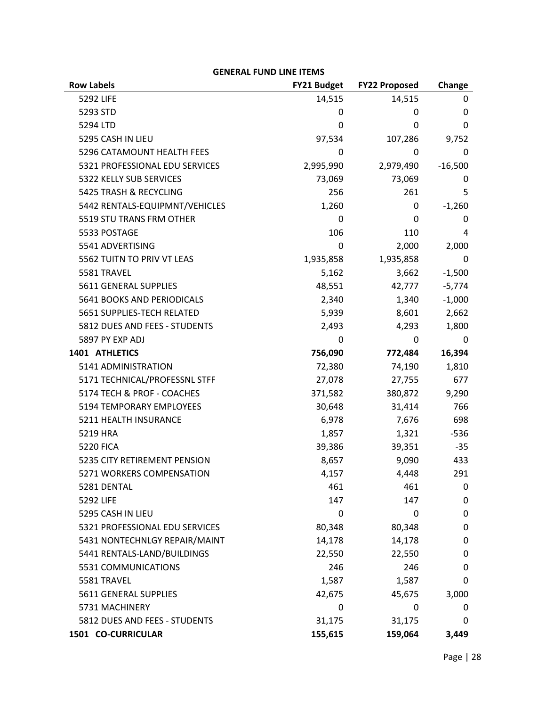| <b>Row Labels</b>              | <b>FY21 Budget</b> | <b>FY22 Proposed</b> | Change    |
|--------------------------------|--------------------|----------------------|-----------|
| 5292 LIFE                      | 14,515             | 14,515               | 0         |
| 5293 STD                       | 0                  | 0                    | 0         |
| 5294 LTD                       | 0                  | 0                    | 0         |
| 5295 CASH IN LIEU              | 97,534             | 107,286              | 9,752     |
| 5296 CATAMOUNT HEALTH FEES     | 0                  | 0                    | 0         |
| 5321 PROFESSIONAL EDU SERVICES | 2,995,990          | 2,979,490            | $-16,500$ |
| 5322 KELLY SUB SERVICES        | 73,069             | 73,069               | 0         |
| 5425 TRASH & RECYCLING         | 256                | 261                  | 5         |
| 5442 RENTALS-EQUIPMNT/VEHICLES | 1,260              | 0                    | $-1,260$  |
| 5519 STU TRANS FRM OTHER       | 0                  | 0                    | 0         |
| 5533 POSTAGE                   | 106                | 110                  | 4         |
| 5541 ADVERTISING               | 0                  | 2,000                | 2,000     |
| 5562 TUITN TO PRIV VT LEAS     | 1,935,858          | 1,935,858            | 0         |
| 5581 TRAVEL                    | 5,162              | 3,662                | $-1,500$  |
| 5611 GENERAL SUPPLIES          | 48,551             | 42,777               | $-5,774$  |
| 5641 BOOKS AND PERIODICALS     | 2,340              | 1,340                | $-1,000$  |
| 5651 SUPPLIES-TECH RELATED     | 5,939              | 8,601                | 2,662     |
| 5812 DUES AND FEES - STUDENTS  | 2,493              | 4,293                | 1,800     |
| 5897 PY EXP ADJ                | 0                  | 0                    | 0         |
| 1401 ATHLETICS                 | 756,090            | 772,484              | 16,394    |
| 5141 ADMINISTRATION            | 72,380             | 74,190               | 1,810     |
| 5171 TECHNICAL/PROFESSNL STFF  | 27,078             | 27,755               | 677       |
| 5174 TECH & PROF - COACHES     | 371,582            | 380,872              | 9,290     |
| 5194 TEMPORARY EMPLOYEES       | 30,648             | 31,414               | 766       |
| 5211 HEALTH INSURANCE          | 6,978              | 7,676                | 698       |
| 5219 HRA                       | 1,857              | 1,321                | $-536$    |
| <b>5220 FICA</b>               | 39,386             | 39,351               | $-35$     |
| 5235 CITY RETIREMENT PENSION   | 8,657              | 9,090                | 433       |
| 5271 WORKERS COMPENSATION      | 4,157              | 4,448                | 291       |
| 5281 DENTAL                    | 461                | 461                  | 0         |
| 5292 LIFE                      | 147                | 147                  | 0         |
| 5295 CASH IN LIEU              | 0                  | 0                    | 0         |
| 5321 PROFESSIONAL EDU SERVICES | 80,348             | 80,348               | 0         |
| 5431 NONTECHNLGY REPAIR/MAINT  | 14,178             | 14,178               | 0         |
| 5441 RENTALS-LAND/BUILDINGS    | 22,550             | 22,550               | 0         |
| 5531 COMMUNICATIONS            | 246                | 246                  | 0         |
| 5581 TRAVEL                    | 1,587              | 1,587                | 0         |
| 5611 GENERAL SUPPLIES          | 42,675             | 45,675               | 3,000     |
| 5731 MACHINERY                 | 0                  | 0                    | 0         |
| 5812 DUES AND FEES - STUDENTS  | 31,175             | 31,175               | 0         |
| 1501 CO-CURRICULAR             | 155,615            | 159,064              | 3,449     |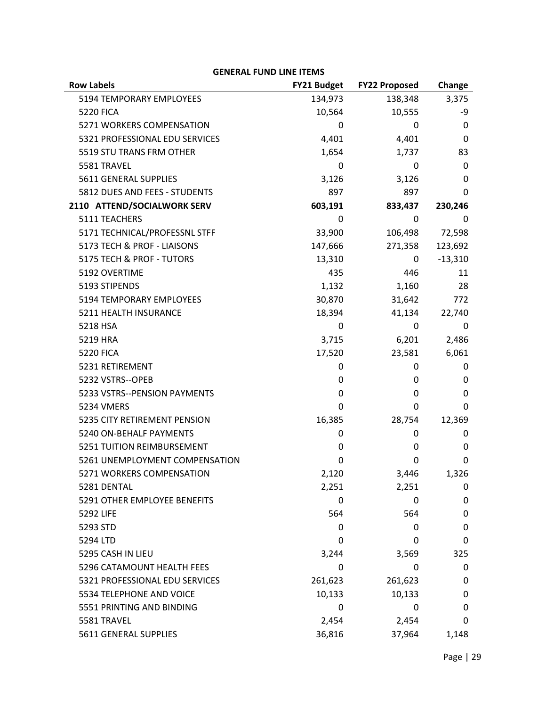| <b>Row Labels</b>              | <b>FY21 Budget</b> | <b>FY22 Proposed</b> | Change    |
|--------------------------------|--------------------|----------------------|-----------|
| 5194 TEMPORARY EMPLOYEES       | 134,973            | 138,348              | 3,375     |
| <b>5220 FICA</b>               | 10,564             | 10,555               | -9        |
| 5271 WORKERS COMPENSATION      | 0                  | 0                    | 0         |
| 5321 PROFESSIONAL EDU SERVICES | 4,401              | 4,401                | 0         |
| 5519 STU TRANS FRM OTHER       | 1,654              | 1,737                | 83        |
| 5581 TRAVEL                    | 0                  | 0                    | 0         |
| 5611 GENERAL SUPPLIES          | 3,126              | 3,126                | 0         |
| 5812 DUES AND FEES - STUDENTS  | 897                | 897                  | 0         |
| 2110 ATTEND/SOCIALWORK SERV    | 603,191            | 833,437              | 230,246   |
| 5111 TEACHERS                  | 0                  | 0                    | 0         |
| 5171 TECHNICAL/PROFESSNL STFF  | 33,900             | 106,498              | 72,598    |
| 5173 TECH & PROF - LIAISONS    | 147,666            | 271,358              | 123,692   |
| 5175 TECH & PROF - TUTORS      | 13,310             | 0                    | $-13,310$ |
| 5192 OVERTIME                  | 435                | 446                  | 11        |
| 5193 STIPENDS                  | 1,132              | 1,160                | 28        |
| 5194 TEMPORARY EMPLOYEES       | 30,870             | 31,642               | 772       |
| 5211 HEALTH INSURANCE          | 18,394             | 41,134               | 22,740    |
| 5218 HSA                       | 0                  | 0                    | 0         |
| 5219 HRA                       | 3,715              | 6,201                | 2,486     |
| <b>5220 FICA</b>               | 17,520             | 23,581               | 6,061     |
| 5231 RETIREMENT                | 0                  | 0                    | 0         |
| 5232 VSTRS--OPEB               | 0                  | 0                    | 0         |
| 5233 VSTRS--PENSION PAYMENTS   | 0                  | 0                    | 0         |
| <b>5234 VMERS</b>              | 0                  | 0                    | $\Omega$  |
| 5235 CITY RETIREMENT PENSION   | 16,385             | 28,754               | 12,369    |
| 5240 ON-BEHALF PAYMENTS        | 0                  | 0                    | 0         |
| 5251 TUITION REIMBURSEMENT     | 0                  | 0                    | 0         |
| 5261 UNEMPLOYMENT COMPENSATION | 0                  | 0                    | 0         |
| 5271 WORKERS COMPENSATION      | 2,120              | 3,446                | 1,326     |
| 5281 DENTAL                    | 2,251              | 2,251                | 0         |
| 5291 OTHER EMPLOYEE BENEFITS   | 0                  | 0                    | 0         |
| 5292 LIFE                      | 564                | 564                  | 0         |
| 5293 STD                       | 0                  | 0                    | 0         |
| 5294 LTD                       | 0                  | 0                    | 0         |
| 5295 CASH IN LIEU              | 3,244              | 3,569                | 325       |
| 5296 CATAMOUNT HEALTH FEES     | 0                  | 0                    | 0         |
| 5321 PROFESSIONAL EDU SERVICES | 261,623            | 261,623              | 0         |
| 5534 TELEPHONE AND VOICE       | 10,133             | 10,133               | 0         |
| 5551 PRINTING AND BINDING      | 0                  | 0                    | 0         |
| 5581 TRAVEL                    | 2,454              | 2,454                | 0         |
| 5611 GENERAL SUPPLIES          | 36,816             | 37,964               | 1,148     |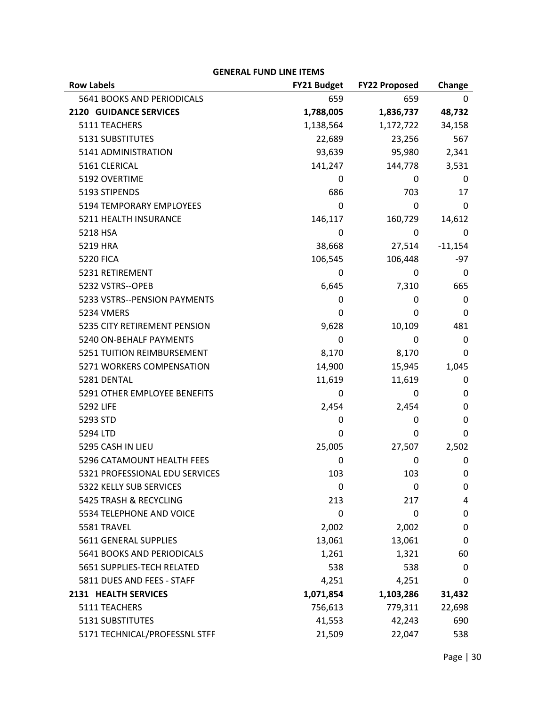| <b>Row Labels</b>                 | <b>FY21 Budget</b> | <b>FY22 Proposed</b> | Change    |
|-----------------------------------|--------------------|----------------------|-----------|
| 5641 BOOKS AND PERIODICALS        | 659                | 659                  | 0         |
| <b>2120 GUIDANCE SERVICES</b>     | 1,788,005          | 1,836,737            | 48,732    |
| 5111 TEACHERS                     | 1,138,564          | 1,172,722            | 34,158    |
| 5131 SUBSTITUTES                  | 22,689             | 23,256               | 567       |
| 5141 ADMINISTRATION               | 93,639             | 95,980               | 2,341     |
| 5161 CLERICAL                     | 141,247            | 144,778              | 3,531     |
| 5192 OVERTIME                     | 0                  | 0                    | 0         |
| 5193 STIPENDS                     | 686                | 703                  | 17        |
| 5194 TEMPORARY EMPLOYEES          | 0                  | 0                    | 0         |
| 5211 HEALTH INSURANCE             | 146,117            | 160,729              | 14,612    |
| 5218 HSA                          | 0                  | 0                    | 0         |
| 5219 HRA                          | 38,668             | 27,514               | $-11,154$ |
| <b>5220 FICA</b>                  | 106,545            | 106,448              | -97       |
| 5231 RETIREMENT                   | 0                  | 0                    | 0         |
| 5232 VSTRS--OPEB                  | 6,645              | 7,310                | 665       |
| 5233 VSTRS--PENSION PAYMENTS      | 0                  | 0                    | 0         |
| <b>5234 VMERS</b>                 | 0                  | 0                    | 0         |
| 5235 CITY RETIREMENT PENSION      | 9,628              | 10,109               | 481       |
| 5240 ON-BEHALF PAYMENTS           | 0                  | 0                    | 0         |
| 5251 TUITION REIMBURSEMENT        | 8,170              | 8,170                | 0         |
| 5271 WORKERS COMPENSATION         | 14,900             | 15,945               | 1,045     |
| 5281 DENTAL                       | 11,619             | 11,619               | 0         |
| 5291 OTHER EMPLOYEE BENEFITS      | 0                  | 0                    | 0         |
| 5292 LIFE                         | 2,454              | 2,454                | 0         |
| 5293 STD                          | 0                  | 0                    | 0         |
| 5294 LTD                          | 0                  | 0                    | 0         |
| 5295 CASH IN LIEU                 | 25,005             | 27,507               | 2,502     |
| 5296 CATAMOUNT HEALTH FEES        | 0                  | 0                    | 0         |
| 5321 PROFESSIONAL EDU SERVICES    | 103                | 103                  | 0         |
| 5322 KELLY SUB SERVICES           | 0                  | 0                    | 0         |
| 5425 TRASH & RECYCLING            | 213                | 217                  | 4         |
| 5534 TELEPHONE AND VOICE          | 0                  | 0                    | 0         |
| 5581 TRAVEL                       | 2,002              | 2,002                | 0         |
| 5611 GENERAL SUPPLIES             | 13,061             | 13,061               | 0         |
| <b>5641 BOOKS AND PERIODICALS</b> | 1,261              | 1,321                | 60        |
| 5651 SUPPLIES-TECH RELATED        | 538                | 538                  | 0         |
| 5811 DUES AND FEES - STAFF        | 4,251              | 4,251                | 0         |
| 2131 HEALTH SERVICES              | 1,071,854          | 1,103,286            | 31,432    |
| 5111 TEACHERS                     | 756,613            | 779,311              | 22,698    |
| 5131 SUBSTITUTES                  | 41,553             | 42,243               | 690       |
| 5171 TECHNICAL/PROFESSNL STFF     | 21,509             | 22,047               | 538       |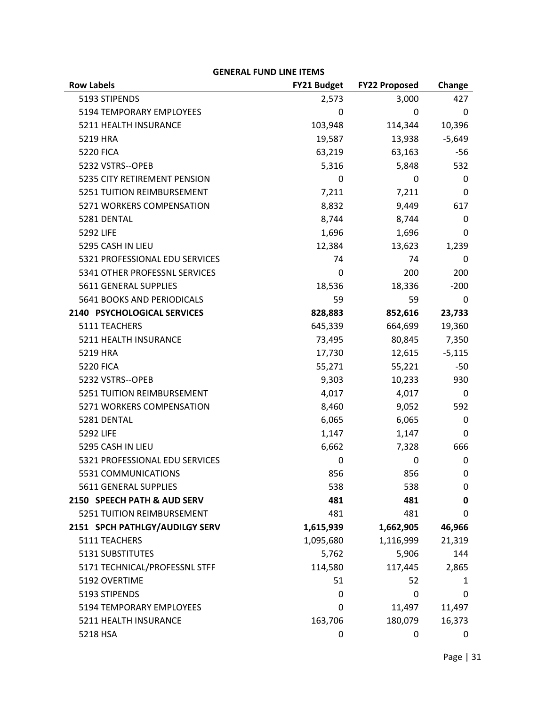| <b>Row Labels</b>              | <b>FY21 Budget</b> | <b>FY22 Proposed</b> | Change   |
|--------------------------------|--------------------|----------------------|----------|
| 5193 STIPENDS                  | 2,573              | 3,000                | 427      |
| 5194 TEMPORARY EMPLOYEES       | 0                  | 0                    | 0        |
| 5211 HEALTH INSURANCE          | 103,948            | 114,344              | 10,396   |
| 5219 HRA                       | 19,587             | 13,938               | $-5,649$ |
| <b>5220 FICA</b>               | 63,219             | 63,163               | -56      |
| 5232 VSTRS--OPEB               | 5,316              | 5,848                | 532      |
| 5235 CITY RETIREMENT PENSION   | 0                  | 0                    | 0        |
| 5251 TUITION REIMBURSEMENT     | 7,211              | 7,211                | 0        |
| 5271 WORKERS COMPENSATION      | 8,832              | 9,449                | 617      |
| 5281 DENTAL                    | 8,744              | 8,744                | 0        |
| 5292 LIFE                      | 1,696              | 1,696                | 0        |
| 5295 CASH IN LIEU              | 12,384             | 13,623               | 1,239    |
| 5321 PROFESSIONAL EDU SERVICES | 74                 | 74                   | 0        |
| 5341 OTHER PROFESSNL SERVICES  | 0                  | 200                  | 200      |
| 5611 GENERAL SUPPLIES          | 18,536             | 18,336               | $-200$   |
| 5641 BOOKS AND PERIODICALS     | 59                 | 59                   | 0        |
| 2140 PSYCHOLOGICAL SERVICES    | 828,883            | 852,616              | 23,733   |
| 5111 TEACHERS                  | 645,339            | 664,699              | 19,360   |
| 5211 HEALTH INSURANCE          | 73,495             | 80,845               | 7,350    |
| 5219 HRA                       | 17,730             | 12,615               | $-5,115$ |
| <b>5220 FICA</b>               | 55,271             | 55,221               | -50      |
| 5232 VSTRS--OPEB               | 9,303              | 10,233               | 930      |
| 5251 TUITION REIMBURSEMENT     | 4,017              | 4,017                | 0        |
| 5271 WORKERS COMPENSATION      | 8,460              | 9,052                | 592      |
| 5281 DENTAL                    | 6,065              | 6,065                | 0        |
| 5292 LIFE                      | 1,147              | 1,147                | 0        |
| 5295 CASH IN LIEU              | 6,662              | 7,328                | 666      |
| 5321 PROFESSIONAL EDU SERVICES | 0                  | 0                    | 0        |
| 5531 COMMUNICATIONS            | 856                | 856                  | 0        |
| 5611 GENERAL SUPPLIES          | 538                | 538                  | 0        |
| 2150 SPEECH PATH & AUD SERV    | 481                | 481                  | 0        |
| 5251 TUITION REIMBURSEMENT     | 481                | 481                  | 0        |
| 2151 SPCH PATHLGY/AUDILGY SERV | 1,615,939          | 1,662,905            | 46,966   |
| 5111 TEACHERS                  | 1,095,680          | 1,116,999            | 21,319   |
| 5131 SUBSTITUTES               | 5,762              | 5,906                | 144      |
| 5171 TECHNICAL/PROFESSNL STFF  | 114,580            | 117,445              | 2,865    |
| 5192 OVERTIME                  | 51                 | 52                   | 1        |
| 5193 STIPENDS                  | 0                  | 0                    | 0        |
| 5194 TEMPORARY EMPLOYEES       | 0                  | 11,497               | 11,497   |
| 5211 HEALTH INSURANCE          | 163,706            | 180,079              | 16,373   |
| 5218 HSA                       | 0                  | 0                    | 0        |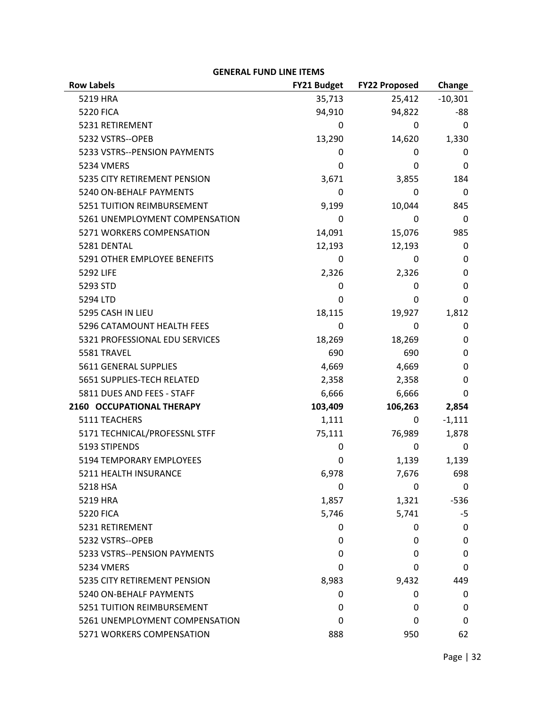| <b>Row Labels</b>              | <b>FY21 Budget</b> | <b>FY22 Proposed</b> | Change       |
|--------------------------------|--------------------|----------------------|--------------|
| 5219 HRA                       | 35,713             | 25,412               | $-10,301$    |
| <b>5220 FICA</b>               | 94,910             | 94,822               | -88          |
| 5231 RETIREMENT                | 0                  | 0                    | 0            |
| 5232 VSTRS--OPEB               | 13,290             | 14,620               | 1,330        |
| 5233 VSTRS--PENSION PAYMENTS   | 0                  | 0                    | 0            |
| <b>5234 VMERS</b>              | 0                  | 0                    | 0            |
| 5235 CITY RETIREMENT PENSION   | 3,671              | 3,855                | 184          |
| 5240 ON-BEHALF PAYMENTS        | 0                  | 0                    | 0            |
| 5251 TUITION REIMBURSEMENT     | 9,199              | 10,044               | 845          |
| 5261 UNEMPLOYMENT COMPENSATION | 0                  | 0                    | 0            |
| 5271 WORKERS COMPENSATION      | 14,091             | 15,076               | 985          |
| 5281 DENTAL                    | 12,193             | 12,193               | 0            |
| 5291 OTHER EMPLOYEE BENEFITS   | 0                  | 0                    | 0            |
| 5292 LIFE                      | 2,326              | 2,326                | 0            |
| 5293 STD                       | 0                  | 0                    | 0            |
| 5294 LTD                       | 0                  | 0                    | $\mathbf{0}$ |
| 5295 CASH IN LIEU              | 18,115             | 19,927               | 1,812        |
| 5296 CATAMOUNT HEALTH FEES     | 0                  | 0                    | 0            |
| 5321 PROFESSIONAL EDU SERVICES | 18,269             | 18,269               | 0            |
| 5581 TRAVEL                    | 690                | 690                  | 0            |
| 5611 GENERAL SUPPLIES          | 4,669              | 4,669                | 0            |
| 5651 SUPPLIES-TECH RELATED     | 2,358              | 2,358                | 0            |
| 5811 DUES AND FEES - STAFF     | 6,666              | 6,666                | 0            |
| 2160 OCCUPATIONAL THERAPY      | 103,409            | 106,263              | 2,854        |
| 5111 TEACHERS                  | 1,111              | 0                    | $-1,111$     |
| 5171 TECHNICAL/PROFESSNL STFF  | 75,111             | 76,989               | 1,878        |
| 5193 STIPENDS                  | 0                  | 0                    | 0            |
| 5194 TEMPORARY EMPLOYEES       | 0                  | 1,139                | 1,139        |
| 5211 HEALTH INSURANCE          | 6,978              | 7,676                | 698          |
| 5218 HSA                       | 0                  | 0                    | 0            |
| 5219 HRA                       | 1,857              | 1,321                | $-536$       |
| <b>5220 FICA</b>               | 5,746              | 5,741                | -5           |
| 5231 RETIREMENT                | 0                  | 0                    | 0            |
| 5232 VSTRS--OPEB               | 0                  | 0                    | 0            |
| 5233 VSTRS--PENSION PAYMENTS   | 0                  | 0                    | 0            |
| <b>5234 VMERS</b>              | 0                  | 0                    | 0            |
| 5235 CITY RETIREMENT PENSION   | 8,983              | 9,432                | 449          |
| 5240 ON-BEHALF PAYMENTS        | 0                  | 0                    | 0            |
| 5251 TUITION REIMBURSEMENT     | 0                  | 0                    | 0            |
| 5261 UNEMPLOYMENT COMPENSATION | 0                  | 0                    | 0            |
| 5271 WORKERS COMPENSATION      | 888                | 950                  | 62           |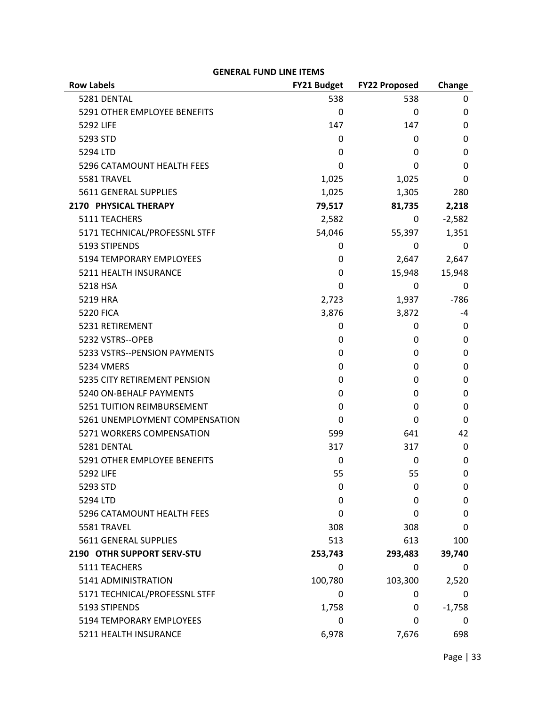| <b>Row Labels</b>               | <b>FY21 Budget</b> | <b>FY22 Proposed</b> | Change   |
|---------------------------------|--------------------|----------------------|----------|
| 5281 DENTAL                     | 538                | 538                  | 0        |
| 5291 OTHER EMPLOYEE BENEFITS    | 0                  | 0                    | 0        |
| <b>5292 LIFE</b>                | 147                | 147                  | 0        |
| 5293 STD                        | 0                  | 0                    | 0        |
| 5294 LTD                        | 0                  | 0                    | 0        |
| 5296 CATAMOUNT HEALTH FEES      | 0                  | 0                    | 0        |
| 5581 TRAVEL                     | 1,025              | 1,025                | 0        |
| 5611 GENERAL SUPPLIES           | 1,025              | 1,305                | 280      |
| 2170 PHYSICAL THERAPY           | 79,517             | 81,735               | 2,218    |
| 5111 TEACHERS                   | 2,582              | 0                    | $-2,582$ |
| 5171 TECHNICAL/PROFESSNL STFF   | 54,046             | 55,397               | 1,351    |
| 5193 STIPENDS                   | 0                  | 0                    | 0        |
| <b>5194 TEMPORARY EMPLOYEES</b> | 0                  | 2,647                | 2,647    |
| 5211 HEALTH INSURANCE           | 0                  | 15,948               | 15,948   |
| 5218 HSA                        | 0                  | 0                    | 0        |
| 5219 HRA                        | 2,723              | 1,937                | $-786$   |
| <b>5220 FICA</b>                | 3,876              | 3,872                | -4       |
| 5231 RETIREMENT                 | 0                  | 0                    | 0        |
| 5232 VSTRS--OPEB                | 0                  | 0                    | 0        |
| 5233 VSTRS--PENSION PAYMENTS    | 0                  | 0                    | 0        |
| <b>5234 VMERS</b>               | 0                  | 0                    | 0        |
| 5235 CITY RETIREMENT PENSION    | 0                  | 0                    | 0        |
| 5240 ON-BEHALF PAYMENTS         | 0                  | 0                    | 0        |
| 5251 TUITION REIMBURSEMENT      | 0                  | 0                    | 0        |
| 5261 UNEMPLOYMENT COMPENSATION  | 0                  | 0                    | 0        |
| 5271 WORKERS COMPENSATION       | 599                | 641                  | 42       |
| 5281 DENTAL                     | 317                | 317                  | 0        |
| 5291 OTHER EMPLOYEE BENEFITS    | 0                  | 0                    | 0        |
| 5292 LIFE                       | 55                 | 55                   | 0        |
| 5293 STD                        | 0                  | 0                    | 0        |
| 5294 LTD                        | 0                  | 0                    | 0        |
| 5296 CATAMOUNT HEALTH FEES      | 0                  | 0                    | 0        |
| 5581 TRAVEL                     | 308                | 308                  | 0        |
| 5611 GENERAL SUPPLIES           | 513                | 613                  | 100      |
| 2190 OTHR SUPPORT SERV-STU      | 253,743            | 293,483              | 39,740   |
| 5111 TEACHERS                   | 0                  | 0                    | 0        |
| 5141 ADMINISTRATION             | 100,780            | 103,300              | 2,520    |
| 5171 TECHNICAL/PROFESSNL STFF   | 0                  | 0                    | 0        |
| 5193 STIPENDS                   | 1,758              | 0                    | $-1,758$ |
| 5194 TEMPORARY EMPLOYEES        | 0                  | 0                    | 0        |
| 5211 HEALTH INSURANCE           | 6,978              | 7,676                | 698      |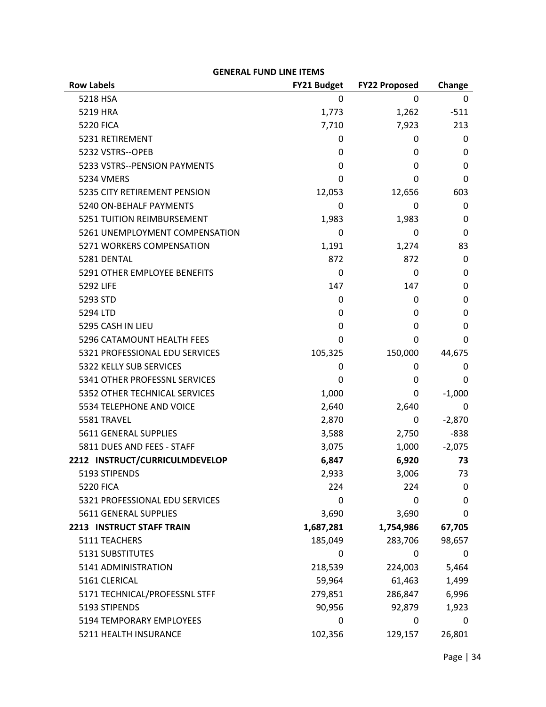| <b>Row Labels</b>              | FY21 Budget | <b>FY22 Proposed</b> | Change   |
|--------------------------------|-------------|----------------------|----------|
| 5218 HSA                       | 0           | 0                    | 0        |
| 5219 HRA                       | 1,773       | 1,262                | $-511$   |
| <b>5220 FICA</b>               | 7,710       | 7,923                | 213      |
| 5231 RETIREMENT                | 0           | 0                    | 0        |
| 5232 VSTRS--OPEB               | 0           | 0                    | 0        |
| 5233 VSTRS--PENSION PAYMENTS   | 0           | 0                    | 0        |
| 5234 VMERS                     | 0           | 0                    | 0        |
| 5235 CITY RETIREMENT PENSION   | 12,053      | 12,656               | 603      |
| 5240 ON-BEHALF PAYMENTS        | 0           | 0                    | 0        |
| 5251 TUITION REIMBURSEMENT     | 1,983       | 1,983                | 0        |
| 5261 UNEMPLOYMENT COMPENSATION | 0           | 0                    | 0        |
| 5271 WORKERS COMPENSATION      | 1,191       | 1,274                | 83       |
| 5281 DENTAL                    | 872         | 872                  | 0        |
| 5291 OTHER EMPLOYEE BENEFITS   | 0           | 0                    | 0        |
| 5292 LIFE                      | 147         | 147                  | 0        |
| 5293 STD                       | 0           | 0                    | 0        |
| 5294 LTD                       | 0           | 0                    | 0        |
| 5295 CASH IN LIEU              | 0           | 0                    | 0        |
| 5296 CATAMOUNT HEALTH FEES     | 0           | 0                    | 0        |
| 5321 PROFESSIONAL EDU SERVICES | 105,325     | 150,000              | 44,675   |
| 5322 KELLY SUB SERVICES        | 0           | 0                    | 0        |
| 5341 OTHER PROFESSNL SERVICES  | 0           | 0                    | 0        |
| 5352 OTHER TECHNICAL SERVICES  | 1,000       | 0                    | $-1,000$ |
| 5534 TELEPHONE AND VOICE       | 2,640       | 2,640                | 0        |
| 5581 TRAVEL                    | 2,870       | 0                    | $-2,870$ |
| 5611 GENERAL SUPPLIES          | 3,588       | 2,750                | $-838$   |
| 5811 DUES AND FEES - STAFF     | 3,075       | 1,000                | $-2,075$ |
| 2212 INSTRUCT/CURRICULMDEVELOP | 6,847       | 6,920                | 73       |
| 5193 STIPENDS                  | 2,933       | 3,006                | 73       |
| <b>5220 FICA</b>               | 224         | 224                  | 0        |
| 5321 PROFESSIONAL EDU SERVICES | 0           | 0                    | 0        |
| 5611 GENERAL SUPPLIES          | 3,690       | 3,690                | 0        |
| 2213 INSTRUCT STAFF TRAIN      | 1,687,281   | 1,754,986            | 67,705   |
| 5111 TEACHERS                  | 185,049     | 283,706              | 98,657   |
| 5131 SUBSTITUTES               | 0           | 0                    | 0        |
| 5141 ADMINISTRATION            | 218,539     | 224,003              | 5,464    |
| 5161 CLERICAL                  | 59,964      | 61,463               | 1,499    |
| 5171 TECHNICAL/PROFESSNL STFF  | 279,851     | 286,847              | 6,996    |
| 5193 STIPENDS                  | 90,956      | 92,879               | 1,923    |
| 5194 TEMPORARY EMPLOYEES       | 0           | 0                    | 0        |
| 5211 HEALTH INSURANCE          | 102,356     | 129,157              | 26,801   |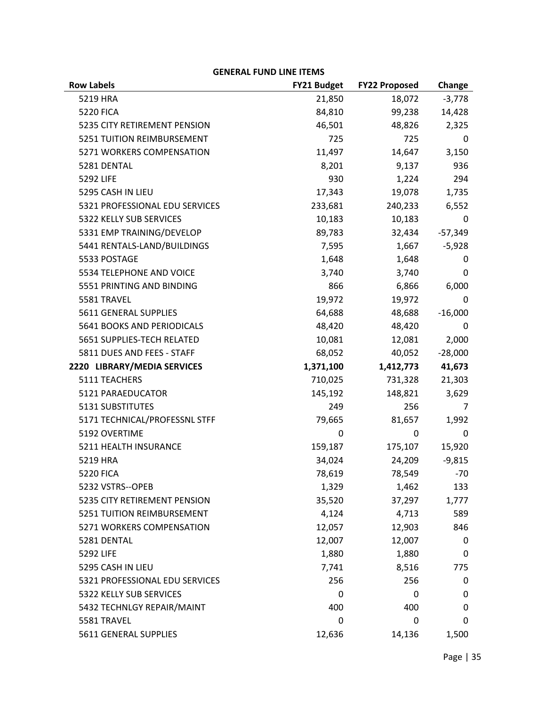| Change<br>$-3,778$<br>5219 HRA<br>21,850<br>18,072<br>84,810<br>14,428<br><b>5220 FICA</b><br>99,238<br>46,501<br>2,325<br>5235 CITY RETIREMENT PENSION<br>48,826<br>5251 TUITION REIMBURSEMENT<br>725<br>725<br>0<br>5271 WORKERS COMPENSATION<br>11,497<br>14,647<br>3,150<br>936<br>5281 DENTAL<br>8,201<br>9,137<br>930<br>294<br>5292 LIFE<br>1,224<br>5295 CASH IN LIEU<br>17,343<br>19,078<br>1,735<br>5321 PROFESSIONAL EDU SERVICES<br>233,681<br>240,233<br>6,552<br>5322 KELLY SUB SERVICES<br>10,183<br>10,183<br>0<br>5331 EMP TRAINING/DEVELOP<br>89,783<br>32,434<br>$-57,349$<br>5441 RENTALS-LAND/BUILDINGS<br>$-5,928$<br>7,595<br>1,667<br>5533 POSTAGE<br>1,648<br>1,648<br>0<br>3,740<br>5534 TELEPHONE AND VOICE<br>3,740<br>0<br>866<br>5551 PRINTING AND BINDING<br>6,866<br>6,000<br>5581 TRAVEL<br>19,972<br>19,972<br>0<br>5611 GENERAL SUPPLIES<br>64,688<br>48,688<br>$-16,000$<br>48,420<br>48,420<br>5641 BOOKS AND PERIODICALS<br>0<br>10,081<br>2,000<br>5651 SUPPLIES-TECH RELATED<br>12,081<br>5811 DUES AND FEES - STAFF<br>68,052<br>$-28,000$<br>40,052<br>2220 LIBRARY/MEDIA SERVICES<br>41,673<br>1,371,100<br>1,412,773<br>5111 TEACHERS<br>710,025<br>731,328<br>21,303<br>5121 PARAEDUCATOR<br>145,192<br>148,821<br>3,629<br>5131 SUBSTITUTES<br>256<br>249<br>7<br>5171 TECHNICAL/PROFESSNL STFF<br>79,665<br>81,657<br>1,992<br>5192 OVERTIME<br>0<br>0<br>0<br>5211 HEALTH INSURANCE<br>175,107<br>15,920<br>159,187<br>34,024<br>5219 HRA<br>24,209<br>$-9,815$<br>78,619<br>78,549<br>$-70$<br><b>5220 FICA</b><br>5232 VSTRS--OPEB<br>133<br>1,329<br>1,462<br>5235 CITY RETIREMENT PENSION<br>35,520<br>37,297<br>1,777<br>5251 TUITION REIMBURSEMENT<br>4,124<br>4,713<br>589<br>5271 WORKERS COMPENSATION<br>12,057<br>12,903<br>846<br>12,007<br>5281 DENTAL<br>12,007<br>0<br>5292 LIFE<br>1,880<br>1,880<br>0<br>5295 CASH IN LIEU<br>8,516<br>7,741<br>775<br>5321 PROFESSIONAL EDU SERVICES<br>256<br>256<br>0<br>5322 KELLY SUB SERVICES<br>0<br>0<br>0<br>5432 TECHNLGY REPAIR/MAINT<br>400<br>400<br>0<br>5581 TRAVEL<br>0<br>0<br>0 | LIVLIVAL I UND LIIVL II LIVIJ |             |                      |       |
|---------------------------------------------------------------------------------------------------------------------------------------------------------------------------------------------------------------------------------------------------------------------------------------------------------------------------------------------------------------------------------------------------------------------------------------------------------------------------------------------------------------------------------------------------------------------------------------------------------------------------------------------------------------------------------------------------------------------------------------------------------------------------------------------------------------------------------------------------------------------------------------------------------------------------------------------------------------------------------------------------------------------------------------------------------------------------------------------------------------------------------------------------------------------------------------------------------------------------------------------------------------------------------------------------------------------------------------------------------------------------------------------------------------------------------------------------------------------------------------------------------------------------------------------------------------------------------------------------------------------------------------------------------------------------------------------------------------------------------------------------------------------------------------------------------------------------------------------------------------------------------------------------------------------------------------------------------------------------------------------------------------------------------------------------------------------------------------------------|-------------------------------|-------------|----------------------|-------|
|                                                                                                                                                                                                                                                                                                                                                                                                                                                                                                                                                                                                                                                                                                                                                                                                                                                                                                                                                                                                                                                                                                                                                                                                                                                                                                                                                                                                                                                                                                                                                                                                                                                                                                                                                                                                                                                                                                                                                                                                                                                                                                   | <b>Row Labels</b>             | FY21 Budget | <b>FY22 Proposed</b> |       |
|                                                                                                                                                                                                                                                                                                                                                                                                                                                                                                                                                                                                                                                                                                                                                                                                                                                                                                                                                                                                                                                                                                                                                                                                                                                                                                                                                                                                                                                                                                                                                                                                                                                                                                                                                                                                                                                                                                                                                                                                                                                                                                   |                               |             |                      |       |
|                                                                                                                                                                                                                                                                                                                                                                                                                                                                                                                                                                                                                                                                                                                                                                                                                                                                                                                                                                                                                                                                                                                                                                                                                                                                                                                                                                                                                                                                                                                                                                                                                                                                                                                                                                                                                                                                                                                                                                                                                                                                                                   |                               |             |                      |       |
|                                                                                                                                                                                                                                                                                                                                                                                                                                                                                                                                                                                                                                                                                                                                                                                                                                                                                                                                                                                                                                                                                                                                                                                                                                                                                                                                                                                                                                                                                                                                                                                                                                                                                                                                                                                                                                                                                                                                                                                                                                                                                                   |                               |             |                      |       |
|                                                                                                                                                                                                                                                                                                                                                                                                                                                                                                                                                                                                                                                                                                                                                                                                                                                                                                                                                                                                                                                                                                                                                                                                                                                                                                                                                                                                                                                                                                                                                                                                                                                                                                                                                                                                                                                                                                                                                                                                                                                                                                   |                               |             |                      |       |
|                                                                                                                                                                                                                                                                                                                                                                                                                                                                                                                                                                                                                                                                                                                                                                                                                                                                                                                                                                                                                                                                                                                                                                                                                                                                                                                                                                                                                                                                                                                                                                                                                                                                                                                                                                                                                                                                                                                                                                                                                                                                                                   |                               |             |                      |       |
|                                                                                                                                                                                                                                                                                                                                                                                                                                                                                                                                                                                                                                                                                                                                                                                                                                                                                                                                                                                                                                                                                                                                                                                                                                                                                                                                                                                                                                                                                                                                                                                                                                                                                                                                                                                                                                                                                                                                                                                                                                                                                                   |                               |             |                      |       |
|                                                                                                                                                                                                                                                                                                                                                                                                                                                                                                                                                                                                                                                                                                                                                                                                                                                                                                                                                                                                                                                                                                                                                                                                                                                                                                                                                                                                                                                                                                                                                                                                                                                                                                                                                                                                                                                                                                                                                                                                                                                                                                   |                               |             |                      |       |
|                                                                                                                                                                                                                                                                                                                                                                                                                                                                                                                                                                                                                                                                                                                                                                                                                                                                                                                                                                                                                                                                                                                                                                                                                                                                                                                                                                                                                                                                                                                                                                                                                                                                                                                                                                                                                                                                                                                                                                                                                                                                                                   |                               |             |                      |       |
|                                                                                                                                                                                                                                                                                                                                                                                                                                                                                                                                                                                                                                                                                                                                                                                                                                                                                                                                                                                                                                                                                                                                                                                                                                                                                                                                                                                                                                                                                                                                                                                                                                                                                                                                                                                                                                                                                                                                                                                                                                                                                                   |                               |             |                      |       |
|                                                                                                                                                                                                                                                                                                                                                                                                                                                                                                                                                                                                                                                                                                                                                                                                                                                                                                                                                                                                                                                                                                                                                                                                                                                                                                                                                                                                                                                                                                                                                                                                                                                                                                                                                                                                                                                                                                                                                                                                                                                                                                   |                               |             |                      |       |
|                                                                                                                                                                                                                                                                                                                                                                                                                                                                                                                                                                                                                                                                                                                                                                                                                                                                                                                                                                                                                                                                                                                                                                                                                                                                                                                                                                                                                                                                                                                                                                                                                                                                                                                                                                                                                                                                                                                                                                                                                                                                                                   |                               |             |                      |       |
|                                                                                                                                                                                                                                                                                                                                                                                                                                                                                                                                                                                                                                                                                                                                                                                                                                                                                                                                                                                                                                                                                                                                                                                                                                                                                                                                                                                                                                                                                                                                                                                                                                                                                                                                                                                                                                                                                                                                                                                                                                                                                                   |                               |             |                      |       |
|                                                                                                                                                                                                                                                                                                                                                                                                                                                                                                                                                                                                                                                                                                                                                                                                                                                                                                                                                                                                                                                                                                                                                                                                                                                                                                                                                                                                                                                                                                                                                                                                                                                                                                                                                                                                                                                                                                                                                                                                                                                                                                   |                               |             |                      |       |
|                                                                                                                                                                                                                                                                                                                                                                                                                                                                                                                                                                                                                                                                                                                                                                                                                                                                                                                                                                                                                                                                                                                                                                                                                                                                                                                                                                                                                                                                                                                                                                                                                                                                                                                                                                                                                                                                                                                                                                                                                                                                                                   |                               |             |                      |       |
|                                                                                                                                                                                                                                                                                                                                                                                                                                                                                                                                                                                                                                                                                                                                                                                                                                                                                                                                                                                                                                                                                                                                                                                                                                                                                                                                                                                                                                                                                                                                                                                                                                                                                                                                                                                                                                                                                                                                                                                                                                                                                                   |                               |             |                      |       |
|                                                                                                                                                                                                                                                                                                                                                                                                                                                                                                                                                                                                                                                                                                                                                                                                                                                                                                                                                                                                                                                                                                                                                                                                                                                                                                                                                                                                                                                                                                                                                                                                                                                                                                                                                                                                                                                                                                                                                                                                                                                                                                   |                               |             |                      |       |
|                                                                                                                                                                                                                                                                                                                                                                                                                                                                                                                                                                                                                                                                                                                                                                                                                                                                                                                                                                                                                                                                                                                                                                                                                                                                                                                                                                                                                                                                                                                                                                                                                                                                                                                                                                                                                                                                                                                                                                                                                                                                                                   |                               |             |                      |       |
|                                                                                                                                                                                                                                                                                                                                                                                                                                                                                                                                                                                                                                                                                                                                                                                                                                                                                                                                                                                                                                                                                                                                                                                                                                                                                                                                                                                                                                                                                                                                                                                                                                                                                                                                                                                                                                                                                                                                                                                                                                                                                                   |                               |             |                      |       |
|                                                                                                                                                                                                                                                                                                                                                                                                                                                                                                                                                                                                                                                                                                                                                                                                                                                                                                                                                                                                                                                                                                                                                                                                                                                                                                                                                                                                                                                                                                                                                                                                                                                                                                                                                                                                                                                                                                                                                                                                                                                                                                   |                               |             |                      |       |
|                                                                                                                                                                                                                                                                                                                                                                                                                                                                                                                                                                                                                                                                                                                                                                                                                                                                                                                                                                                                                                                                                                                                                                                                                                                                                                                                                                                                                                                                                                                                                                                                                                                                                                                                                                                                                                                                                                                                                                                                                                                                                                   |                               |             |                      |       |
|                                                                                                                                                                                                                                                                                                                                                                                                                                                                                                                                                                                                                                                                                                                                                                                                                                                                                                                                                                                                                                                                                                                                                                                                                                                                                                                                                                                                                                                                                                                                                                                                                                                                                                                                                                                                                                                                                                                                                                                                                                                                                                   |                               |             |                      |       |
|                                                                                                                                                                                                                                                                                                                                                                                                                                                                                                                                                                                                                                                                                                                                                                                                                                                                                                                                                                                                                                                                                                                                                                                                                                                                                                                                                                                                                                                                                                                                                                                                                                                                                                                                                                                                                                                                                                                                                                                                                                                                                                   |                               |             |                      |       |
|                                                                                                                                                                                                                                                                                                                                                                                                                                                                                                                                                                                                                                                                                                                                                                                                                                                                                                                                                                                                                                                                                                                                                                                                                                                                                                                                                                                                                                                                                                                                                                                                                                                                                                                                                                                                                                                                                                                                                                                                                                                                                                   |                               |             |                      |       |
|                                                                                                                                                                                                                                                                                                                                                                                                                                                                                                                                                                                                                                                                                                                                                                                                                                                                                                                                                                                                                                                                                                                                                                                                                                                                                                                                                                                                                                                                                                                                                                                                                                                                                                                                                                                                                                                                                                                                                                                                                                                                                                   |                               |             |                      |       |
|                                                                                                                                                                                                                                                                                                                                                                                                                                                                                                                                                                                                                                                                                                                                                                                                                                                                                                                                                                                                                                                                                                                                                                                                                                                                                                                                                                                                                                                                                                                                                                                                                                                                                                                                                                                                                                                                                                                                                                                                                                                                                                   |                               |             |                      |       |
|                                                                                                                                                                                                                                                                                                                                                                                                                                                                                                                                                                                                                                                                                                                                                                                                                                                                                                                                                                                                                                                                                                                                                                                                                                                                                                                                                                                                                                                                                                                                                                                                                                                                                                                                                                                                                                                                                                                                                                                                                                                                                                   |                               |             |                      |       |
|                                                                                                                                                                                                                                                                                                                                                                                                                                                                                                                                                                                                                                                                                                                                                                                                                                                                                                                                                                                                                                                                                                                                                                                                                                                                                                                                                                                                                                                                                                                                                                                                                                                                                                                                                                                                                                                                                                                                                                                                                                                                                                   |                               |             |                      |       |
|                                                                                                                                                                                                                                                                                                                                                                                                                                                                                                                                                                                                                                                                                                                                                                                                                                                                                                                                                                                                                                                                                                                                                                                                                                                                                                                                                                                                                                                                                                                                                                                                                                                                                                                                                                                                                                                                                                                                                                                                                                                                                                   |                               |             |                      |       |
|                                                                                                                                                                                                                                                                                                                                                                                                                                                                                                                                                                                                                                                                                                                                                                                                                                                                                                                                                                                                                                                                                                                                                                                                                                                                                                                                                                                                                                                                                                                                                                                                                                                                                                                                                                                                                                                                                                                                                                                                                                                                                                   |                               |             |                      |       |
|                                                                                                                                                                                                                                                                                                                                                                                                                                                                                                                                                                                                                                                                                                                                                                                                                                                                                                                                                                                                                                                                                                                                                                                                                                                                                                                                                                                                                                                                                                                                                                                                                                                                                                                                                                                                                                                                                                                                                                                                                                                                                                   |                               |             |                      |       |
|                                                                                                                                                                                                                                                                                                                                                                                                                                                                                                                                                                                                                                                                                                                                                                                                                                                                                                                                                                                                                                                                                                                                                                                                                                                                                                                                                                                                                                                                                                                                                                                                                                                                                                                                                                                                                                                                                                                                                                                                                                                                                                   |                               |             |                      |       |
|                                                                                                                                                                                                                                                                                                                                                                                                                                                                                                                                                                                                                                                                                                                                                                                                                                                                                                                                                                                                                                                                                                                                                                                                                                                                                                                                                                                                                                                                                                                                                                                                                                                                                                                                                                                                                                                                                                                                                                                                                                                                                                   |                               |             |                      |       |
|                                                                                                                                                                                                                                                                                                                                                                                                                                                                                                                                                                                                                                                                                                                                                                                                                                                                                                                                                                                                                                                                                                                                                                                                                                                                                                                                                                                                                                                                                                                                                                                                                                                                                                                                                                                                                                                                                                                                                                                                                                                                                                   |                               |             |                      |       |
|                                                                                                                                                                                                                                                                                                                                                                                                                                                                                                                                                                                                                                                                                                                                                                                                                                                                                                                                                                                                                                                                                                                                                                                                                                                                                                                                                                                                                                                                                                                                                                                                                                                                                                                                                                                                                                                                                                                                                                                                                                                                                                   |                               |             |                      |       |
|                                                                                                                                                                                                                                                                                                                                                                                                                                                                                                                                                                                                                                                                                                                                                                                                                                                                                                                                                                                                                                                                                                                                                                                                                                                                                                                                                                                                                                                                                                                                                                                                                                                                                                                                                                                                                                                                                                                                                                                                                                                                                                   |                               |             |                      |       |
|                                                                                                                                                                                                                                                                                                                                                                                                                                                                                                                                                                                                                                                                                                                                                                                                                                                                                                                                                                                                                                                                                                                                                                                                                                                                                                                                                                                                                                                                                                                                                                                                                                                                                                                                                                                                                                                                                                                                                                                                                                                                                                   |                               |             |                      |       |
|                                                                                                                                                                                                                                                                                                                                                                                                                                                                                                                                                                                                                                                                                                                                                                                                                                                                                                                                                                                                                                                                                                                                                                                                                                                                                                                                                                                                                                                                                                                                                                                                                                                                                                                                                                                                                                                                                                                                                                                                                                                                                                   |                               |             |                      |       |
|                                                                                                                                                                                                                                                                                                                                                                                                                                                                                                                                                                                                                                                                                                                                                                                                                                                                                                                                                                                                                                                                                                                                                                                                                                                                                                                                                                                                                                                                                                                                                                                                                                                                                                                                                                                                                                                                                                                                                                                                                                                                                                   |                               |             |                      |       |
|                                                                                                                                                                                                                                                                                                                                                                                                                                                                                                                                                                                                                                                                                                                                                                                                                                                                                                                                                                                                                                                                                                                                                                                                                                                                                                                                                                                                                                                                                                                                                                                                                                                                                                                                                                                                                                                                                                                                                                                                                                                                                                   |                               |             |                      |       |
|                                                                                                                                                                                                                                                                                                                                                                                                                                                                                                                                                                                                                                                                                                                                                                                                                                                                                                                                                                                                                                                                                                                                                                                                                                                                                                                                                                                                                                                                                                                                                                                                                                                                                                                                                                                                                                                                                                                                                                                                                                                                                                   |                               |             |                      |       |
|                                                                                                                                                                                                                                                                                                                                                                                                                                                                                                                                                                                                                                                                                                                                                                                                                                                                                                                                                                                                                                                                                                                                                                                                                                                                                                                                                                                                                                                                                                                                                                                                                                                                                                                                                                                                                                                                                                                                                                                                                                                                                                   | 5611 GENERAL SUPPLIES         | 12,636      | 14,136               | 1,500 |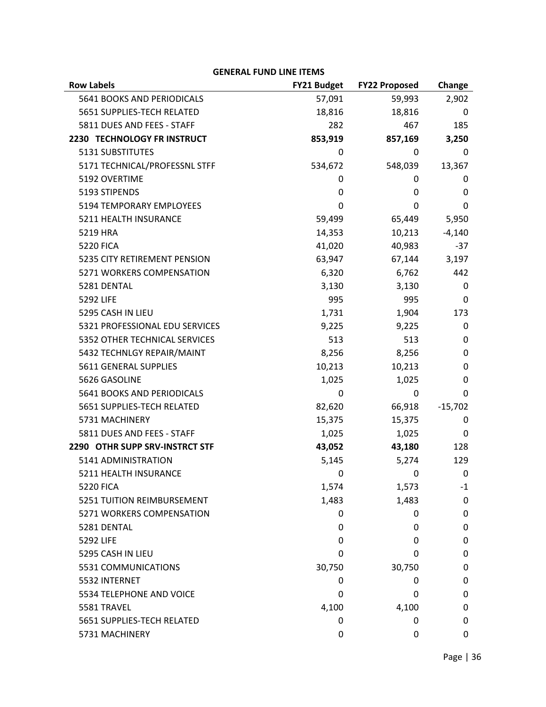| <b>GENERAL FUND LINE ITEMS</b> |                    |                      |           |
|--------------------------------|--------------------|----------------------|-----------|
| <b>Row Labels</b>              | <b>FY21 Budget</b> | <b>FY22 Proposed</b> | Change    |
| 5641 BOOKS AND PERIODICALS     | 57,091             | 59,993               | 2,902     |
| 5651 SUPPLIES-TECH RELATED     | 18,816             | 18,816               | 0         |
| 5811 DUES AND FEES - STAFF     | 282                | 467                  | 185       |
| 2230 TECHNOLOGY FR INSTRUCT    | 853,919            | 857,169              | 3,250     |
| 5131 SUBSTITUTES               | 0                  | 0                    | 0         |
| 5171 TECHNICAL/PROFESSNL STFF  | 534,672            | 548,039              | 13,367    |
| 5192 OVERTIME                  | 0                  | 0                    | 0         |
| 5193 STIPENDS                  | 0                  | 0                    | 0         |
| 5194 TEMPORARY EMPLOYEES       | 0                  | 0                    | 0         |
| 5211 HEALTH INSURANCE          | 59,499             | 65,449               | 5,950     |
| 5219 HRA                       | 14,353             | 10,213               | $-4,140$  |
| <b>5220 FICA</b>               | 41,020             | 40,983               | $-37$     |
| 5235 CITY RETIREMENT PENSION   | 63,947             | 67,144               | 3,197     |
| 5271 WORKERS COMPENSATION      | 6,320              | 6,762                | 442       |
| 5281 DENTAL                    | 3,130              | 3,130                | 0         |
| 5292 LIFE                      | 995                | 995                  | 0         |
| 5295 CASH IN LIEU              | 1,731              | 1,904                | 173       |
| 5321 PROFESSIONAL EDU SERVICES | 9,225              | 9,225                | 0         |
| 5352 OTHER TECHNICAL SERVICES  | 513                | 513                  | 0         |
| 5432 TECHNLGY REPAIR/MAINT     | 8,256              | 8,256                | 0         |
| 5611 GENERAL SUPPLIES          | 10,213             | 10,213               | 0         |
| 5626 GASOLINE                  | 1,025              | 1,025                | 0         |
| 5641 BOOKS AND PERIODICALS     | 0                  | 0                    | 0         |
| 5651 SUPPLIES-TECH RELATED     | 82,620             | 66,918               | $-15,702$ |
| 5731 MACHINERY                 | 15,375             | 15,375               | 0         |
| 5811 DUES AND FEES - STAFF     | 1,025              | 1,025                | 0         |
| 2290 OTHR SUPP SRV-INSTRCT STF | 43,052             | 43,180               | 128       |
| 5141 ADMINISTRATION            | 5,145              | 5,274                | 129       |
| 5211 HEALTH INSURANCE          | 0                  | 0                    | 0         |
| <b>5220 FICA</b>               | 1,574              | 1,573                | $-1$      |
| 5251 TUITION REIMBURSEMENT     | 1,483              | 1,483                | 0         |
| 5271 WORKERS COMPENSATION      | 0                  | 0                    | 0         |
| 5281 DENTAL                    | 0                  | 0                    | 0         |
| 5292 LIFE                      | 0                  | 0                    | 0         |
| 5295 CASH IN LIEU              | 0                  | 0                    | 0         |
| 5531 COMMUNICATIONS            | 30,750             | 30,750               | 0         |
| 5532 INTERNET                  | 0                  | 0                    | 0         |
| 5534 TELEPHONE AND VOICE       | 0                  | 0                    | 0         |
| 5581 TRAVEL                    | 4,100              | 4,100                | 0         |
| 5651 SUPPLIES-TECH RELATED     | 0                  | 0                    | 0         |
| 5731 MACHINERY                 | 0                  | 0                    | 0         |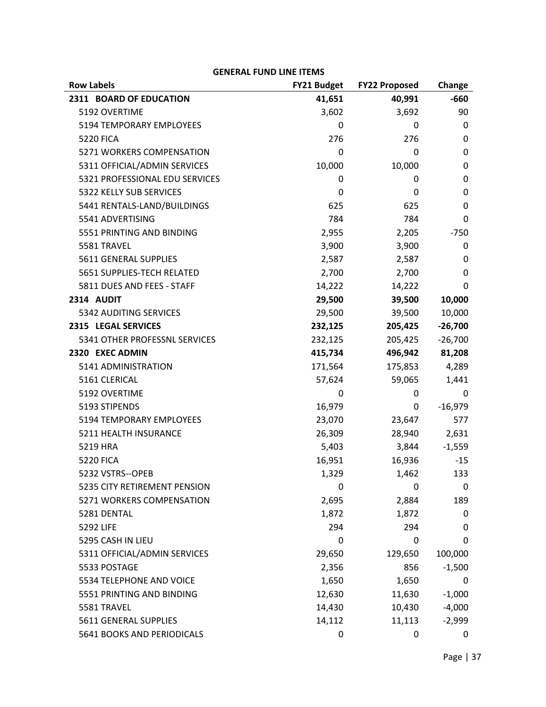| <b>Row Labels</b>              | <b>FY21 Budget</b> | <b>FY22 Proposed</b> | Change    |
|--------------------------------|--------------------|----------------------|-----------|
| 2311 BOARD OF EDUCATION        | 41,651             | 40,991               | $-660$    |
| 5192 OVERTIME                  | 3,602              | 3,692                | 90        |
| 5194 TEMPORARY EMPLOYEES       | 0                  | 0                    | 0         |
| <b>5220 FICA</b>               | 276                | 276                  | 0         |
| 5271 WORKERS COMPENSATION      | 0                  | 0                    | 0         |
| 5311 OFFICIAL/ADMIN SERVICES   | 10,000             | 10,000               | 0         |
| 5321 PROFESSIONAL EDU SERVICES | 0                  | 0                    | 0         |
| 5322 KELLY SUB SERVICES        | 0                  | 0                    | 0         |
| 5441 RENTALS-LAND/BUILDINGS    | 625                | 625                  | 0         |
| 5541 ADVERTISING               | 784                | 784                  | 0         |
| 5551 PRINTING AND BINDING      | 2,955              | 2,205                | $-750$    |
| 5581 TRAVEL                    | 3,900              | 3,900                | 0         |
| 5611 GENERAL SUPPLIES          | 2,587              | 2,587                | 0         |
| 5651 SUPPLIES-TECH RELATED     | 2,700              | 2,700                | 0         |
| 5811 DUES AND FEES - STAFF     | 14,222             | 14,222               | 0         |
| 2314 AUDIT                     | 29,500             | 39,500               | 10,000    |
| 5342 AUDITING SERVICES         | 29,500             | 39,500               | 10,000    |
| 2315 LEGAL SERVICES            | 232,125            | 205,425              | $-26,700$ |
| 5341 OTHER PROFESSNL SERVICES  | 232,125            | 205,425              | $-26,700$ |
| 2320 EXEC ADMIN                | 415,734            | 496,942              | 81,208    |
| 5141 ADMINISTRATION            | 171,564            | 175,853              | 4,289     |
| 5161 CLERICAL                  | 57,624             | 59,065               | 1,441     |
| 5192 OVERTIME                  | 0                  | 0                    | 0         |
| 5193 STIPENDS                  | 16,979             | 0                    | $-16,979$ |
| 5194 TEMPORARY EMPLOYEES       | 23,070             | 23,647               | 577       |
| 5211 HEALTH INSURANCE          | 26,309             | 28,940               | 2,631     |
| 5219 HRA                       | 5,403              | 3,844                | $-1,559$  |
| <b>5220 FICA</b>               | 16,951             | 16,936               | $-15$     |
| 5232 VSTRS--OPEB               | 1,329              | 1,462                | 133       |
| 5235 CITY RETIREMENT PENSION   | 0                  | 0                    | 0         |
| 5271 WORKERS COMPENSATION      | 2,695              | 2,884                | 189       |
| 5281 DENTAL                    | 1,872              | 1,872                | 0         |
| 5292 LIFE                      | 294                | 294                  | 0         |
| 5295 CASH IN LIEU              | 0                  | 0                    | 0         |
| 5311 OFFICIAL/ADMIN SERVICES   | 29,650             | 129,650              | 100,000   |
| 5533 POSTAGE                   | 2,356              | 856                  | $-1,500$  |
| 5534 TELEPHONE AND VOICE       | 1,650              | 1,650                | 0         |
| 5551 PRINTING AND BINDING      | 12,630             | 11,630               | $-1,000$  |
| 5581 TRAVEL                    | 14,430             | 10,430               | $-4,000$  |
| 5611 GENERAL SUPPLIES          | 14,112             | 11,113               | $-2,999$  |
| 5641 BOOKS AND PERIODICALS     | 0                  | 0                    | 0         |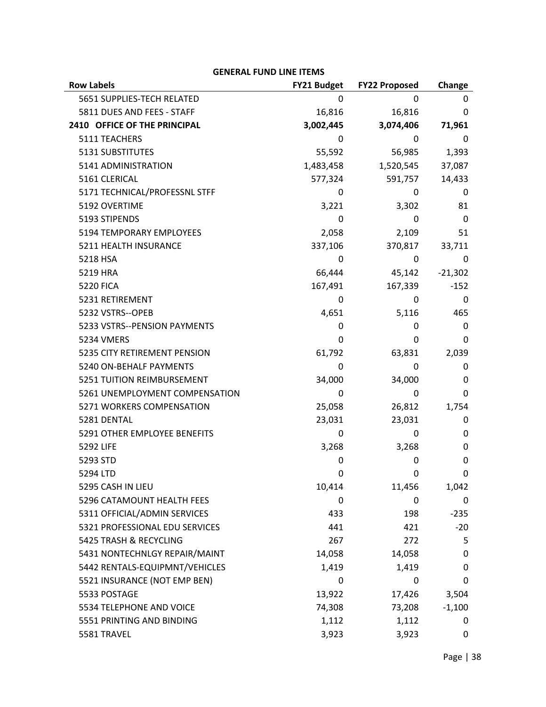| <b>Row Labels</b>              | <b>FY21 Budget</b> | <b>FY22 Proposed</b> | Change    |
|--------------------------------|--------------------|----------------------|-----------|
| 5651 SUPPLIES-TECH RELATED     | 0                  | 0                    | 0         |
| 5811 DUES AND FEES - STAFF     | 16,816             | 16,816               | 0         |
| 2410 OFFICE OF THE PRINCIPAL   | 3,002,445          | 3,074,406            | 71,961    |
| 5111 TEACHERS                  | 0                  | 0                    | 0         |
| 5131 SUBSTITUTES               | 55,592             | 56,985               | 1,393     |
| 5141 ADMINISTRATION            | 1,483,458          | 1,520,545            | 37,087    |
| 5161 CLERICAL                  | 577,324            | 591,757              | 14,433    |
| 5171 TECHNICAL/PROFESSNL STFF  | 0                  | 0                    | 0         |
| 5192 OVERTIME                  | 3,221              | 3,302                | 81        |
| 5193 STIPENDS                  | 0                  | 0                    | 0         |
| 5194 TEMPORARY EMPLOYEES       | 2,058              | 2,109                | 51        |
| 5211 HEALTH INSURANCE          | 337,106            | 370,817              | 33,711    |
| 5218 HSA                       | 0                  | 0                    | 0         |
| 5219 HRA                       | 66,444             | 45,142               | $-21,302$ |
| <b>5220 FICA</b>               | 167,491            | 167,339              | $-152$    |
| 5231 RETIREMENT                | 0                  | 0                    | 0         |
| 5232 VSTRS--OPEB               | 4,651              | 5,116                | 465       |
| 5233 VSTRS--PENSION PAYMENTS   | 0                  | 0                    | 0         |
| <b>5234 VMERS</b>              | 0                  | 0                    | 0         |
| 5235 CITY RETIREMENT PENSION   | 61,792             | 63,831               | 2,039     |
| 5240 ON-BEHALF PAYMENTS        | 0                  | 0                    | 0         |
| 5251 TUITION REIMBURSEMENT     | 34,000             | 34,000               | 0         |
| 5261 UNEMPLOYMENT COMPENSATION | 0                  | 0                    | 0         |
| 5271 WORKERS COMPENSATION      | 25,058             | 26,812               | 1,754     |
| 5281 DENTAL                    | 23,031             | 23,031               | 0         |
| 5291 OTHER EMPLOYEE BENEFITS   | 0                  | 0                    | 0         |
| 5292 LIFE                      | 3,268              | 3,268                | 0         |
| 5293 STD                       | 0                  | 0                    | 0         |
| 5294 LTD                       | 0                  | <sup>0</sup>         | 0         |
| 5295 CASH IN LIEU              | 10,414             | 11,456               | 1,042     |
| 5296 CATAMOUNT HEALTH FEES     | 0                  | 0                    | 0         |
| 5311 OFFICIAL/ADMIN SERVICES   | 433                | 198                  | $-235$    |
| 5321 PROFESSIONAL EDU SERVICES | 441                | 421                  | $-20$     |
| 5425 TRASH & RECYCLING         | 267                | 272                  | 5         |
| 5431 NONTECHNLGY REPAIR/MAINT  | 14,058             | 14,058               | 0         |
| 5442 RENTALS-EQUIPMNT/VEHICLES | 1,419              | 1,419                | 0         |
| 5521 INSURANCE (NOT EMP BEN)   | 0                  | 0                    | 0         |
| 5533 POSTAGE                   | 13,922             | 17,426               | 3,504     |
| 5534 TELEPHONE AND VOICE       | 74,308             | 73,208               | $-1,100$  |
| 5551 PRINTING AND BINDING      | 1,112              | 1,112                | 0         |
| 5581 TRAVEL                    | 3,923              | 3,923                | 0         |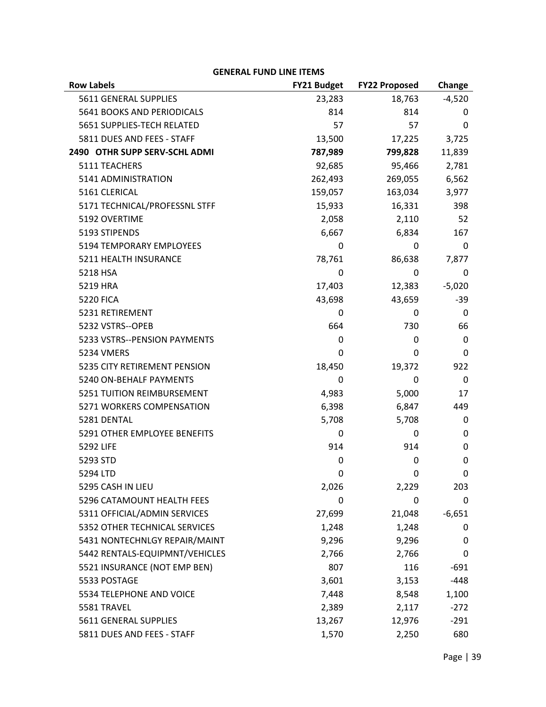| <b>Row Labels</b>              | <b>FY21 Budget</b> | <b>FY22 Proposed</b> | Change      |
|--------------------------------|--------------------|----------------------|-------------|
| 5611 GENERAL SUPPLIES          | 23,283             | 18,763               | $-4,520$    |
| 5641 BOOKS AND PERIODICALS     | 814                | 814                  | 0           |
| 5651 SUPPLIES-TECH RELATED     | 57                 | 57                   | 0           |
| 5811 DUES AND FEES - STAFF     | 13,500             | 17,225               | 3,725       |
| 2490 OTHR SUPP SERV-SCHL ADMI  | 787,989            | 799,828              | 11,839      |
| 5111 TEACHERS                  | 92,685             | 95,466               | 2,781       |
| 5141 ADMINISTRATION            | 262,493            | 269,055              | 6,562       |
| 5161 CLERICAL                  | 159,057            | 163,034              | 3,977       |
| 5171 TECHNICAL/PROFESSNL STFF  | 15,933             | 16,331               | 398         |
| 5192 OVERTIME                  | 2,058              | 2,110                | 52          |
| 5193 STIPENDS                  | 6,667              | 6,834                | 167         |
| 5194 TEMPORARY EMPLOYEES       | 0                  | 0                    | 0           |
| 5211 HEALTH INSURANCE          | 78,761             | 86,638               | 7,877       |
| 5218 HSA                       | 0                  | 0                    | 0           |
| 5219 HRA                       | 17,403             | 12,383               | $-5,020$    |
| <b>5220 FICA</b>               | 43,698             | 43,659               | $-39$       |
| 5231 RETIREMENT                | 0                  | 0                    | 0           |
| 5232 VSTRS--OPEB               | 664                | 730                  | 66          |
| 5233 VSTRS--PENSION PAYMENTS   | 0                  | 0                    | $\mathbf 0$ |
| 5234 VMERS                     | 0                  | 0                    | 0           |
| 5235 CITY RETIREMENT PENSION   | 18,450             | 19,372               | 922         |
| 5240 ON-BEHALF PAYMENTS        | 0                  | 0                    | 0           |
| 5251 TUITION REIMBURSEMENT     | 4,983              | 5,000                | 17          |
| 5271 WORKERS COMPENSATION      | 6,398              | 6,847                | 449         |
| 5281 DENTAL                    | 5,708              | 5,708                | 0           |
| 5291 OTHER EMPLOYEE BENEFITS   | 0                  | 0                    | 0           |
| 5292 LIFE                      | 914                | 914                  | 0           |
| 5293 STD                       | 0                  | 0                    | $\mathbf 0$ |
| 5294 LTD                       | <sup>n</sup>       | <sup>n</sup>         | 0           |
| 5295 CASH IN LIEU              | 2,026              | 2,229                | 203         |
| 5296 CATAMOUNT HEALTH FEES     | 0                  | 0                    | 0           |
| 5311 OFFICIAL/ADMIN SERVICES   | 27,699             | 21,048               | $-6,651$    |
| 5352 OTHER TECHNICAL SERVICES  | 1,248              | 1,248                | 0           |
| 5431 NONTECHNLGY REPAIR/MAINT  | 9,296              | 9,296                | 0           |
| 5442 RENTALS-EQUIPMNT/VEHICLES | 2,766              | 2,766                | 0           |
| 5521 INSURANCE (NOT EMP BEN)   | 807                | 116                  | $-691$      |
| 5533 POSTAGE                   | 3,601              | 3,153                | $-448$      |
| 5534 TELEPHONE AND VOICE       | 7,448              | 8,548                | 1,100       |
| 5581 TRAVEL                    | 2,389              | 2,117                | $-272$      |
| 5611 GENERAL SUPPLIES          | 13,267             | 12,976               | $-291$      |
| 5811 DUES AND FEES - STAFF     | 1,570              | 2,250                | 680         |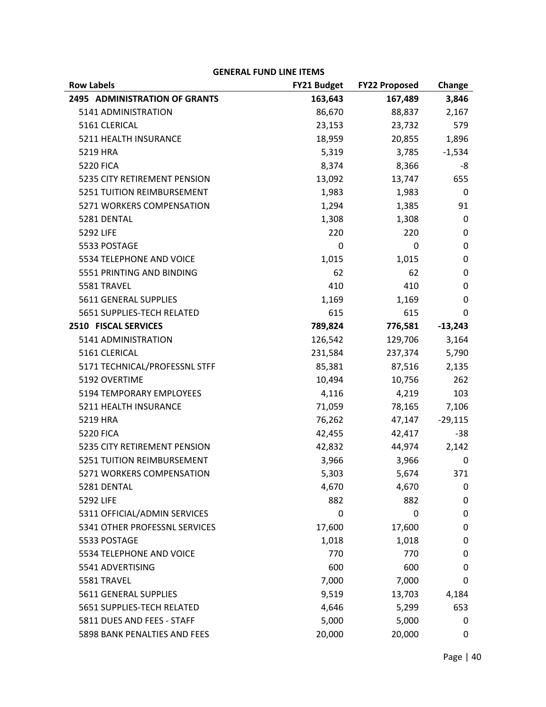| <b>Row Labels</b>                    | <b>FY21 Budget</b> | <b>FY22 Proposed</b> | Change      |
|--------------------------------------|--------------------|----------------------|-------------|
| <b>2495 ADMINISTRATION OF GRANTS</b> | 163,643            | 167,489              | 3,846       |
| 5141 ADMINISTRATION                  | 86,670             | 88,837               | 2,167       |
| 5161 CLERICAL                        | 23,153             | 23,732               | 579         |
| 5211 HEALTH INSURANCE                | 18,959             | 20,855               | 1,896       |
| 5219 HRA                             | 5,319              | 3,785                | $-1,534$    |
| <b>5220 FICA</b>                     | 8,374              | 8,366                | -8          |
| 5235 CITY RETIREMENT PENSION         | 13,092             | 13,747               | 655         |
| 5251 TUITION REIMBURSEMENT           | 1,983              | 1,983                | 0           |
| 5271 WORKERS COMPENSATION            | 1,294              | 1,385                | 91          |
| 5281 DENTAL                          | 1,308              | 1,308                | 0           |
| 5292 LIFE                            | 220                | 220                  | 0           |
| 5533 POSTAGE                         | 0                  | 0                    | $\mathbf 0$ |
| 5534 TELEPHONE AND VOICE             | 1,015              | 1,015                | 0           |
| 5551 PRINTING AND BINDING            | 62                 | 62                   | 0           |
| 5581 TRAVEL                          | 410                | 410                  | 0           |
| 5611 GENERAL SUPPLIES                | 1,169              | 1,169                | 0           |
| 5651 SUPPLIES-TECH RELATED           | 615                | 615                  | 0           |
| 2510 FISCAL SERVICES                 | 789,824            | 776,581              | $-13,243$   |
| 5141 ADMINISTRATION                  | 126,542            | 129,706              | 3,164       |
| 5161 CLERICAL                        | 231,584            | 237,374              | 5,790       |
| 5171 TECHNICAL/PROFESSNL STFF        | 85,381             | 87,516               | 2,135       |
| 5192 OVERTIME                        | 10,494             | 10,756               | 262         |
| 5194 TEMPORARY EMPLOYEES             | 4,116              | 4,219                | 103         |
| 5211 HEALTH INSURANCE                | 71,059             | 78,165               | 7,106       |
| 5219 HRA                             | 76,262             | 47,147               | $-29,115$   |
| <b>5220 FICA</b>                     | 42,455             | 42,417               | $-38$       |
| 5235 CITY RETIREMENT PENSION         | 42,832             | 44,974               | 2,142       |
| 5251 TUITION REIMBURSEMENT           | 3,966              | 3,966                | 0           |
| 5271 WORKERS COMPENSATION            | 5,303              | 5,674                | 371         |
| 5281 DENTAL                          | 4,670              | 4,670                | 0           |
| 5292 LIFE                            | 882                | 882                  | 0           |
| 5311 OFFICIAL/ADMIN SERVICES         | 0                  | 0                    | 0           |
| 5341 OTHER PROFESSNL SERVICES        | 17,600             | 17,600               | 0           |
| 5533 POSTAGE                         | 1,018              | 1,018                | 0           |
| 5534 TELEPHONE AND VOICE             | 770                | 770                  | 0           |
| 5541 ADVERTISING                     | 600                | 600                  | 0           |
| 5581 TRAVEL                          | 7,000              | 7,000                | 0           |
| 5611 GENERAL SUPPLIES                | 9,519              | 13,703               | 4,184       |
| 5651 SUPPLIES-TECH RELATED           | 4,646              | 5,299                | 653         |
| 5811 DUES AND FEES - STAFF           | 5,000              | 5,000                | 0           |
| 5898 BANK PENALTIES AND FEES         | 20,000             | 20,000               | 0           |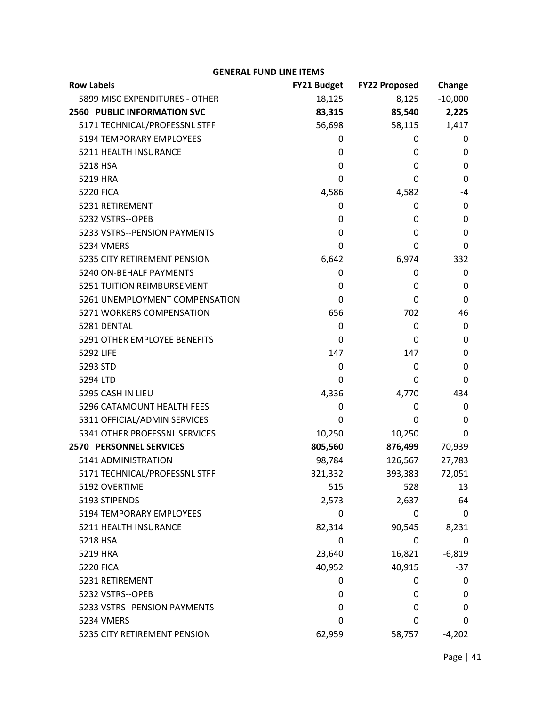| <b>Row Labels</b>                  | FY21 Budget | <b>FY22 Proposed</b> | Change       |
|------------------------------------|-------------|----------------------|--------------|
| 5899 MISC EXPENDITURES - OTHER     | 18,125      | 8,125                | $-10,000$    |
| <b>2560 PUBLIC INFORMATION SVC</b> | 83,315      | 85,540               | 2,225        |
| 5171 TECHNICAL/PROFESSNL STFF      | 56,698      | 58,115               | 1,417        |
| 5194 TEMPORARY EMPLOYEES           | 0           | 0                    | 0            |
| 5211 HEALTH INSURANCE              | 0           | 0                    | 0            |
| 5218 HSA                           | 0           | 0                    | 0            |
| 5219 HRA                           | 0           | 0                    | $\Omega$     |
| <b>5220 FICA</b>                   | 4,586       | 4,582                | -4           |
| 5231 RETIREMENT                    | 0           | 0                    | 0            |
| 5232 VSTRS--OPEB                   | 0           | 0                    | 0            |
| 5233 VSTRS--PENSION PAYMENTS       | 0           | 0                    | 0            |
| <b>5234 VMERS</b>                  | 0           | 0                    | $\Omega$     |
| 5235 CITY RETIREMENT PENSION       | 6,642       | 6,974                | 332          |
| 5240 ON-BEHALF PAYMENTS            | 0           | 0                    | 0            |
| 5251 TUITION REIMBURSEMENT         | 0           | 0                    | 0            |
| 5261 UNEMPLOYMENT COMPENSATION     | 0           | 0                    | $\mathbf{0}$ |
| 5271 WORKERS COMPENSATION          | 656         | 702                  | 46           |
| 5281 DENTAL                        | 0           | 0                    | 0            |
| 5291 OTHER EMPLOYEE BENEFITS       | 0           | 0                    | 0            |
| 5292 LIFE                          | 147         | 147                  | 0            |
| 5293 STD                           | 0           | 0                    | 0            |
| 5294 LTD                           | 0           | 0                    | 0            |
| 5295 CASH IN LIEU                  | 4,336       | 4,770                | 434          |
| 5296 CATAMOUNT HEALTH FEES         | 0           | 0                    | 0            |
| 5311 OFFICIAL/ADMIN SERVICES       | 0           | 0                    | $\mathbf{0}$ |
| 5341 OTHER PROFESSNL SERVICES      | 10,250      | 10,250               | 0            |
| <b>2570 PERSONNEL SERVICES</b>     | 805,560     | 876,499              | 70,939       |
| 5141 ADMINISTRATION                | 98,784      | 126,567              | 27,783       |
| 5171 TECHNICAL/PROFESSNL STFF      | 321,332     | 393,383              | 72,051       |
| 5192 OVERTIME                      | 515         | 528                  | 13           |
| 5193 STIPENDS                      | 2,573       | 2,637                | 64           |
| 5194 TEMPORARY EMPLOYEES           | 0           | 0                    | 0            |
| 5211 HEALTH INSURANCE              | 82,314      | 90,545               | 8,231        |
| 5218 HSA                           | 0           | 0                    | 0            |
| 5219 HRA                           | 23,640      | 16,821               | $-6,819$     |
| <b>5220 FICA</b>                   | 40,952      | 40,915               | -37          |
| 5231 RETIREMENT                    | 0           | 0                    | 0            |
| 5232 VSTRS--OPEB                   | 0           | 0                    | 0            |
| 5233 VSTRS--PENSION PAYMENTS       | 0           | 0                    | 0            |
| <b>5234 VMERS</b>                  | 0           | 0                    | 0            |
| 5235 CITY RETIREMENT PENSION       | 62,959      | 58,757               | $-4,202$     |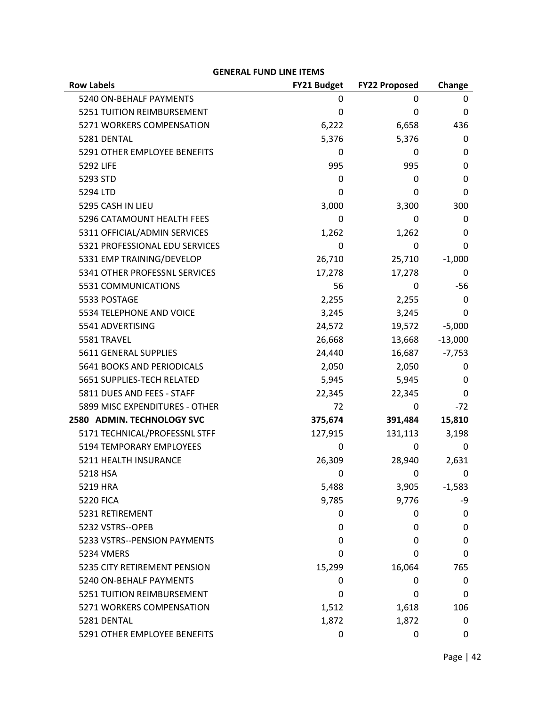| <b>Row Labels</b>              | <b>FY21 Budget</b> | <b>FY22 Proposed</b> | Change       |
|--------------------------------|--------------------|----------------------|--------------|
| 5240 ON-BEHALF PAYMENTS        | 0                  | 0                    | 0            |
| 5251 TUITION REIMBURSEMENT     | 0                  | $\mathbf 0$          | 0            |
| 5271 WORKERS COMPENSATION      | 6,222              | 6,658                | 436          |
| 5281 DENTAL                    | 5,376              | 5,376                | 0            |
| 5291 OTHER EMPLOYEE BENEFITS   | 0                  | 0                    | 0            |
| 5292 LIFE                      | 995                | 995                  | 0            |
| 5293 STD                       | 0                  | 0                    | 0            |
| 5294 LTD                       | 0                  | 0                    | $\mathbf{0}$ |
| 5295 CASH IN LIEU              | 3,000              | 3,300                | 300          |
| 5296 CATAMOUNT HEALTH FEES     | 0                  | 0                    | 0            |
| 5311 OFFICIAL/ADMIN SERVICES   | 1,262              | 1,262                | 0            |
| 5321 PROFESSIONAL EDU SERVICES | $\Omega$           | 0                    | $\mathbf{0}$ |
| 5331 EMP TRAINING/DEVELOP      | 26,710             | 25,710               | $-1,000$     |
| 5341 OTHER PROFESSNL SERVICES  | 17,278             | 17,278               | 0            |
| 5531 COMMUNICATIONS            | 56                 | 0                    | -56          |
| 5533 POSTAGE                   | 2,255              | 2,255                | 0            |
| 5534 TELEPHONE AND VOICE       | 3,245              | 3,245                | 0            |
| 5541 ADVERTISING               | 24,572             | 19,572               | $-5,000$     |
| 5581 TRAVEL                    | 26,668             | 13,668               | $-13,000$    |
| 5611 GENERAL SUPPLIES          | 24,440             | 16,687               | $-7,753$     |
| 5641 BOOKS AND PERIODICALS     | 2,050              | 2,050                | 0            |
| 5651 SUPPLIES-TECH RELATED     | 5,945              | 5,945                | 0            |
| 5811 DUES AND FEES - STAFF     | 22,345             | 22,345               | 0            |
| 5899 MISC EXPENDITURES - OTHER | 72                 | 0                    | $-72$        |
| 2580 ADMIN. TECHNOLOGY SVC     | 375,674            | 391,484              | 15,810       |
| 5171 TECHNICAL/PROFESSNL STFF  | 127,915            | 131,113              | 3,198        |
| 5194 TEMPORARY EMPLOYEES       | 0                  | 0                    | 0            |
| 5211 HEALTH INSURANCE          | 26,309             | 28,940               | 2,631        |
| 5218 HSA                       | 0                  | 0                    | 0            |
| 5219 HRA                       | 5,488              | 3,905                | $-1,583$     |
| <b>5220 FICA</b>               | 9,785              | 9,776                | -9           |
| 5231 RETIREMENT                | 0                  | 0                    | 0            |
| 5232 VSTRS--OPEB               | 0                  | 0                    | 0            |
| 5233 VSTRS--PENSION PAYMENTS   | 0                  | 0                    | 0            |
| 5234 VMERS                     | 0                  | 0                    | 0            |
| 5235 CITY RETIREMENT PENSION   | 15,299             | 16,064               | 765          |
| 5240 ON-BEHALF PAYMENTS        | 0                  | 0                    | 0            |
| 5251 TUITION REIMBURSEMENT     | 0                  | $\mathbf 0$          | 0            |
| 5271 WORKERS COMPENSATION      | 1,512              | 1,618                | 106          |
| 5281 DENTAL                    | 1,872              | 1,872                | 0            |
| 5291 OTHER EMPLOYEE BENEFITS   | 0                  | 0                    | 0            |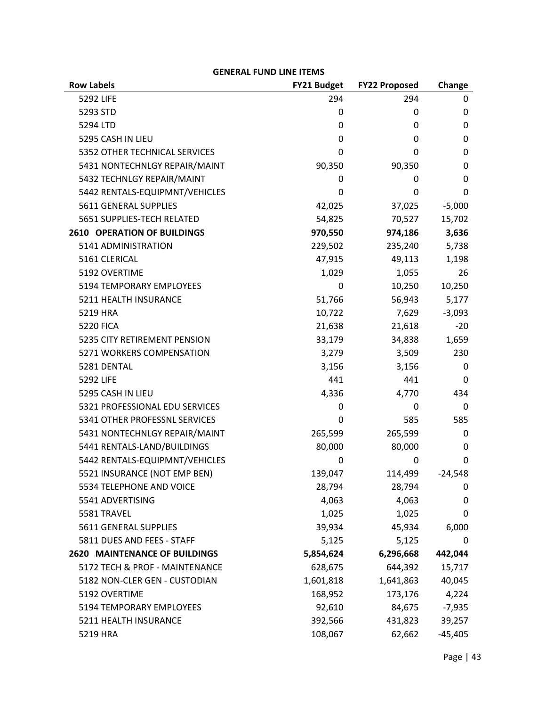## **Row Labels FY21 Budget FY22 Proposed Change**  5292 LIFE 2012 294 294 294 294 295 294 295 294 295 294 295 294 295 294 295 294 295 2012 2012 2013 2014 2014 20 5293 STD 0 0 0  $5294$  LTD  $0$  0 0 0 5295 CASH IN LIEU 0 0 0 5352 OTHER TECHNICAL SERVICES 0 0 0 5431 NONTECHNLGY REPAIR/MAINT 90.350 90.350 90.350 5432 TECHNLGY REPAIR/MAINT 0 0 0 5442 RENTALS‐EQUIPMNT/VEHICLES 0 0 0 5611 GENERAL SUPPLIES 42,025 37,025 ‐5,000 5651 SUPPLIES‐TECH RELATED 54,825 70,527 15,702 **2610 OPERATION OF BUILDINGS 970,550 974,186 3,636**  5141 ADMINISTRATION 229,502 235,240 5,738 5161 CLERICAL 47,915 49,113 1,198 5192 OVERTIME 1,029 1,055 26 5194 TEMPORARY EMPLOYEES 6 10,250 10,250 10,250 10,250 5211 HEALTH INSURANCE 51,766 56,943 5,177 5219 HRA 10,722 7,629 ‐3,093 5220 FICA 21,638 21,618 21,618 21,618 5235 CITY RETIREMENT PENSION 33,179 34,838 1,659 5271 WORKERS COMPENSATION **3,279** 3,509 230 5281 DENTAL 6281 2012 12:30 13,156 3,156 3,156 3,156 5292 LIFE 2012 2014 12:30 2014 12:30 2014 12:30 2014 12:30 2014 12:30 2014 12:30 2014 12:30 2014 13:30 2014 12:30 5295 CASH IN LIEU 64,336 4,770 434 5321 PROFESSIONAL EDU SERVICES 0 0 0 5341 OTHER PROFESSNL SERVICES 0 585 585 5431 NONTECHNLGY REPAIR/MAINT 265,599 265,599 0 5441 RENTALS-LAND/BUILDINGS 80,000 80,000 0 5442 RENTALS‐EQUIPMNT/VEHICLES 0 0 0 5521 INSURANCE (NOT EMP BEN) 139,047 114,499 ‐24,548 5534 TELEPHONE AND VOICE 28,794 28,794 0 5541 ADVERTISING 4,063 4,063 0 5581 TRAVEL 1,025 1,025 0 5611 GENERAL SUPPLIES 39,934 45,934 6,000 5811 DUES AND FEES ‐ STAFF 5,125 5,125 0 **2620 MAINTENANCE OF BUILDINGS 5,854,624 6,296,668 442,044**  5172 TECH & PROF ‐ MAINTENANCE 628,675 644,392 15,717 5182 NON‐CLER GEN ‐ CUSTODIAN 1,601,818 1,641,863 40,045 5192 OVERTIME 168,952 173,176 4,224 5194 TEMPORARY EMPLOYEES 92,610 84,675 ‐7,935 5211 HEALTH INSURANCE 392,566 431,823 39,257 5219 HRA 108,067 62,662 ‐45,405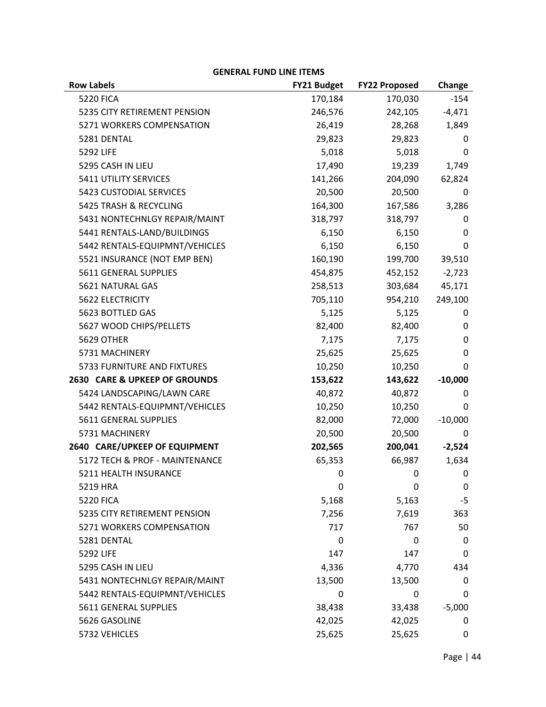| ו ואווו שווע ו ואחיו           |                    |                          |                |
|--------------------------------|--------------------|--------------------------|----------------|
| <b>Row Labels</b>              | <b>FY21 Budget</b> | <b>FY22 Proposed</b>     | Change         |
| <b>5220 FICA</b>               | 170,184            | 170,030                  | $-154$         |
| 5235 CITY RETIREMENT PENSION   | 246,576            | 242,105                  | $-4,471$       |
| 5271 WORKERS COMPENSATION      | 26,419             | 28,268                   | 1,849          |
| 5281 DENTAL                    | 29,823             | 29,823                   | 0              |
| 5292 LIFE                      | 5,018              | 5,018                    | 0              |
| 5295 CASH IN LIEU              | 17,490             | 19,239                   | 1,749          |
| 5411 UTILITY SERVICES          | 141,266            | 204,090                  | 62,824         |
| <b>5423 CUSTODIAL SERVICES</b> | 20,500             | 20,500                   | 0              |
| 5425 TRASH & RECYCLING         | 164,300            | 167,586                  | 3,286          |
| 5431 NONTECHNLGY REPAIR/MAINT  | 318,797            | 318,797                  | 0              |
| 5441 RENTALS-LAND/BUILDINGS    | 6,150              | 6,150                    | 0              |
| 5442 RENTALS-EQUIPMNT/VEHICLES | 6,150              | 6,150                    | 0              |
| 5521 INSURANCE (NOT EMP BEN)   | 160,190            | 199,700                  | 39,510         |
| 5611 GENERAL SUPPLIES          | 454,875            | 452,152                  | $-2,723$       |
| 5621 NATURAL GAS               | 258,513            | 303,684                  | 45,171         |
| 5622 ELECTRICITY               | 705,110            | 954,210                  | 249,100        |
| 5623 BOTTLED GAS               | 5,125              | 5,125                    | 0              |
| 5627 WOOD CHIPS/PELLETS        | 82,400             | 82,400                   | 0              |
| <b>5629 OTHER</b>              | 7,175              | 7,175                    | 0              |
| 5731 MACHINERY                 | 25,625             | 25,625                   | 0              |
| 5733 FURNITURE AND FIXTURES    | 10,250             | 10,250                   | 0              |
| 2630 CARE & UPKEEP OF GROUNDS  | 153,622            | 143,622                  | $-10,000$      |
| 5424 LANDSCAPING/LAWN CARE     | 40,872             | 40,872                   | 0              |
| 5442 RENTALS-EQUIPMNT/VEHICLES | 10,250             | 10,250                   | 0              |
| 5611 GENERAL SUPPLIES          | 82,000             | 72,000                   | $-10,000$      |
| 5731 MACHINERY                 | 20,500             | 20,500                   | 0              |
| 2640 CARE/UPKEEP OF EQUIPMENT  | 202,565            | 200,041                  | $-2,524$       |
| 5172 TECH & PROF - MAINTENANCE | 65,353             | 66,987                   | 1,634          |
| 5211 HEALTH INSURANCE          | 0                  | $\overline{\phantom{0}}$ | $\overline{0}$ |
| 5219 HRA                       | 0                  | 0                        | 0              |
| <b>5220 FICA</b>               | 5,168              | 5,163                    | $-5$           |
| 5235 CITY RETIREMENT PENSION   | 7,256              | 7,619                    | 363            |
| 5271 WORKERS COMPENSATION      | 717                | 767                      | 50             |
| 5281 DENTAL                    | 0                  | 0                        | 0              |
| <b>5292 LIFE</b>               | 147                | 147                      | 0              |
| 5295 CASH IN LIEU              | 4,336              | 4,770                    | 434            |
| 5431 NONTECHNLGY REPAIR/MAINT  | 13,500             | 13,500                   | 0              |
| 5442 RENTALS-EQUIPMNT/VEHICLES | 0                  | 0                        | 0              |
| 5611 GENERAL SUPPLIES          | 38,438             | 33,438                   | $-5,000$       |
| 5626 GASOLINE                  | 42,025             | 42,025                   | 0              |
| 5732 VEHICLES                  | 25,625             | 25,625                   | 0              |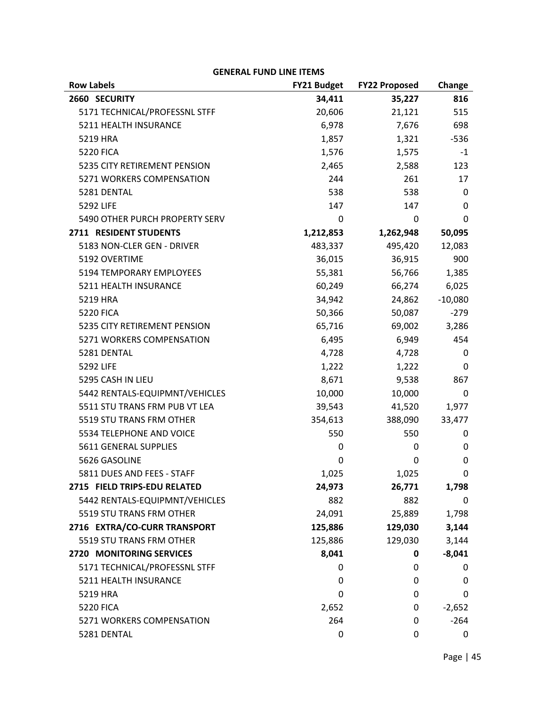| <b>Row Labels</b>              | <b>FY21 Budget</b> | <b>FY22 Proposed</b> | Change      |
|--------------------------------|--------------------|----------------------|-------------|
| 2660 SECURITY                  | 34,411             | 35,227               | 816         |
| 5171 TECHNICAL/PROFESSNL STFF  | 20,606             | 21,121               | 515         |
| 5211 HEALTH INSURANCE          | 6,978              | 7,676                | 698         |
| 5219 HRA                       | 1,857              | 1,321                | $-536$      |
| <b>5220 FICA</b>               | 1,576              | 1,575                | -1          |
| 5235 CITY RETIREMENT PENSION   | 2,465              | 2,588                | 123         |
| 5271 WORKERS COMPENSATION      | 244                | 261                  | 17          |
| 5281 DENTAL                    | 538                | 538                  | $\mathbf 0$ |
| 5292 LIFE                      | 147                | 147                  | 0           |
| 5490 OTHER PURCH PROPERTY SERV | 0                  | 0                    | 0           |
| 2711 RESIDENT STUDENTS         | 1,212,853          | 1,262,948            | 50,095      |
| 5183 NON-CLER GEN - DRIVER     | 483,337            | 495,420              | 12,083      |
| 5192 OVERTIME                  | 36,015             | 36,915               | 900         |
| 5194 TEMPORARY EMPLOYEES       | 55,381             | 56,766               | 1,385       |
| 5211 HEALTH INSURANCE          | 60,249             | 66,274               | 6,025       |
| 5219 HRA                       | 34,942             | 24,862               | $-10,080$   |
| <b>5220 FICA</b>               | 50,366             | 50,087               | $-279$      |
| 5235 CITY RETIREMENT PENSION   | 65,716             | 69,002               | 3,286       |
| 5271 WORKERS COMPENSATION      | 6,495              | 6,949                | 454         |
| 5281 DENTAL                    | 4,728              | 4,728                | 0           |
| 5292 LIFE                      | 1,222              | 1,222                | 0           |
| 5295 CASH IN LIEU              | 8,671              | 9,538                | 867         |
| 5442 RENTALS-EQUIPMNT/VEHICLES | 10,000             | 10,000               | 0           |
| 5511 STU TRANS FRM PUB VT LEA  | 39,543             | 41,520               | 1,977       |
| 5519 STU TRANS FRM OTHER       | 354,613            | 388,090              | 33,477      |
| 5534 TELEPHONE AND VOICE       | 550                | 550                  | 0           |
| 5611 GENERAL SUPPLIES          | 0                  | 0                    | 0           |
| 5626 GASOLINE                  | 0                  | 0                    | $\mathbf 0$ |
| 5811 DUES AND FEES - STAFF     | 1,025              | 1,025                | 0           |
| 2715 FIELD TRIPS-EDU RELATED   | 24,973             | 26,771               | 1,798       |
| 5442 RENTALS-EQUIPMNT/VEHICLES | 882                | 882                  | 0           |
| 5519 STU TRANS FRM OTHER       | 24,091             | 25,889               | 1,798       |
| 2716 EXTRA/CO-CURR TRANSPORT   | 125,886            | 129,030              | 3,144       |
| 5519 STU TRANS FRM OTHER       | 125,886            | 129,030              | 3,144       |
| 2720 MONITORING SERVICES       | 8,041              | 0                    | $-8,041$    |
| 5171 TECHNICAL/PROFESSNL STFF  | 0                  | 0                    | 0           |
| 5211 HEALTH INSURANCE          | 0                  | 0                    | 0           |
| 5219 HRA                       | 0                  | 0                    | 0           |
| <b>5220 FICA</b>               | 2,652              | 0                    | $-2,652$    |
| 5271 WORKERS COMPENSATION      | 264                | 0                    | $-264$      |
| 5281 DENTAL                    | 0                  | 0                    | 0           |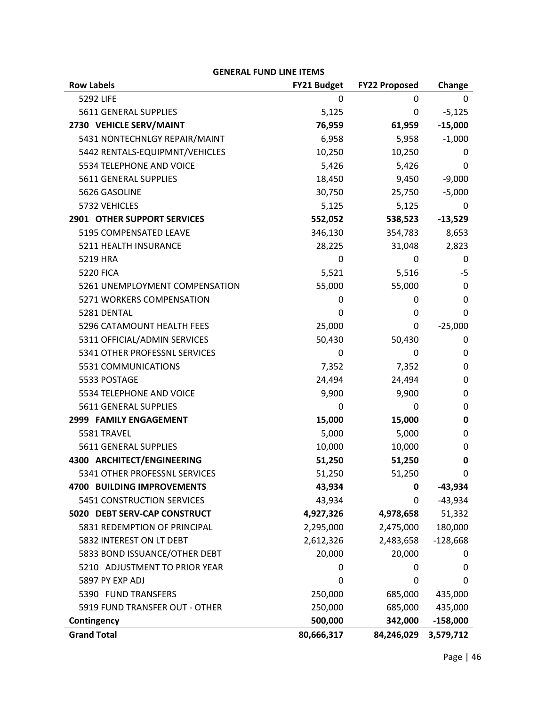| <b>Row Labels</b>                  | <b>FY21 Budget</b> | <b>FY22 Proposed</b> | Change     |
|------------------------------------|--------------------|----------------------|------------|
| 5292 LIFE                          | 0                  | 0                    | 0          |
| 5611 GENERAL SUPPLIES              | 5,125              | 0                    | $-5,125$   |
| 2730 VEHICLE SERV/MAINT            | 76,959             | 61,959               | $-15,000$  |
| 5431 NONTECHNLGY REPAIR/MAINT      | 6,958              | 5,958                | $-1,000$   |
| 5442 RENTALS-EQUIPMNT/VEHICLES     | 10,250             | 10,250               | 0          |
| 5534 TELEPHONE AND VOICE           | 5,426              | 5,426                | 0          |
| 5611 GENERAL SUPPLIES              | 18,450             | 9,450                | $-9,000$   |
| 5626 GASOLINE                      | 30,750             | 25,750               | $-5,000$   |
| 5732 VEHICLES                      | 5,125              | 5,125                | 0          |
| <b>2901 OTHER SUPPORT SERVICES</b> | 552,052            | 538,523              | $-13,529$  |
| 5195 COMPENSATED LEAVE             | 346,130            | 354,783              | 8,653      |
| 5211 HEALTH INSURANCE              | 28,225             | 31,048               | 2,823      |
| 5219 HRA                           | 0                  | 0                    | 0          |
| <b>5220 FICA</b>                   | 5,521              | 5,516                | $-5$       |
| 5261 UNEMPLOYMENT COMPENSATION     | 55,000             | 55,000               | 0          |
| 5271 WORKERS COMPENSATION          | 0                  | 0                    | 0          |
| 5281 DENTAL                        | 0                  | 0                    | 0          |
| 5296 CATAMOUNT HEALTH FEES         | 25,000             | 0                    | $-25,000$  |
| 5311 OFFICIAL/ADMIN SERVICES       | 50,430             | 50,430               | 0          |
| 5341 OTHER PROFESSNL SERVICES      | 0                  | 0                    | 0          |
| 5531 COMMUNICATIONS                | 7,352              | 7,352                | 0          |
| 5533 POSTAGE                       | 24,494             | 24,494               | 0          |
| 5534 TELEPHONE AND VOICE           | 9,900              | 9,900                | 0          |
| 5611 GENERAL SUPPLIES              | 0                  | 0                    | 0          |
| 2999 FAMILY ENGAGEMENT             | 15,000             | 15,000               | 0          |
| 5581 TRAVEL                        | 5,000              | 5,000                | 0          |
| 5611 GENERAL SUPPLIES              | 10,000             | 10,000               | 0          |
| 4300 ARCHITECT/ENGINEERING         | 51,250             | 51,250               | 0          |
| 5341 OTHER PROFESSNL SERVICES      | 51,250             | 51,250               | 0          |
| <b>4700 BUILDING IMPROVEMENTS</b>  | 43,934             | 0                    | $-43,934$  |
| 5451 CONSTRUCTION SERVICES         | 43,934             | 0                    | $-43,934$  |
| 5020 DEBT SERV-CAP CONSTRUCT       | 4,927,326          | 4,978,658            | 51,332     |
| 5831 REDEMPTION OF PRINCIPAL       | 2,295,000          | 2,475,000            | 180,000    |
| 5832 INTEREST ON LT DEBT           | 2,612,326          | 2,483,658            | $-128,668$ |
| 5833 BOND ISSUANCE/OTHER DEBT      | 20,000             | 20,000               | 0          |
| 5210 ADJUSTMENT TO PRIOR YEAR      | 0                  | 0                    | 0          |
| 5897 PY EXP ADJ                    | 0                  | 0                    | 0          |
| 5390 FUND TRANSFERS                | 250,000            | 685,000              | 435,000    |
| 5919 FUND TRANSFER OUT - OTHER     | 250,000            | 685,000              | 435,000    |
| Contingency                        | 500,000            | 342,000              | $-158,000$ |
| <b>Grand Total</b>                 | 80,666,317         | 84,246,029           | 3,579,712  |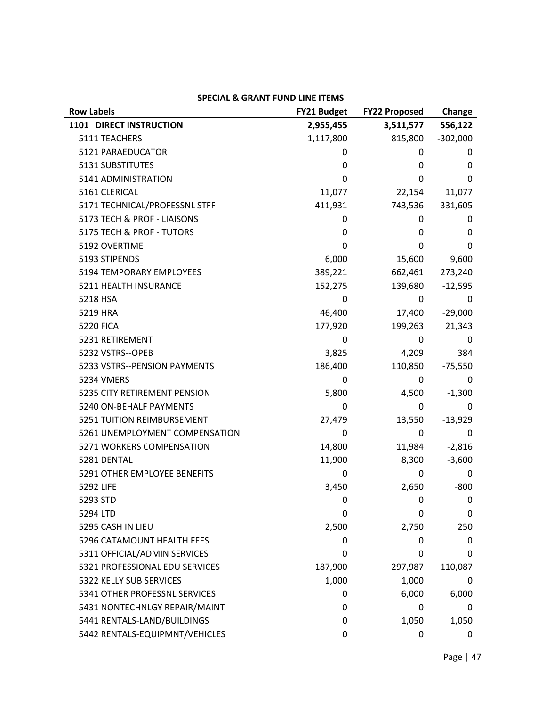| <b>Row Labels</b>              | FY21 Budget | <b>FY22 Proposed</b> | Change     |
|--------------------------------|-------------|----------------------|------------|
| 1101 DIRECT INSTRUCTION        | 2,955,455   | 3,511,577            | 556,122    |
| 5111 TEACHERS                  | 1,117,800   | 815,800              | $-302,000$ |
| 5121 PARAEDUCATOR              | 0           | 0                    | 0          |
| 5131 SUBSTITUTES               | 0           | 0                    | 0          |
| 5141 ADMINISTRATION            | 0           | 0                    | 0          |
| 5161 CLERICAL                  | 11,077      | 22,154               | 11,077     |
| 5171 TECHNICAL/PROFESSNL STFF  | 411,931     | 743,536              | 331,605    |
| 5173 TECH & PROF - LIAISONS    | 0           | 0                    | 0          |
| 5175 TECH & PROF - TUTORS      | 0           | 0                    | 0          |
| 5192 OVERTIME                  | 0           | 0                    | 0          |
| 5193 STIPENDS                  | 6,000       | 15,600               | 9,600      |
| 5194 TEMPORARY EMPLOYEES       | 389,221     | 662,461              | 273,240    |
| 5211 HEALTH INSURANCE          | 152,275     | 139,680              | $-12,595$  |
| 5218 HSA                       | 0           | 0                    | 0          |
| 5219 HRA                       | 46,400      | 17,400               | $-29,000$  |
| <b>5220 FICA</b>               | 177,920     | 199,263              | 21,343     |
| 5231 RETIREMENT                | 0           | 0                    | 0          |
| 5232 VSTRS--OPEB               | 3,825       | 4,209                | 384        |
| 5233 VSTRS--PENSION PAYMENTS   | 186,400     | 110,850              | $-75,550$  |
| 5234 VMERS                     | 0           | 0                    | 0          |
| 5235 CITY RETIREMENT PENSION   | 5,800       | 4,500                | $-1,300$   |
| 5240 ON-BEHALF PAYMENTS        | 0           | 0                    | 0          |
| 5251 TUITION REIMBURSEMENT     | 27,479      | 13,550               | $-13,929$  |
| 5261 UNEMPLOYMENT COMPENSATION | 0           | 0                    | 0          |
| 5271 WORKERS COMPENSATION      | 14,800      | 11,984               | $-2,816$   |
| 5281 DENTAL                    | 11,900      | 8,300                | $-3,600$   |
| 5291 OTHER EMPLOYEE BENEFITS   | 0           | 0                    | 0          |
| <b>5292 LIFE</b>               | 3,450       | 2,650                | $-800$     |
| 5293 STD                       | 0           | 0                    | 0          |
| 5294 LTD                       | 0           | $\Omega$             | 0          |
| 5295 CASH IN LIEU              | 2,500       | 2,750                | 250        |
| 5296 CATAMOUNT HEALTH FEES     | 0           | 0                    | 0          |
| 5311 OFFICIAL/ADMIN SERVICES   | 0           | 0                    | 0          |
| 5321 PROFESSIONAL EDU SERVICES | 187,900     | 297,987              | 110,087    |
| 5322 KELLY SUB SERVICES        | 1,000       | 1,000                | 0          |
| 5341 OTHER PROFESSNL SERVICES  | 0           | 6,000                | 6,000      |
| 5431 NONTECHNLGY REPAIR/MAINT  | 0           | $\Omega$             | 0          |
| 5441 RENTALS-LAND/BUILDINGS    | 0           | 1,050                | 1,050      |
| 5442 RENTALS-EQUIPMNT/VEHICLES | 0           | 0                    | 0          |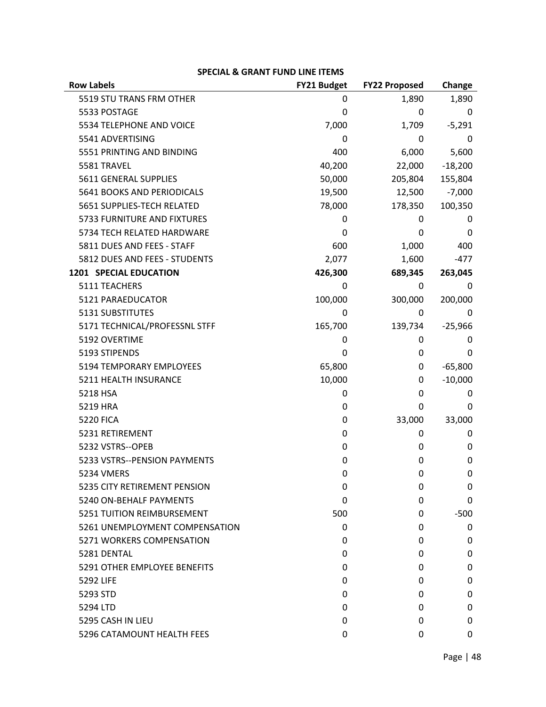| <b>Row Labels</b>                 | FY21 Budget | <b>FY22 Proposed</b> | Change    |
|-----------------------------------|-------------|----------------------|-----------|
| 5519 STU TRANS FRM OTHER          | 0           | 1,890                | 1,890     |
| 5533 POSTAGE                      | 0           | 0                    | 0         |
| 5534 TELEPHONE AND VOICE          | 7,000       | 1,709                | $-5,291$  |
| 5541 ADVERTISING                  | 0           | 0                    | 0         |
| 5551 PRINTING AND BINDING         | 400         | 6,000                | 5,600     |
| 5581 TRAVEL                       | 40,200      | 22,000               | $-18,200$ |
| 5611 GENERAL SUPPLIES             | 50,000      | 205,804              | 155,804   |
| 5641 BOOKS AND PERIODICALS        | 19,500      | 12,500               | $-7,000$  |
| 5651 SUPPLIES-TECH RELATED        | 78,000      | 178,350              | 100,350   |
| 5733 FURNITURE AND FIXTURES       | 0           | 0                    | 0         |
| 5734 TECH RELATED HARDWARE        | 0           | 0                    | 0         |
| 5811 DUES AND FEES - STAFF        | 600         | 1,000                | 400       |
| 5812 DUES AND FEES - STUDENTS     | 2,077       | 1,600                | $-477$    |
| <b>1201 SPECIAL EDUCATION</b>     | 426,300     | 689,345              | 263,045   |
| 5111 TEACHERS                     | 0           | 0                    | 0         |
| 5121 PARAEDUCATOR                 | 100,000     | 300,000              | 200,000   |
| 5131 SUBSTITUTES                  | 0           | 0                    | 0         |
| 5171 TECHNICAL/PROFESSNL STFF     | 165,700     | 139,734              | $-25,966$ |
| 5192 OVERTIME                     | 0           | 0                    | 0         |
| 5193 STIPENDS                     | 0           | 0                    | 0         |
| 5194 TEMPORARY EMPLOYEES          | 65,800      | 0                    | $-65,800$ |
| 5211 HEALTH INSURANCE             | 10,000      | 0                    | $-10,000$ |
| 5218 HSA                          | 0           | 0                    | 0         |
| 5219 HRA                          | 0           | 0                    | 0         |
| <b>5220 FICA</b>                  | 0           | 33,000               | 33,000    |
| 5231 RETIREMENT                   | 0           | 0                    | 0         |
| 5232 VSTRS--OPEB                  | 0           | 0                    | 0         |
| 5233 VSTRS--PENSION PAYMENTS      | 0           | 0                    | 0         |
| 5234 VMERS                        | 0           | 0                    | 0         |
| 5235 CITY RETIREMENT PENSION      | 0           | 0                    | 0         |
| 5240 ON-BEHALF PAYMENTS           | 0           | 0                    | 0         |
| <b>5251 TUITION REIMBURSEMENT</b> | 500         | 0                    | $-500$    |
| 5261 UNEMPLOYMENT COMPENSATION    | 0           | 0                    | 0         |
| 5271 WORKERS COMPENSATION         | 0           | 0                    | 0         |
| 5281 DENTAL                       | 0           | 0                    | 0         |
| 5291 OTHER EMPLOYEE BENEFITS      | 0           | 0                    | 0         |
| 5292 LIFE                         | 0           | 0                    | 0         |
| 5293 STD                          | 0           | 0                    | 0         |
| 5294 LTD                          | 0           | 0                    | 0         |
| 5295 CASH IN LIEU                 | 0           | 0                    | 0         |
| 5296 CATAMOUNT HEALTH FEES        | 0           | 0                    | 0         |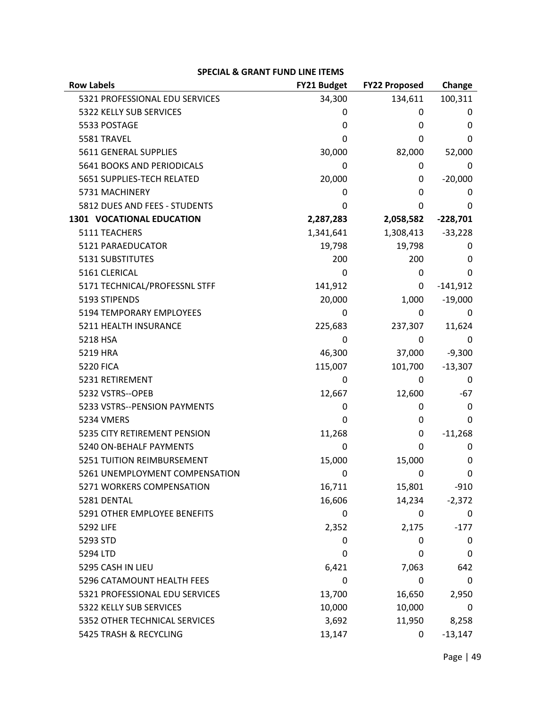| <b>Row Labels</b>                | <b>FY21 Budget</b> | <b>FY22 Proposed</b> | Change     |
|----------------------------------|--------------------|----------------------|------------|
| 5321 PROFESSIONAL EDU SERVICES   | 34,300             | 134,611              | 100,311    |
| 5322 KELLY SUB SERVICES          | 0                  | 0                    | 0          |
| 5533 POSTAGE                     | 0                  | 0                    | 0          |
| 5581 TRAVEL                      | 0                  | 0                    | 0          |
| 5611 GENERAL SUPPLIES            | 30,000             | 82,000               | 52,000     |
| 5641 BOOKS AND PERIODICALS       | 0                  | 0                    | 0          |
| 5651 SUPPLIES-TECH RELATED       | 20,000             | 0                    | $-20,000$  |
| 5731 MACHINERY                   | 0                  | 0                    | 0          |
| 5812 DUES AND FEES - STUDENTS    | 0                  | 0                    | 0          |
| <b>1301 VOCATIONAL EDUCATION</b> | 2,287,283          | 2,058,582            | $-228,701$ |
| 5111 TEACHERS                    | 1,341,641          | 1,308,413            | $-33,228$  |
| 5121 PARAEDUCATOR                | 19,798             | 19,798               | 0          |
| 5131 SUBSTITUTES                 | 200                | 200                  | 0          |
| 5161 CLERICAL                    | 0                  | 0                    | 0          |
| 5171 TECHNICAL/PROFESSNL STFF    | 141,912            | 0                    | $-141,912$ |
| 5193 STIPENDS                    | 20,000             | 1,000                | $-19,000$  |
| 5194 TEMPORARY EMPLOYEES         | 0                  | 0                    | 0          |
| 5211 HEALTH INSURANCE            | 225,683            | 237,307              | 11,624     |
| 5218 HSA                         | 0                  | 0                    | 0          |
| 5219 HRA                         | 46,300             | 37,000               | $-9,300$   |
| <b>5220 FICA</b>                 | 115,007            | 101,700              | $-13,307$  |
| 5231 RETIREMENT                  | 0                  | 0                    | 0          |
| 5232 VSTRS--OPEB                 | 12,667             | 12,600               | -67        |
| 5233 VSTRS--PENSION PAYMENTS     | 0                  | 0                    | 0          |
| <b>5234 VMERS</b>                | 0                  | 0                    | 0          |
| 5235 CITY RETIREMENT PENSION     | 11,268             | 0                    | $-11,268$  |
| 5240 ON-BEHALF PAYMENTS          | 0                  | 0                    | 0          |
| 5251 TUITION REIMBURSEMENT       | 15,000             | 15,000               | 0          |
| 5261 UNEMPLOYMENT COMPENSATION   | 0                  | 0                    | 0          |
| 5271 WORKERS COMPENSATION        | 16,711             | 15,801               | $-910$     |
| 5281 DENTAL                      | 16,606             | 14,234               | $-2,372$   |
| 5291 OTHER EMPLOYEE BENEFITS     | 0                  | 0                    | 0          |
| 5292 LIFE                        | 2,352              | 2,175                | $-177$     |
| 5293 STD                         | 0                  | 0                    | 0          |
| 5294 LTD                         | 0                  | 0                    | 0          |
| 5295 CASH IN LIEU                | 6,421              | 7,063                | 642        |
| 5296 CATAMOUNT HEALTH FEES       | 0                  | 0                    | 0          |
| 5321 PROFESSIONAL EDU SERVICES   | 13,700             | 16,650               | 2,950      |
| 5322 KELLY SUB SERVICES          | 10,000             | 10,000               | 0          |
| 5352 OTHER TECHNICAL SERVICES    | 3,692              | 11,950               | 8,258      |
| 5425 TRASH & RECYCLING           | 13,147             | 0                    | $-13,147$  |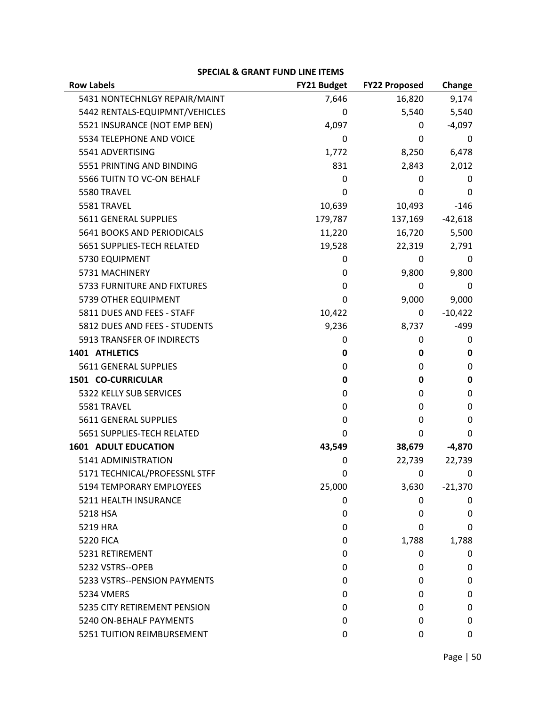| <b>Row Labels</b>               | FY21 Budget | <b>FY22 Proposed</b> | Change    |
|---------------------------------|-------------|----------------------|-----------|
| 5431 NONTECHNLGY REPAIR/MAINT   | 7,646       | 16,820               | 9,174     |
| 5442 RENTALS-EQUIPMNT/VEHICLES  | 0           | 5,540                | 5,540     |
| 5521 INSURANCE (NOT EMP BEN)    | 4,097       | 0                    | $-4,097$  |
| 5534 TELEPHONE AND VOICE        | 0           | 0                    | 0         |
| 5541 ADVERTISING                | 1,772       | 8,250                | 6,478     |
| 5551 PRINTING AND BINDING       | 831         | 2,843                | 2,012     |
| 5566 TUITN TO VC-ON BEHALF      | 0           | 0                    | 0         |
| 5580 TRAVEL                     | 0           | 0                    | 0         |
| 5581 TRAVEL                     | 10,639      | 10,493               | $-146$    |
| 5611 GENERAL SUPPLIES           | 179,787     | 137,169              | $-42,618$ |
| 5641 BOOKS AND PERIODICALS      | 11,220      | 16,720               | 5,500     |
| 5651 SUPPLIES-TECH RELATED      | 19,528      | 22,319               | 2,791     |
| 5730 EQUIPMENT                  | 0           | 0                    | 0         |
| 5731 MACHINERY                  | 0           | 9,800                | 9,800     |
| 5733 FURNITURE AND FIXTURES     | 0           | 0                    | 0         |
| 5739 OTHER EQUIPMENT            | 0           | 9,000                | 9,000     |
| 5811 DUES AND FEES - STAFF      | 10,422      | 0                    | $-10,422$ |
| 5812 DUES AND FEES - STUDENTS   | 9,236       | 8,737                | $-499$    |
| 5913 TRANSFER OF INDIRECTS      | 0           | 0                    | 0         |
| 1401 ATHLETICS                  | 0           | 0                    | 0         |
| 5611 GENERAL SUPPLIES           | 0           | 0                    | 0         |
| 1501 CO-CURRICULAR              | 0           | 0                    | 0         |
| 5322 KELLY SUB SERVICES         | 0           | 0                    | 0         |
| 5581 TRAVEL                     | 0           | 0                    | 0         |
| 5611 GENERAL SUPPLIES           | 0           | 0                    | 0         |
| 5651 SUPPLIES-TECH RELATED      | 0           | $\Omega$             | 0         |
| <b>1601 ADULT EDUCATION</b>     | 43,549      | 38,679               | $-4,870$  |
| 5141 ADMINISTRATION             | 0           | 22,739               | 22,739    |
| 5171 TECHNICAL/PROFESSNL STFF   | 0           | 0                    | 0         |
| <b>5194 TEMPORARY EMPLOYEES</b> | 25,000      | 3,630                | $-21,370$ |
| 5211 HEALTH INSURANCE           | 0           | 0                    | 0         |
| 5218 HSA                        | 0           | 0                    | 0         |
| 5219 HRA                        | 0           | 0                    | 0         |
| <b>5220 FICA</b>                | 0           | 1,788                | 1,788     |
| 5231 RETIREMENT                 | 0           | 0                    | 0         |
| 5232 VSTRS--OPEB                | 0           | 0                    | 0         |
| 5233 VSTRS--PENSION PAYMENTS    | 0           | 0                    | 0         |
| 5234 VMERS                      | 0           | 0                    | 0         |
| 5235 CITY RETIREMENT PENSION    | 0           | 0                    | 0         |
| 5240 ON-BEHALF PAYMENTS         | 0           | 0                    | 0         |
| 5251 TUITION REIMBURSEMENT      | 0           | 0                    | 0         |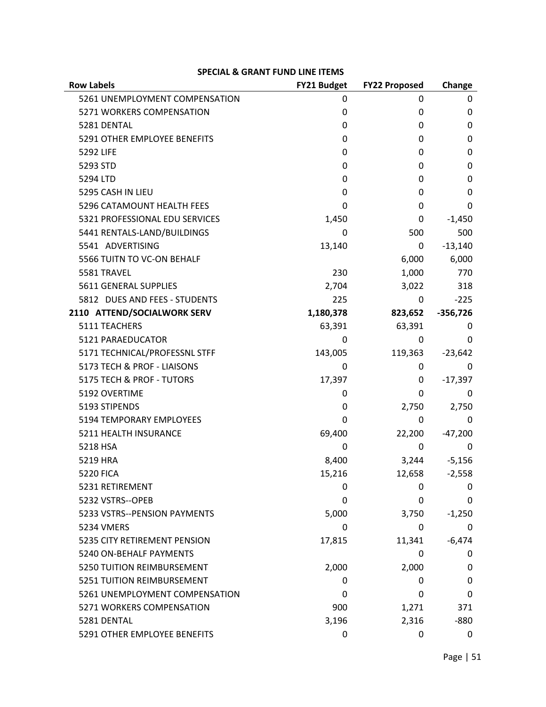| <b>Row Labels</b>              | FY21 Budget | <b>FY22 Proposed</b> | Change     |
|--------------------------------|-------------|----------------------|------------|
| 5261 UNEMPLOYMENT COMPENSATION | 0           | 0                    | 0          |
| 5271 WORKERS COMPENSATION      | 0           | 0                    | 0          |
| 5281 DENTAL                    | 0           | 0                    | 0          |
| 5291 OTHER EMPLOYEE BENEFITS   | 0           | 0                    | 0          |
| 5292 LIFE                      | 0           | 0                    | 0          |
| 5293 STD                       | 0           | 0                    | 0          |
| 5294 LTD                       | 0           | 0                    | 0          |
| 5295 CASH IN LIEU              | 0           | 0                    | 0          |
| 5296 CATAMOUNT HEALTH FEES     | 0           | 0                    | 0          |
| 5321 PROFESSIONAL EDU SERVICES | 1,450       | 0                    | $-1,450$   |
| 5441 RENTALS-LAND/BUILDINGS    | 0           | 500                  | 500        |
| 5541 ADVERTISING               | 13,140      | 0                    | $-13,140$  |
| 5566 TUITN TO VC-ON BEHALF     |             | 6,000                | 6,000      |
| 5581 TRAVEL                    | 230         | 1,000                | 770        |
| 5611 GENERAL SUPPLIES          | 2,704       | 3,022                | 318        |
| 5812 DUES AND FEES - STUDENTS  | 225         | 0                    | $-225$     |
| 2110 ATTEND/SOCIALWORK SERV    | 1,180,378   | 823,652              | $-356,726$ |
| 5111 TEACHERS                  | 63,391      | 63,391               | 0          |
| 5121 PARAEDUCATOR              | 0           | 0                    | 0          |
| 5171 TECHNICAL/PROFESSNL STFF  | 143,005     | 119,363              | $-23,642$  |
| 5173 TECH & PROF - LIAISONS    | 0           | 0                    | 0          |
| 5175 TECH & PROF - TUTORS      | 17,397      | 0                    | $-17,397$  |
| 5192 OVERTIME                  | 0           | 0                    | 0          |
| 5193 STIPENDS                  | 0           | 2,750                | 2,750      |
| 5194 TEMPORARY EMPLOYEES       | 0           | 0                    | 0          |
| 5211 HEALTH INSURANCE          | 69,400      | 22,200               | $-47,200$  |
| 5218 HSA                       | 0           | 0                    | 0          |
| 5219 HRA                       | 8,400       | 3,244                | $-5,156$   |
| <b>5220 FICA</b>               | 15,216      | 12,658               | $-2,558$   |
| 5231 RETIREMENT                | 0           | 0                    | 0          |
| 5232 VSTRS--OPEB               | 0           | 0                    | 0          |
| 5233 VSTRS--PENSION PAYMENTS   | 5,000       | 3,750                | $-1,250$   |
| 5234 VMERS                     | 0           | 0                    | 0          |
| 5235 CITY RETIREMENT PENSION   | 17,815      | 11,341               | $-6,474$   |
| 5240 ON-BEHALF PAYMENTS        |             | 0                    | 0          |
| 5250 TUITION REIMBURSEMENT     | 2,000       | 2,000                | 0          |
| 5251 TUITION REIMBURSEMENT     | 0           | 0                    | 0          |
| 5261 UNEMPLOYMENT COMPENSATION | 0           | 0                    | 0          |
| 5271 WORKERS COMPENSATION      | 900         | 1,271                | 371        |
| 5281 DENTAL                    | 3,196       | 2,316                | -880       |
| 5291 OTHER EMPLOYEE BENEFITS   | 0           | 0                    | 0          |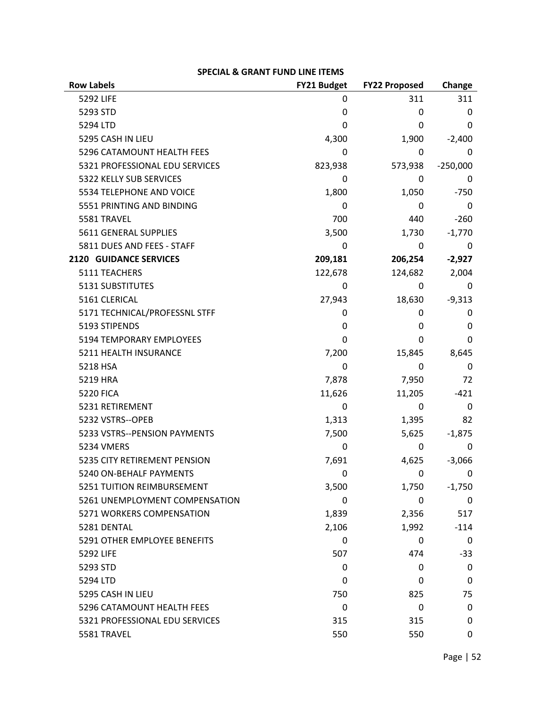| <b>Row Labels</b>              | <b>FY21 Budget</b> | <b>FY22 Proposed</b> | Change     |
|--------------------------------|--------------------|----------------------|------------|
| 5292 LIFE                      | 0                  | 311                  | 311        |
| 5293 STD                       | 0                  | 0                    | 0          |
| 5294 LTD                       | 0                  | 0                    | 0          |
| 5295 CASH IN LIEU              | 4,300              | 1,900                | $-2,400$   |
| 5296 CATAMOUNT HEALTH FEES     | 0                  | 0                    | 0          |
| 5321 PROFESSIONAL EDU SERVICES | 823,938            | 573,938              | $-250,000$ |
| 5322 KELLY SUB SERVICES        | 0                  | 0                    |            |
| 5534 TELEPHONE AND VOICE       | 1,800              | 1,050                | $-750$     |
| 5551 PRINTING AND BINDING      | 0                  | 0                    | 0          |
| 5581 TRAVEL                    | 700                | 440                  | $-260$     |
| 5611 GENERAL SUPPLIES          | 3,500              | 1,730                | $-1,770$   |
| 5811 DUES AND FEES - STAFF     | 0                  | 0                    | 0          |
| <b>2120 GUIDANCE SERVICES</b>  | 209,181            | 206,254              | $-2,927$   |
| 5111 TEACHERS                  | 122,678            | 124,682              | 2,004      |
| 5131 SUBSTITUTES               | 0                  | 0                    | 0          |
| 5161 CLERICAL                  | 27,943             | 18,630               | $-9,313$   |
| 5171 TECHNICAL/PROFESSNL STFF  | 0                  | 0                    | 0          |
| 5193 STIPENDS                  | 0                  | 0                    | 0          |
| 5194 TEMPORARY EMPLOYEES       | 0                  | 0                    | 0          |
| 5211 HEALTH INSURANCE          | 7,200              | 15,845               | 8,645      |
| 5218 HSA                       | 0                  | 0                    | 0          |
| 5219 HRA                       | 7,878              | 7,950                | 72         |
| <b>5220 FICA</b>               | 11,626             | 11,205               | $-421$     |
| 5231 RETIREMENT                | 0                  | 0                    | 0          |
| 5232 VSTRS--OPEB               | 1,313              | 1,395                | 82         |
| 5233 VSTRS--PENSION PAYMENTS   | 7,500              | 5,625                | $-1,875$   |
| <b>5234 VMERS</b>              | 0                  | 0                    | 0          |
| 5235 CITY RETIREMENT PENSION   | 7,691              | 4,625                | $-3,066$   |
| 5240 ON-BEHALF PAYMENTS        | 0                  | 0                    | 0          |
| 5251 TUITION REIMBURSEMENT     | 3,500              | 1,750                | $-1,750$   |
| 5261 UNEMPLOYMENT COMPENSATION | 0                  | 0                    | 0          |
| 5271 WORKERS COMPENSATION      | 1,839              | 2,356                | 517        |
| 5281 DENTAL                    | 2,106              | 1,992                | $-114$     |
| 5291 OTHER EMPLOYEE BENEFITS   | 0                  | 0                    | 0          |
| 5292 LIFE                      | 507                | 474                  | $-33$      |
| 5293 STD                       | 0                  | 0                    | 0          |
| 5294 LTD                       | 0                  | 0                    | 0          |
| 5295 CASH IN LIEU              | 750                | 825                  | 75         |
| 5296 CATAMOUNT HEALTH FEES     | 0                  | 0                    | 0          |
| 5321 PROFESSIONAL EDU SERVICES | 315                | 315                  | 0          |
| 5581 TRAVEL                    | 550                | 550                  | 0          |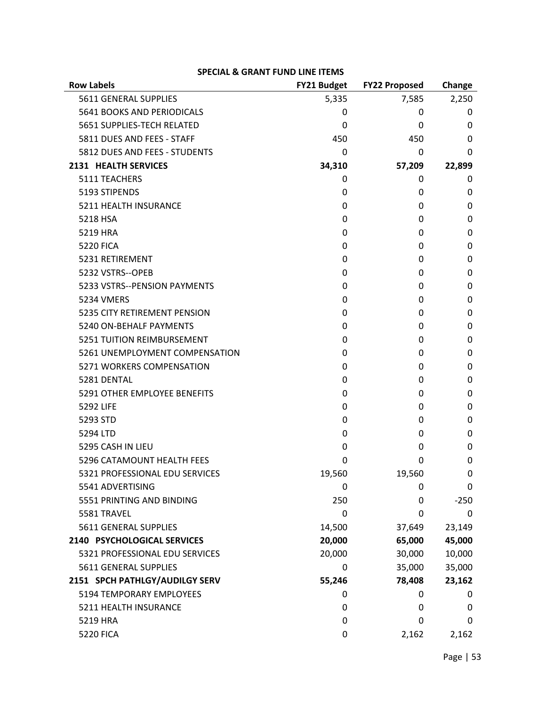| <b>Row Labels</b>              | FY21 Budget | <b>FY22 Proposed</b> | Change   |
|--------------------------------|-------------|----------------------|----------|
| 5611 GENERAL SUPPLIES          | 5,335       | 7,585                | 2,250    |
| 5641 BOOKS AND PERIODICALS     | 0           | 0                    | 0        |
| 5651 SUPPLIES-TECH RELATED     | 0           | 0                    | 0        |
| 5811 DUES AND FEES - STAFF     | 450         | 450                  | 0        |
| 5812 DUES AND FEES - STUDENTS  | 0           | 0                    | 0        |
| 2131 HEALTH SERVICES           | 34,310      | 57,209               | 22,899   |
| 5111 TEACHERS                  | 0           | 0                    | 0        |
| 5193 STIPENDS                  | 0           | 0                    | 0        |
| 5211 HEALTH INSURANCE          | 0           | 0                    | $\Omega$ |
| 5218 HSA                       | 0           | 0                    | 0        |
| 5219 HRA                       | 0           | 0                    | 0        |
| <b>5220 FICA</b>               | 0           | 0                    | 0        |
| 5231 RETIREMENT                | 0           | 0                    | 0        |
| 5232 VSTRS--OPEB               | 0           | 0                    | 0        |
| 5233 VSTRS--PENSION PAYMENTS   | 0           | 0                    | 0        |
| <b>5234 VMERS</b>              | 0           | 0                    | 0        |
| 5235 CITY RETIREMENT PENSION   | 0           | 0                    | 0        |
| 5240 ON-BEHALF PAYMENTS        | 0           | 0                    | 0        |
| 5251 TUITION REIMBURSEMENT     | 0           | 0                    | 0        |
| 5261 UNEMPLOYMENT COMPENSATION | 0           | 0                    | 0        |
| 5271 WORKERS COMPENSATION      | 0           | 0                    | 0        |
| 5281 DENTAL                    | 0           | 0                    | 0        |
| 5291 OTHER EMPLOYEE BENEFITS   | 0           | 0                    | 0        |
| 5292 LIFE                      | 0           | 0                    | 0        |
| 5293 STD                       | 0           | 0                    | 0        |
| 5294 LTD                       | 0           | 0                    | 0        |
| 5295 CASH IN LIEU              | 0           | 0                    | 0        |
| 5296 CATAMOUNT HEALTH FEES     | 0           | 0                    | 0        |
| 5321 PROFESSIONAL EDU SERVICES | 19,560      | 19,560               | 0        |
| 5541 ADVERTISING               | 0           | 0                    | 0        |
| 5551 PRINTING AND BINDING      | 250         | 0                    | $-250$   |
| 5581 TRAVEL                    | 0           | 0                    | 0        |
| 5611 GENERAL SUPPLIES          | 14,500      | 37,649               | 23,149   |
| 2140 PSYCHOLOGICAL SERVICES    | 20,000      | 65,000               | 45,000   |
| 5321 PROFESSIONAL EDU SERVICES | 20,000      | 30,000               | 10,000   |
| 5611 GENERAL SUPPLIES          | 0           | 35,000               | 35,000   |
| 2151 SPCH PATHLGY/AUDILGY SERV | 55,246      | 78,408               | 23,162   |
| 5194 TEMPORARY EMPLOYEES       | 0           | 0                    | 0        |
| 5211 HEALTH INSURANCE          | 0           | 0                    | 0        |
| 5219 HRA                       | 0           | 0                    | 0        |
| <b>5220 FICA</b>               | 0           | 2,162                | 2,162    |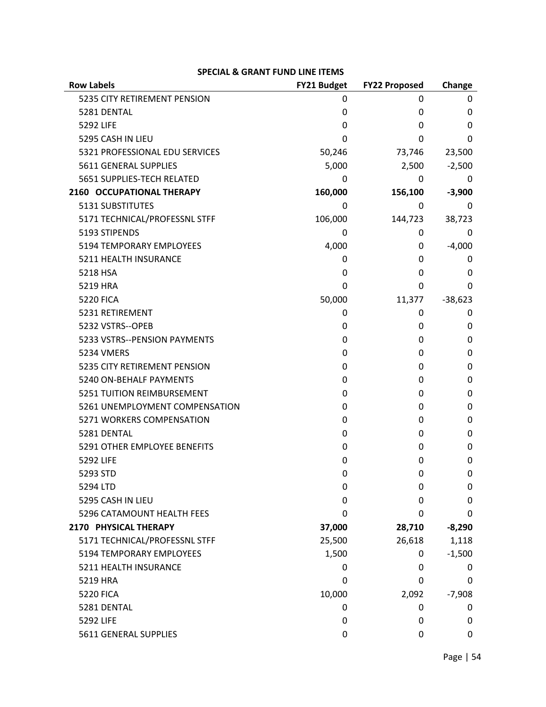| <b>Row Labels</b>              | FY21 Budget | <b>FY22 Proposed</b> | Change    |
|--------------------------------|-------------|----------------------|-----------|
| 5235 CITY RETIREMENT PENSION   | 0           | 0                    | 0         |
| 5281 DENTAL                    | 0           | 0                    | 0         |
| 5292 LIFE                      | 0           | 0                    | 0         |
| 5295 CASH IN LIEU              | 0           | 0                    | 0         |
| 5321 PROFESSIONAL EDU SERVICES | 50,246      | 73,746               | 23,500    |
| 5611 GENERAL SUPPLIES          | 5,000       | 2,500                | $-2,500$  |
| 5651 SUPPLIES-TECH RELATED     | 0           | 0                    | 0         |
| 2160 OCCUPATIONAL THERAPY      | 160,000     | 156,100              | $-3,900$  |
| <b>5131 SUBSTITUTES</b>        | 0           | 0                    | 0         |
| 5171 TECHNICAL/PROFESSNL STFF  | 106,000     | 144,723              | 38,723    |
| 5193 STIPENDS                  | 0           | 0                    | 0         |
| 5194 TEMPORARY EMPLOYEES       | 4,000       | 0                    | $-4,000$  |
| 5211 HEALTH INSURANCE          | 0           | 0                    | 0         |
| 5218 HSA                       | 0           | 0                    | 0         |
| 5219 HRA                       | 0           | 0                    | 0         |
| <b>5220 FICA</b>               | 50,000      | 11,377               | $-38,623$ |
| 5231 RETIREMENT                | 0           | 0                    | 0         |
| 5232 VSTRS--OPEB               | 0           | 0                    | 0         |
| 5233 VSTRS--PENSION PAYMENTS   | 0           | 0                    | 0         |
| 5234 VMERS                     | 0           | 0                    | 0         |
| 5235 CITY RETIREMENT PENSION   | 0           | 0                    | 0         |
| 5240 ON-BEHALF PAYMENTS        | 0           | 0                    | 0         |
| 5251 TUITION REIMBURSEMENT     | 0           | 0                    | 0         |
| 5261 UNEMPLOYMENT COMPENSATION | 0           | 0                    | 0         |
| 5271 WORKERS COMPENSATION      | 0           | 0                    | 0         |
| 5281 DENTAL                    | 0           | 0                    | 0         |
| 5291 OTHER EMPLOYEE BENEFITS   | 0           | 0                    | 0         |
| 5292 LIFE                      | 0           | 0                    | 0         |
| 5293 STD                       | 0           | 0                    | 0         |
| 5294 LTD                       | 0           | 0                    | 0         |
| 5295 CASH IN LIEU              | 0           | 0                    | 0         |
| 5296 CATAMOUNT HEALTH FEES     | 0           | 0                    | 0         |
| 2170 PHYSICAL THERAPY          | 37,000      | 28,710               | $-8,290$  |
| 5171 TECHNICAL/PROFESSNL STFF  | 25,500      | 26,618               | 1,118     |
| 5194 TEMPORARY EMPLOYEES       | 1,500       | 0                    | $-1,500$  |
| 5211 HEALTH INSURANCE          | 0           | 0                    | 0         |
| 5219 HRA                       | 0           | 0                    | 0         |
| <b>5220 FICA</b>               | 10,000      | 2,092                | $-7,908$  |
| 5281 DENTAL                    | 0           | 0                    | 0         |
| 5292 LIFE                      | 0           | 0                    | 0         |
| 5611 GENERAL SUPPLIES          | 0           | 0                    | 0         |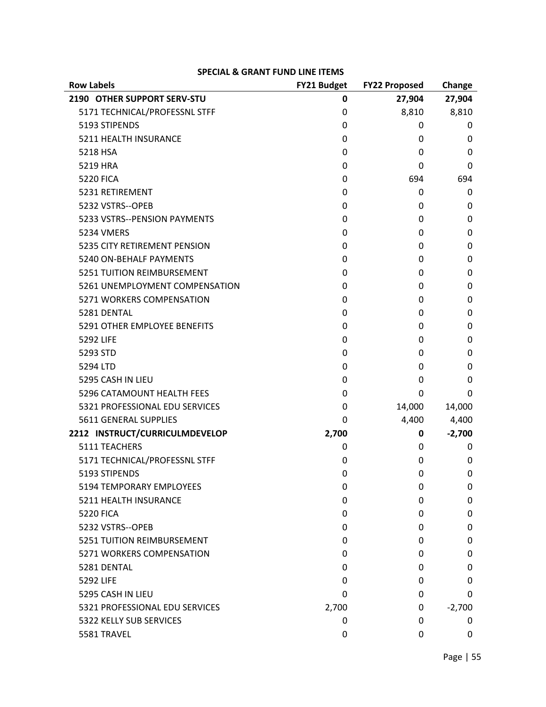| <b>Row Labels</b>                 | FY21 Budget | <b>FY22 Proposed</b> | Change       |
|-----------------------------------|-------------|----------------------|--------------|
| 2190 OTHER SUPPORT SERV-STU       | 0           | 27,904               | 27,904       |
| 5171 TECHNICAL/PROFESSNL STFF     | 0           | 8,810                | 8,810        |
| 5193 STIPENDS                     | 0           | 0                    | 0            |
| 5211 HEALTH INSURANCE             | 0           | 0                    | 0            |
| 5218 HSA                          | 0           | 0                    | 0            |
| 5219 HRA                          | 0           | 0                    | 0            |
| <b>5220 FICA</b>                  | 0           | 694                  | 694          |
| 5231 RETIREMENT                   | 0           | 0                    | 0            |
| 5232 VSTRS--OPEB                  | 0           | 0                    | 0            |
| 5233 VSTRS--PENSION PAYMENTS      | 0           | 0                    | 0            |
| <b>5234 VMERS</b>                 | 0           | 0                    | 0            |
| 5235 CITY RETIREMENT PENSION      | 0           | 0                    | 0            |
| 5240 ON-BEHALF PAYMENTS           | 0           | 0                    | 0            |
| <b>5251 TUITION REIMBURSEMENT</b> | 0           | 0                    | 0            |
| 5261 UNEMPLOYMENT COMPENSATION    | 0           | 0                    | 0            |
| 5271 WORKERS COMPENSATION         | 0           | 0                    | 0            |
| 5281 DENTAL                       | 0           | 0                    | 0            |
| 5291 OTHER EMPLOYEE BENEFITS      | 0           | 0                    | 0            |
| 5292 LIFE                         | 0           | 0                    | 0            |
| 5293 STD                          | 0           | 0                    | 0            |
| 5294 LTD                          | 0           | 0                    | 0            |
| 5295 CASH IN LIEU                 | 0           | 0                    | $\mathbf{0}$ |
| 5296 CATAMOUNT HEALTH FEES        | 0           | 0                    | 0            |
| 5321 PROFESSIONAL EDU SERVICES    | 0           | 14,000               | 14,000       |
| 5611 GENERAL SUPPLIES             | 0           | 4,400                | 4,400        |
| 2212 INSTRUCT/CURRICULMDEVELOP    | 2,700       | 0                    | $-2,700$     |
| 5111 TEACHERS                     | 0           | 0                    | 0            |
| 5171 TECHNICAL/PROFESSNL STFF     | 0           | 0                    | 0            |
| 5193 STIPENDS                     | 0           | 0                    | 0            |
| 5194 TEMPORARY EMPLOYEES          | 0           | 0                    | 0            |
| 5211 HEALTH INSURANCE             | 0           | 0                    | 0            |
| <b>5220 FICA</b>                  | 0           | 0                    | 0            |
| 5232 VSTRS--OPEB                  | 0           | 0                    | 0            |
| <b>5251 TUITION REIMBURSEMENT</b> | 0           | 0                    | 0            |
| 5271 WORKERS COMPENSATION         | 0           | 0                    | 0            |
| 5281 DENTAL                       | 0           | 0                    | 0            |
| <b>5292 LIFE</b>                  | 0           | 0                    | 0            |
| 5295 CASH IN LIEU                 | 0           | 0                    | 0            |
| 5321 PROFESSIONAL EDU SERVICES    | 2,700       | 0                    | $-2,700$     |
| 5322 KELLY SUB SERVICES           | 0           | 0                    | 0            |
| 5581 TRAVEL                       | 0           | 0                    | 0            |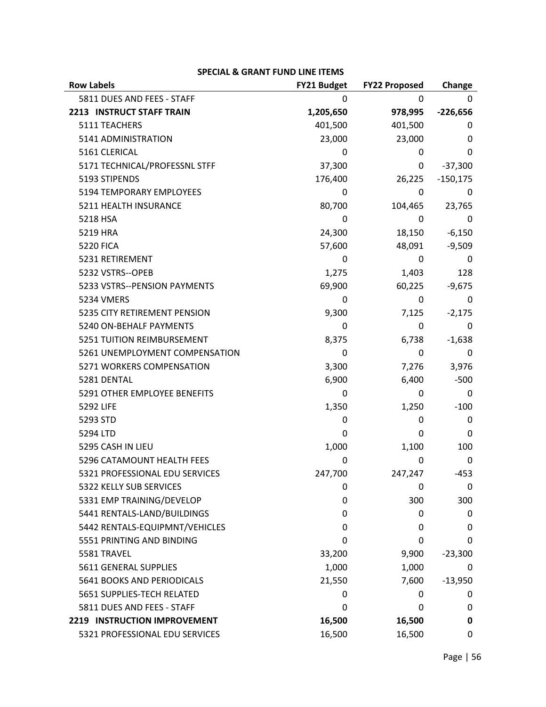| <b>Row Labels</b>                 | <b>FY21 Budget</b> | <b>FY22 Proposed</b> | Change     |
|-----------------------------------|--------------------|----------------------|------------|
| 5811 DUES AND FEES - STAFF        | Ω                  | 0                    | 0          |
| 2213 INSTRUCT STAFF TRAIN         | 1,205,650          | 978,995              | $-226,656$ |
| 5111 TEACHERS                     | 401,500            | 401,500              | 0          |
| 5141 ADMINISTRATION               | 23,000             | 23,000               | 0          |
| 5161 CLERICAL                     | 0                  | 0                    | 0          |
| 5171 TECHNICAL/PROFESSNL STFF     | 37,300             | 0                    | $-37,300$  |
| 5193 STIPENDS                     | 176,400            | 26,225               | $-150,175$ |
| 5194 TEMPORARY EMPLOYEES          | 0                  | 0                    | 0          |
| 5211 HEALTH INSURANCE             | 80,700             | 104,465              | 23,765     |
| 5218 HSA                          | 0                  | 0                    | 0          |
| 5219 HRA                          | 24,300             | 18,150               | $-6,150$   |
| <b>5220 FICA</b>                  | 57,600             | 48,091               | $-9,509$   |
| 5231 RETIREMENT                   | 0                  | 0                    | 0          |
| 5232 VSTRS--OPEB                  | 1,275              | 1,403                | 128        |
| 5233 VSTRS--PENSION PAYMENTS      | 69,900             | 60,225               | $-9,675$   |
| 5234 VMERS                        | 0                  | 0                    | 0          |
| 5235 CITY RETIREMENT PENSION      | 9,300              | 7,125                | $-2,175$   |
| 5240 ON-BEHALF PAYMENTS           | 0                  | 0                    | 0          |
| <b>5251 TUITION REIMBURSEMENT</b> | 8,375              | 6,738                | $-1,638$   |
| 5261 UNEMPLOYMENT COMPENSATION    | 0                  | 0                    | 0          |
| 5271 WORKERS COMPENSATION         | 3,300              | 7,276                | 3,976      |
| 5281 DENTAL                       | 6,900              | 6,400                | $-500$     |
| 5291 OTHER EMPLOYEE BENEFITS      | 0                  | 0                    | 0          |
| 5292 LIFE                         | 1,350              | 1,250                | $-100$     |
| 5293 STD                          | 0                  | 0                    | 0          |
| 5294 LTD                          | 0                  | 0                    | 0          |
| 5295 CASH IN LIEU                 | 1,000              | 1,100                | 100        |
| 5296 CATAMOUNT HEALTH FEES        | 0                  | 0                    | 0          |
| 5321 PROFESSIONAL EDU SERVICES    | 247,700            | 247,247              | $-453$     |
| 5322 KELLY SUB SERVICES           | 0                  | 0                    | 0          |
| 5331 EMP TRAINING/DEVELOP         | 0                  | 300                  | 300        |
| 5441 RENTALS-LAND/BUILDINGS       | 0                  | 0                    | 0          |
| 5442 RENTALS-EQUIPMNT/VEHICLES    | 0                  | 0                    | 0          |
| 5551 PRINTING AND BINDING         | 0                  | 0                    | 0          |
| 5581 TRAVEL                       | 33,200             | 9,900                | $-23,300$  |
| 5611 GENERAL SUPPLIES             | 1,000              | 1,000                | 0          |
| 5641 BOOKS AND PERIODICALS        | 21,550             | 7,600                | $-13,950$  |
| 5651 SUPPLIES-TECH RELATED        | 0                  | 0                    | 0          |
| 5811 DUES AND FEES - STAFF        | 0                  | 0                    | 0          |
| 2219 INSTRUCTION IMPROVEMENT      | 16,500             | 16,500               | 0          |
| 5321 PROFESSIONAL EDU SERVICES    | 16,500             | 16,500               | 0          |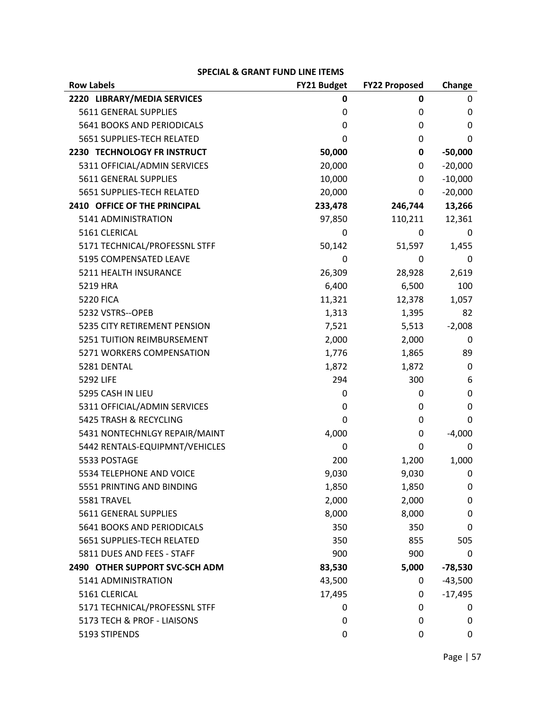| <b>Row Labels</b>              | FY21 Budget | <b>FY22 Proposed</b> | Change    |
|--------------------------------|-------------|----------------------|-----------|
| 2220 LIBRARY/MEDIA SERVICES    | 0           | 0                    | 0         |
| 5611 GENERAL SUPPLIES          | 0           | 0                    | 0         |
| 5641 BOOKS AND PERIODICALS     | 0           | 0                    | 0         |
| 5651 SUPPLIES-TECH RELATED     | 0           | 0                    | 0         |
| 2230 TECHNOLOGY FR INSTRUCT    | 50,000      | 0                    | $-50,000$ |
| 5311 OFFICIAL/ADMIN SERVICES   | 20,000      | 0                    | $-20,000$ |
| <b>5611 GENERAL SUPPLIES</b>   | 10,000      | 0                    | $-10,000$ |
| 5651 SUPPLIES-TECH RELATED     | 20,000      | 0                    | $-20,000$ |
| 2410 OFFICE OF THE PRINCIPAL   | 233,478     | 246,744              | 13,266    |
| 5141 ADMINISTRATION            | 97,850      | 110,211              | 12,361    |
| 5161 CLERICAL                  | 0           | 0                    | 0         |
| 5171 TECHNICAL/PROFESSNL STFF  | 50,142      | 51,597               | 1,455     |
| 5195 COMPENSATED LEAVE         | 0           | 0                    | 0         |
| 5211 HEALTH INSURANCE          | 26,309      | 28,928               | 2,619     |
| 5219 HRA                       | 6,400       | 6,500                | 100       |
| <b>5220 FICA</b>               | 11,321      | 12,378               | 1,057     |
| 5232 VSTRS--OPEB               | 1,313       | 1,395                | 82        |
| 5235 CITY RETIREMENT PENSION   | 7,521       | 5,513                | $-2,008$  |
| 5251 TUITION REIMBURSEMENT     | 2,000       | 2,000                | 0         |
| 5271 WORKERS COMPENSATION      | 1,776       | 1,865                | 89        |
| 5281 DENTAL                    | 1,872       | 1,872                | 0         |
| 5292 LIFE                      | 294         | 300                  | 6         |
| 5295 CASH IN LIEU              | 0           | 0                    | 0         |
| 5311 OFFICIAL/ADMIN SERVICES   | 0           | 0                    | 0         |
| 5425 TRASH & RECYCLING         | 0           | 0                    | 0         |
| 5431 NONTECHNLGY REPAIR/MAINT  | 4,000       | 0                    | $-4,000$  |
| 5442 RENTALS-EQUIPMNT/VEHICLES | 0           | 0                    | 0         |
| 5533 POSTAGE                   | 200         | 1,200                | 1,000     |
| 5534 TELEPHONE AND VOICE       | 9,030       | 9,030                | 0         |
| 5551 PRINTING AND BINDING      | 1,850       | 1,850                | 0         |
| 5581 TRAVEL                    | 2,000       | 2,000                | 0         |
| 5611 GENERAL SUPPLIES          | 8,000       | 8,000                | 0         |
| 5641 BOOKS AND PERIODICALS     | 350         | 350                  | 0         |
| 5651 SUPPLIES-TECH RELATED     | 350         | 855                  | 505       |
| 5811 DUES AND FEES - STAFF     | 900         | 900                  | 0         |
| 2490 OTHER SUPPORT SVC-SCH ADM | 83,530      | 5,000                | $-78,530$ |
| 5141 ADMINISTRATION            | 43,500      | 0                    | $-43,500$ |
| 5161 CLERICAL                  | 17,495      | 0                    | $-17,495$ |
| 5171 TECHNICAL/PROFESSNL STFF  | 0           | 0                    | 0         |
| 5173 TECH & PROF - LIAISONS    | 0           | 0                    | 0         |
| 5193 STIPENDS                  | 0           | 0                    | 0         |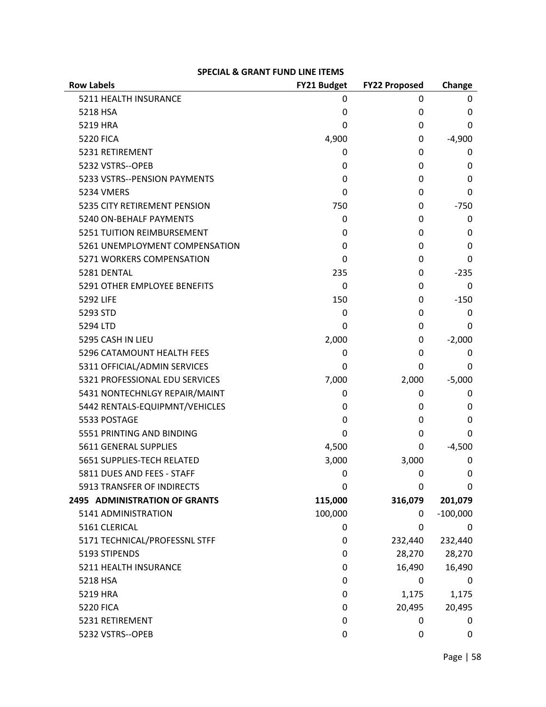| <b>Row Labels</b>              | FY21 Budget | <b>FY22 Proposed</b> | Change     |
|--------------------------------|-------------|----------------------|------------|
| 5211 HEALTH INSURANCE          | 0           | 0                    | 0          |
| 5218 HSA                       | 0           | 0                    | 0          |
| 5219 HRA                       | 0           | 0                    | 0          |
| <b>5220 FICA</b>               | 4,900       | 0                    | $-4,900$   |
| 5231 RETIREMENT                | 0           | 0                    | 0          |
| 5232 VSTRS--OPEB               | 0           | 0                    | 0          |
| 5233 VSTRS--PENSION PAYMENTS   | 0           | 0                    | 0          |
| <b>5234 VMERS</b>              | 0           | 0                    | 0          |
| 5235 CITY RETIREMENT PENSION   | 750         | 0                    | $-750$     |
| 5240 ON-BEHALF PAYMENTS        | 0           | 0                    | 0          |
| 5251 TUITION REIMBURSEMENT     | 0           | 0                    | 0          |
| 5261 UNEMPLOYMENT COMPENSATION | 0           | 0                    | 0          |
| 5271 WORKERS COMPENSATION      | 0           | 0                    | 0          |
| 5281 DENTAL                    | 235         | 0                    | $-235$     |
| 5291 OTHER EMPLOYEE BENEFITS   | $\Omega$    | 0                    | 0          |
| 5292 LIFE                      | 150         | 0                    | $-150$     |
| 5293 STD                       | 0           | 0                    | 0          |
| 5294 LTD                       | 0           | 0                    | 0          |
| 5295 CASH IN LIEU              | 2,000       | 0                    | $-2,000$   |
| 5296 CATAMOUNT HEALTH FEES     | 0           | 0                    | 0          |
| 5311 OFFICIAL/ADMIN SERVICES   | 0           | 0                    | 0          |
| 5321 PROFESSIONAL EDU SERVICES | 7,000       | 2,000                | $-5,000$   |
| 5431 NONTECHNLGY REPAIR/MAINT  | 0           | 0                    | 0          |
| 5442 RENTALS-EQUIPMNT/VEHICLES | 0           | 0                    | 0          |
| 5533 POSTAGE                   | 0           | 0                    | 0          |
| 5551 PRINTING AND BINDING      | 0           | 0                    | 0          |
| 5611 GENERAL SUPPLIES          | 4,500       | 0                    | $-4,500$   |
| 5651 SUPPLIES-TECH RELATED     | 3,000       | 3,000                | 0          |
| 5811 DUES AND FEES - STAFF     | 0           | 0                    | 0          |
| 5913 TRANSFER OF INDIRECTS     | 0           | 0                    | 0          |
| 2495 ADMINISTRATION OF GRANTS  | 115,000     | 316,079              | 201,079    |
| 5141 ADMINISTRATION            | 100,000     | 0                    | $-100,000$ |
| 5161 CLERICAL                  | 0           | 0                    | 0          |
| 5171 TECHNICAL/PROFESSNL STFF  | 0           | 232,440              | 232,440    |
| 5193 STIPENDS                  | 0           | 28,270               | 28,270     |
| 5211 HEALTH INSURANCE          | 0           | 16,490               | 16,490     |
| 5218 HSA                       | 0           | 0                    | 0          |
| 5219 HRA                       | 0           | 1,175                | 1,175      |
| <b>5220 FICA</b>               | 0           | 20,495               | 20,495     |
| 5231 RETIREMENT                | 0           | 0                    | 0          |
| 5232 VSTRS--OPEB               | 0           | 0                    | 0          |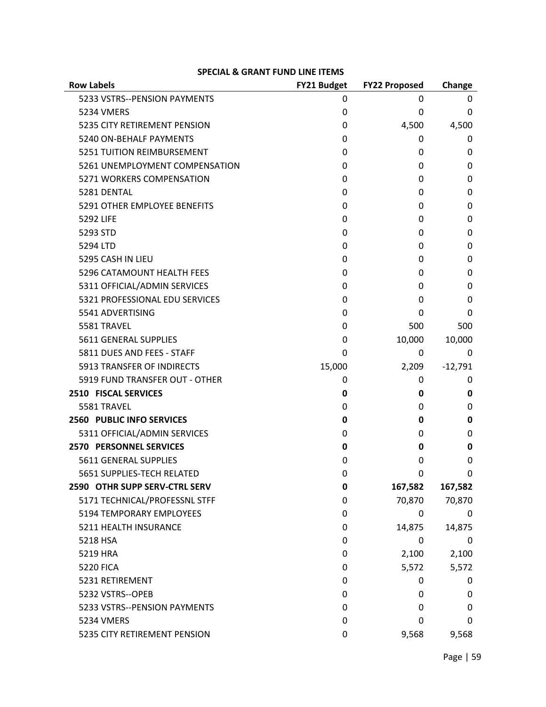| <b>Row Labels</b>              | FY21 Budget | <b>FY22 Proposed</b> | Change    |
|--------------------------------|-------------|----------------------|-----------|
| 5233 VSTRS--PENSION PAYMENTS   | 0           | 0                    | U         |
| 5234 VMERS                     | 0           | 0                    | 0         |
| 5235 CITY RETIREMENT PENSION   | 0           | 4,500                | 4,500     |
| 5240 ON-BEHALF PAYMENTS        | 0           | 0                    | 0         |
| 5251 TUITION REIMBURSEMENT     | 0           | 0                    | 0         |
| 5261 UNEMPLOYMENT COMPENSATION | 0           | 0                    | 0         |
| 5271 WORKERS COMPENSATION      | 0           | 0                    | 0         |
| 5281 DENTAL                    | 0           | 0                    | 0         |
| 5291 OTHER EMPLOYEE BENEFITS   | 0           | 0                    | 0         |
| 5292 LIFE                      | 0           | 0                    | 0         |
| 5293 STD                       | 0           | 0                    | 0         |
| 5294 LTD                       | 0           | 0                    | 0         |
| 5295 CASH IN LIEU              | 0           | 0                    | 0         |
| 5296 CATAMOUNT HEALTH FEES     | 0           | 0                    | 0         |
| 5311 OFFICIAL/ADMIN SERVICES   | 0           | 0                    | 0         |
| 5321 PROFESSIONAL EDU SERVICES | 0           | 0                    | 0         |
| 5541 ADVERTISING               | 0           | 0                    | 0         |
| 5581 TRAVEL                    | 0           | 500                  | 500       |
| 5611 GENERAL SUPPLIES          | 0           | 10,000               | 10,000    |
| 5811 DUES AND FEES - STAFF     | 0           | 0                    | 0         |
| 5913 TRANSFER OF INDIRECTS     | 15,000      | 2,209                | $-12,791$ |
| 5919 FUND TRANSFER OUT - OTHER | 0           | 0                    | 0         |
| 2510 FISCAL SERVICES           | 0           | 0                    | 0         |
| 5581 TRAVEL                    | 0           | 0                    | 0         |
| 2560 PUBLIC INFO SERVICES      | 0           | 0                    | 0         |
| 5311 OFFICIAL/ADMIN SERVICES   | 0           | 0                    | 0         |
| <b>2570 PERSONNEL SERVICES</b> | 0           | 0                    | 0         |
| 5611 GENERAL SUPPLIES          | 0           | 0                    | 0         |
| 5651 SUPPLIES-TECH RELATED     | 0           | 0                    | 0         |
| 2590 OTHR SUPP SERV-CTRL SERV  | 0           | 167,582              | 167,582   |
| 5171 TECHNICAL/PROFESSNL STFF  | 0           | 70,870               | 70,870    |
| 5194 TEMPORARY EMPLOYEES       | 0           | 0                    | 0         |
| 5211 HEALTH INSURANCE          | 0           | 14,875               | 14,875    |
| 5218 HSA                       | 0           | 0                    | 0         |
| 5219 HRA                       | 0           | 2,100                | 2,100     |
| <b>5220 FICA</b>               | 0           | 5,572                | 5,572     |
| 5231 RETIREMENT                | 0           | 0                    | 0         |
| 5232 VSTRS--OPEB               | 0           | 0                    | 0         |
| 5233 VSTRS--PENSION PAYMENTS   | 0           | 0                    | 0         |
| <b>5234 VMERS</b>              | 0           | 0                    | 0         |
| 5235 CITY RETIREMENT PENSION   | 0           | 9,568                | 9,568     |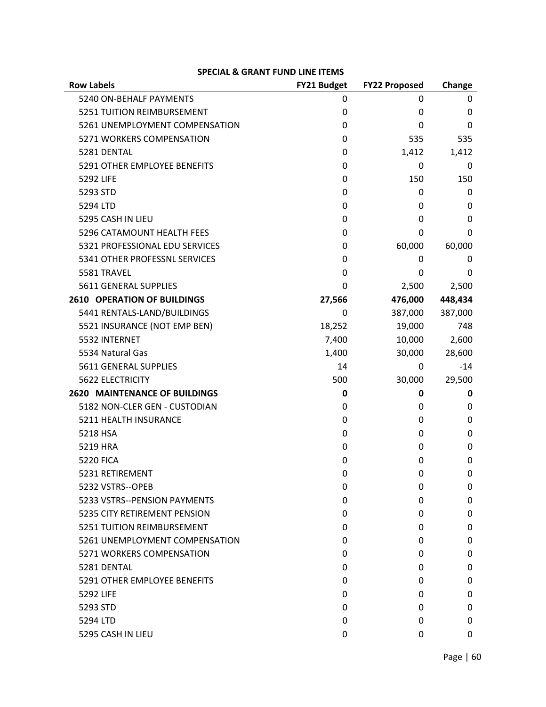| <b>Row Labels</b>                    | FY21 Budget | <b>FY22 Proposed</b> | Change  |
|--------------------------------------|-------------|----------------------|---------|
| 5240 ON-BEHALF PAYMENTS              | 0           | 0                    | 0       |
| 5251 TUITION REIMBURSEMENT           | 0           | 0                    | 0       |
| 5261 UNEMPLOYMENT COMPENSATION       | 0           | 0                    | 0       |
| 5271 WORKERS COMPENSATION            | 0           | 535                  | 535     |
| 5281 DENTAL                          | 0           | 1,412                | 1,412   |
| 5291 OTHER EMPLOYEE BENEFITS         | 0           | 0                    | 0       |
| <b>5292 LIFE</b>                     | 0           | 150                  | 150     |
| 5293 STD                             | 0           | 0                    | 0       |
| 5294 LTD                             | 0           | 0                    | 0       |
| 5295 CASH IN LIEU                    | 0           | 0                    | 0       |
| 5296 CATAMOUNT HEALTH FEES           | 0           | 0                    | 0       |
| 5321 PROFESSIONAL EDU SERVICES       | 0           | 60,000               | 60,000  |
| 5341 OTHER PROFESSNL SERVICES        | 0           | 0                    | 0       |
| 5581 TRAVEL                          | 0           | 0                    | 0       |
| 5611 GENERAL SUPPLIES                | 0           | 2,500                | 2,500   |
| <b>2610 OPERATION OF BUILDINGS</b>   | 27,566      | 476,000              | 448,434 |
| 5441 RENTALS-LAND/BUILDINGS          | 0           | 387,000              | 387,000 |
| 5521 INSURANCE (NOT EMP BEN)         | 18,252      | 19,000               | 748     |
| 5532 INTERNET                        | 7,400       | 10,000               | 2,600   |
| 5534 Natural Gas                     | 1,400       | 30,000               | 28,600  |
| 5611 GENERAL SUPPLIES                | 14          | 0                    | $-14$   |
| <b>5622 ELECTRICITY</b>              | 500         | 30,000               | 29,500  |
| <b>2620 MAINTENANCE OF BUILDINGS</b> | 0           | 0                    | 0       |
| 5182 NON-CLER GEN - CUSTODIAN        | 0           | 0                    | 0       |
| 5211 HEALTH INSURANCE                | 0           | 0                    | 0       |
| 5218 HSA                             | 0           | 0                    | 0       |
| 5219 HRA                             | 0           | 0                    | 0       |
| <b>5220 FICA</b>                     | 0           | 0                    | 0       |
| 5231 RETIREMENT                      | 0           | 0                    | 0       |
| 5232 VSTRS--OPEB                     | 0           | 0                    | 0       |
| 5233 VSTRS--PENSION PAYMENTS         | 0           | 0                    | 0       |
| 5235 CITY RETIREMENT PENSION         | 0           | 0                    | 0       |
| 5251 TUITION REIMBURSEMENT           | 0           | 0                    | 0       |
| 5261 UNEMPLOYMENT COMPENSATION       | 0           | 0                    | 0       |
| 5271 WORKERS COMPENSATION            | 0           | 0                    | 0       |
| 5281 DENTAL                          | 0           | 0                    | 0       |
| 5291 OTHER EMPLOYEE BENEFITS         | 0           | 0                    | 0       |
| 5292 LIFE                            | 0           | 0                    | 0       |
| 5293 STD                             | 0           | 0                    | 0       |
| 5294 LTD                             | 0           | 0                    | 0       |
| 5295 CASH IN LIEU                    | 0           | 0                    | 0       |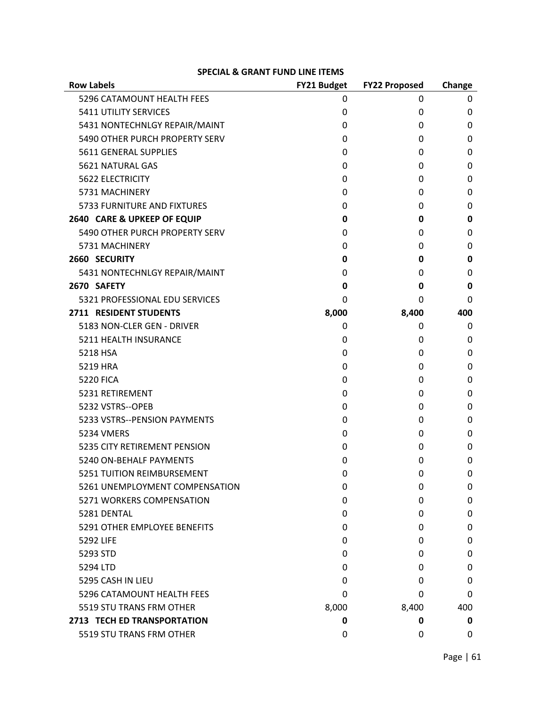| <b>Row Labels</b>                  | FY21 Budget | <b>FY22 Proposed</b> | Change |
|------------------------------------|-------------|----------------------|--------|
| 5296 CATAMOUNT HEALTH FEES         | 0           | 0                    | 0      |
| 5411 UTILITY SERVICES              | 0           | 0                    | 0      |
| 5431 NONTECHNLGY REPAIR/MAINT      | 0           | 0                    | 0      |
| 5490 OTHER PURCH PROPERTY SERV     | 0           | 0                    | 0      |
| 5611 GENERAL SUPPLIES              | 0           | 0                    | 0      |
| 5621 NATURAL GAS                   | 0           | 0                    | 0      |
| <b>5622 ELECTRICITY</b>            | 0           | 0                    | 0      |
| 5731 MACHINERY                     | 0           | 0                    | 0      |
| <b>5733 FURNITURE AND FIXTURES</b> | 0           | 0                    | 0      |
| 2640 CARE & UPKEEP OF EQUIP        | 0           | 0                    | 0      |
| 5490 OTHER PURCH PROPERTY SERV     | 0           | 0                    | 0      |
| 5731 MACHINERY                     | 0           | 0                    | 0      |
| 2660 SECURITY                      | 0           | 0                    | 0      |
| 5431 NONTECHNLGY REPAIR/MAINT      | 0           | 0                    | 0      |
| 2670 SAFETY                        | 0           | 0                    | 0      |
| 5321 PROFESSIONAL EDU SERVICES     | 0           | 0                    | 0      |
| 2711 RESIDENT STUDENTS             | 8,000       | 8,400                | 400    |
| 5183 NON-CLER GEN - DRIVER         | 0           | 0                    | 0      |
| 5211 HEALTH INSURANCE              | 0           | 0                    | 0      |
| 5218 HSA                           | 0           | 0                    | 0      |
| 5219 HRA                           | 0           | 0                    | 0      |
| <b>5220 FICA</b>                   | 0           | 0                    | 0      |
| 5231 RETIREMENT                    | 0           | 0                    | 0      |
| 5232 VSTRS--OPEB                   | 0           | 0                    | 0      |
| 5233 VSTRS--PENSION PAYMENTS       | 0           | 0                    | 0      |
| <b>5234 VMERS</b>                  | 0           | 0                    | 0      |
| 5235 CITY RETIREMENT PENSION       | 0           | 0                    | 0      |
| 5240 ON-BEHALF PAYMENTS            | 0           | 0                    | 0      |
| 5251 TUITION REIMBURSEMENT         | 0           | 0                    | 0      |
| 5261 UNEMPLOYMENT COMPENSATION     | 0           | 0                    | 0      |
| 5271 WORKERS COMPENSATION          | 0           | 0                    | 0      |
| 5281 DENTAL                        | 0           | 0                    | 0      |
| 5291 OTHER EMPLOYEE BENEFITS       | 0           | 0                    | 0      |
| 5292 LIFE                          | 0           | 0                    | 0      |
| 5293 STD                           | 0           | 0                    | 0      |
| 5294 LTD                           | 0           | 0                    | 0      |
| 5295 CASH IN LIEU                  | 0           | 0                    | 0      |
| 5296 CATAMOUNT HEALTH FEES         | 0           | 0                    | 0      |
| 5519 STU TRANS FRM OTHER           | 8,000       | 8,400                | 400    |
| 2713 TECH ED TRANSPORTATION        | 0           | 0                    | 0      |
| 5519 STU TRANS FRM OTHER           | 0           | 0                    | 0      |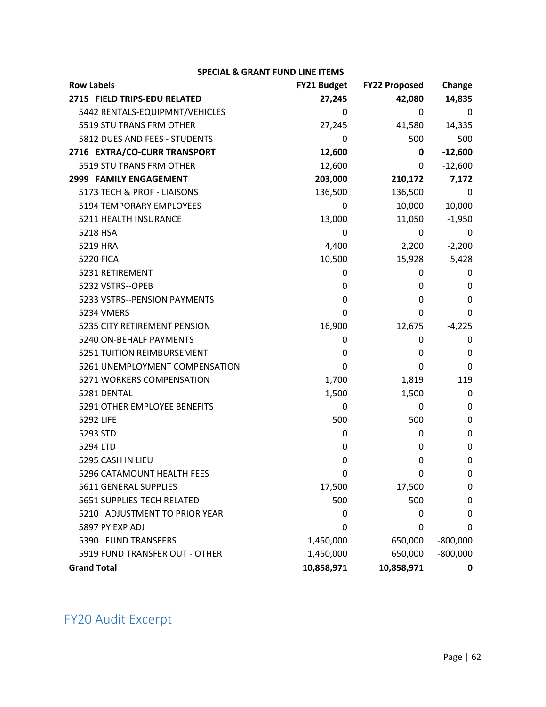| <b>Row Labels</b>              | FY21 Budget | <b>FY22 Proposed</b> | Change     |
|--------------------------------|-------------|----------------------|------------|
| 2715 FIELD TRIPS-EDU RELATED   | 27,245      | 42,080               | 14,835     |
| 5442 RENTALS-EQUIPMNT/VEHICLES | 0           | 0                    | 0          |
| 5519 STU TRANS FRM OTHER       | 27,245      | 41,580               | 14,335     |
| 5812 DUES AND FEES - STUDENTS  | 0           | 500                  | 500        |
| 2716 EXTRA/CO-CURR TRANSPORT   | 12,600      | 0                    | $-12,600$  |
| 5519 STU TRANS FRM OTHER       | 12,600      | 0                    | $-12,600$  |
| 2999 FAMILY ENGAGEMENT         | 203,000     | 210,172              | 7,172      |
| 5173 TECH & PROF - LIAISONS    | 136,500     | 136,500              | 0          |
| 5194 TEMPORARY EMPLOYEES       | 0           | 10,000               | 10,000     |
| 5211 HEALTH INSURANCE          | 13,000      | 11,050               | $-1,950$   |
| 5218 HSA                       | 0           | 0                    | 0          |
| 5219 HRA                       | 4,400       | 2,200                | $-2,200$   |
| <b>5220 FICA</b>               | 10,500      | 15,928               | 5,428      |
| 5231 RETIREMENT                | 0           | 0                    | 0          |
| 5232 VSTRS--OPEB               | 0           | 0                    | 0          |
| 5233 VSTRS--PENSION PAYMENTS   | 0           | 0                    | 0          |
| 5234 VMERS                     | 0           | 0                    | 0          |
| 5235 CITY RETIREMENT PENSION   | 16,900      | 12,675               | $-4,225$   |
| 5240 ON-BEHALF PAYMENTS        | 0           | 0                    | 0          |
| 5251 TUITION REIMBURSEMENT     | 0           | 0                    | 0          |
| 5261 UNEMPLOYMENT COMPENSATION | 0           | 0                    | 0          |
| 5271 WORKERS COMPENSATION      | 1,700       | 1,819                | 119        |
| 5281 DENTAL                    | 1,500       | 1,500                | 0          |
| 5291 OTHER EMPLOYEE BENEFITS   | 0           | 0                    | 0          |
| 5292 LIFE                      | 500         | 500                  | 0          |
| 5293 STD                       | 0           | 0                    | 0          |
| 5294 LTD                       | 0           | 0                    | 0          |
| 5295 CASH IN LIEU              | 0           | 0                    | 0          |
| 5296 CATAMOUNT HEALTH FEES     | 0           | 0                    | 0          |
| 5611 GENERAL SUPPLIES          | 17,500      | 17,500               | 0          |
| 5651 SUPPLIES-TECH RELATED     | 500         | 500                  | 0          |
| 5210 ADJUSTMENT TO PRIOR YEAR  | 0           | 0                    | 0          |
| 5897 PY EXP ADJ                | 0           | 0                    | 0          |
| 5390 FUND TRANSFERS            | 1,450,000   | 650,000              | $-800,000$ |
| 5919 FUND TRANSFER OUT - OTHER | 1,450,000   | 650,000              | $-800,000$ |
| <b>Grand Total</b>             | 10,858,971  | 10,858,971           | 0          |

# FY20 Audit Excerpt